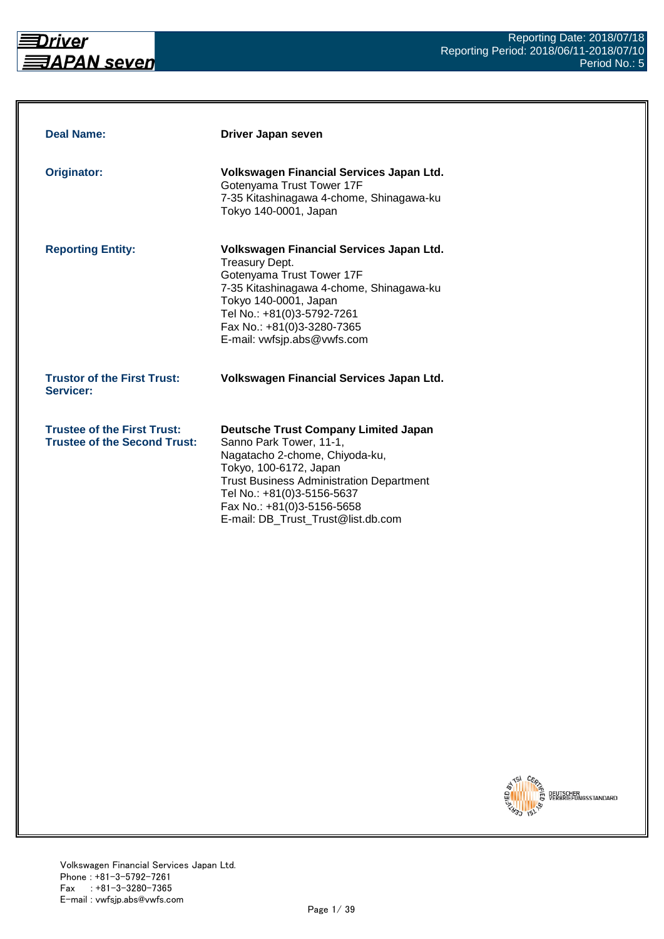

| <b>Deal Name:</b>                                                         | Driver Japan seven                                                                                                                                                                                                                                                                      |
|---------------------------------------------------------------------------|-----------------------------------------------------------------------------------------------------------------------------------------------------------------------------------------------------------------------------------------------------------------------------------------|
| Originator:                                                               | Volkswagen Financial Services Japan Ltd.<br>Gotenyama Trust Tower 17F<br>7-35 Kitashinagawa 4-chome, Shinagawa-ku<br>Tokyo 140-0001, Japan                                                                                                                                              |
| <b>Reporting Entity:</b>                                                  | Volkswagen Financial Services Japan Ltd.<br><b>Treasury Dept.</b><br>Gotenyama Trust Tower 17F<br>7-35 Kitashinagawa 4-chome, Shinagawa-ku<br>Tokyo 140-0001, Japan<br>Tel No.: +81(0)3-5792-7261<br>Fax No.: +81(0)3-3280-7365<br>E-mail: vwfsjp.abs@vwfs.com                          |
| <b>Trustor of the First Trust:</b><br>Servicer:                           | Volkswagen Financial Services Japan Ltd.                                                                                                                                                                                                                                                |
| <b>Trustee of the First Trust:</b><br><b>Trustee of the Second Trust:</b> | <b>Deutsche Trust Company Limited Japan</b><br>Sanno Park Tower, 11-1,<br>Nagatacho 2-chome, Chiyoda-ku,<br>Tokyo, 100-6172, Japan<br><b>Trust Business Administration Department</b><br>Tel No.: +81(0)3-5156-5637<br>Fax No.: +81(0)3-5156-5658<br>E-mail: DB Trust Trust@list.db.com |

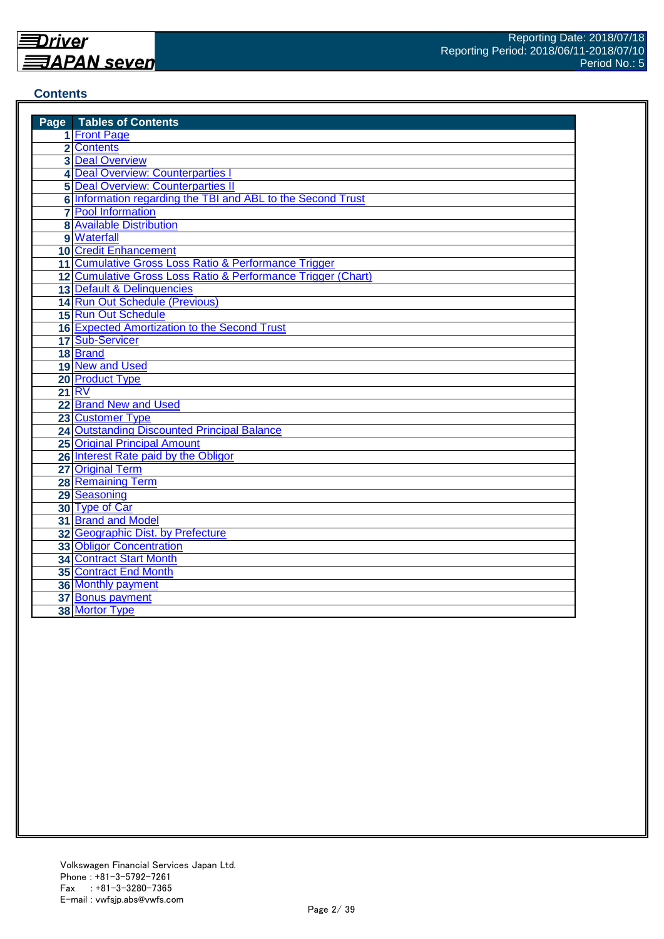#### **Contents**

| <b>Page</b> Tables of Contents                               |
|--------------------------------------------------------------|
| 1 Front Page                                                 |
| 2 Contents                                                   |
| <b>3 Deal Overview</b>                                       |
| 4 Deal Overview: Counterparties                              |
| <b>5 Deal Overview: Counterparties II</b>                    |
| 6 Information regarding the TBI and ABL to the Second Trust  |
| <b>7</b> Pool Information                                    |
| <b>8 Available Distribution</b>                              |
| 9 Waterfall                                                  |
| <b>10 Credit Enhancement</b>                                 |
| 11 Cumulative Gross Loss Ratio & Performance Trigger         |
| 12 Cumulative Gross Loss Ratio & Performance Trigger (Chart) |
| 13 Default & Delinquencies                                   |
| 14 Run Out Schedule (Previous)                               |
| 15 Run Out Schedule                                          |
| 16 Expected Amortization to the Second Trust                 |
| 17 Sub-Servicer                                              |
| 18 Brand                                                     |
| 19 New and Used                                              |
| 20 Product Type                                              |
| <b>21 RV</b>                                                 |
| 22 Brand New and Used                                        |
| 23 Customer Type                                             |
| <b>24 Outstanding Discounted Principal Balance</b>           |
| <b>25 Original Principal Amount</b>                          |
| 26 Interest Rate paid by the Obligor                         |
| 27 Original Term                                             |
| <b>28 Remaining Term</b>                                     |
| 29 Seasoning                                                 |
| 30 Type of Car                                               |
| 31 Brand and Model                                           |
| 32 Geographic Dist. by Prefecture                            |
| <b>33 Obligor Concentration</b>                              |
| <b>34 Contract Start Month</b>                               |
| <b>35 Contract End Month</b>                                 |
| 36 Monthly payment                                           |
| 37 Bonus payment                                             |
| 38 Mortor Type                                               |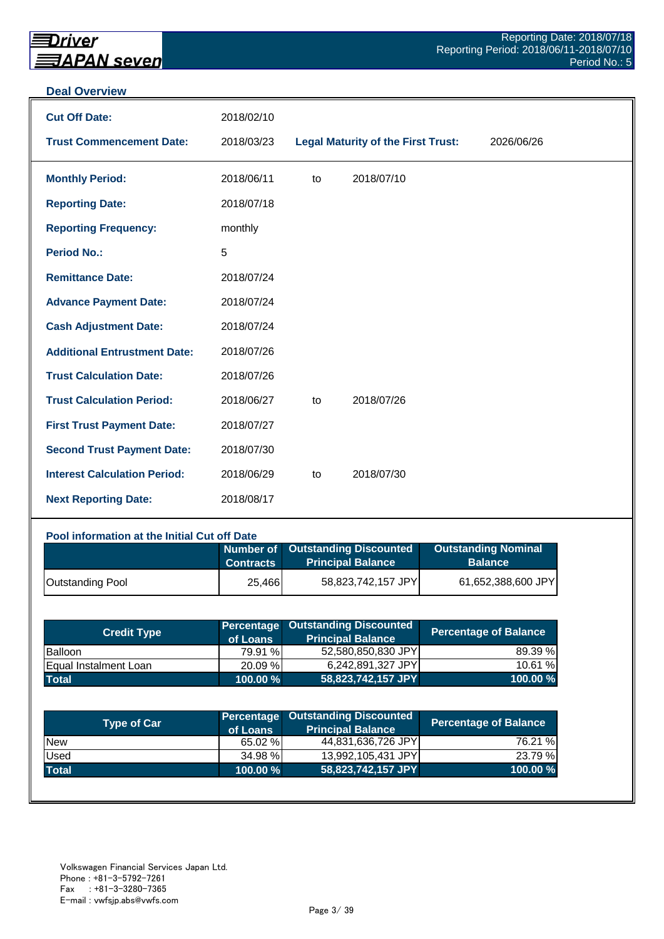#### **Deal Overview**

| <b>Cut Off Date:</b>                | 2018/02/10 |    |                                           |            |
|-------------------------------------|------------|----|-------------------------------------------|------------|
| <b>Trust Commencement Date:</b>     | 2018/03/23 |    | <b>Legal Maturity of the First Trust:</b> | 2026/06/26 |
| <b>Monthly Period:</b>              | 2018/06/11 | to | 2018/07/10                                |            |
| <b>Reporting Date:</b>              | 2018/07/18 |    |                                           |            |
| <b>Reporting Frequency:</b>         | monthly    |    |                                           |            |
| <b>Period No.:</b>                  | 5          |    |                                           |            |
| <b>Remittance Date:</b>             | 2018/07/24 |    |                                           |            |
| <b>Advance Payment Date:</b>        | 2018/07/24 |    |                                           |            |
| <b>Cash Adjustment Date:</b>        | 2018/07/24 |    |                                           |            |
| <b>Additional Entrustment Date:</b> | 2018/07/26 |    |                                           |            |
| <b>Trust Calculation Date:</b>      | 2018/07/26 |    |                                           |            |
| <b>Trust Calculation Period:</b>    | 2018/06/27 | to | 2018/07/26                                |            |
| <b>First Trust Payment Date:</b>    | 2018/07/27 |    |                                           |            |
| <b>Second Trust Payment Date:</b>   | 2018/07/30 |    |                                           |            |
| <b>Interest Calculation Period:</b> | 2018/06/29 | to | 2018/07/30                                |            |
| <b>Next Reporting Date:</b>         | 2018/08/17 |    |                                           |            |

#### **Pool information at the Initial Cut off Date**

|                         | <b>Contracts</b> | Number of Outstanding Discounted<br><b>Principal Balance</b> | <b>Outstanding Nominal</b><br><b>Balance</b> |
|-------------------------|------------------|--------------------------------------------------------------|----------------------------------------------|
| <b>Outstanding Pool</b> | 25,466           | 58,823,742,157 JPY                                           | 61,652,388,600 JPY                           |

| <b>Credit Type</b>    | of Loans    | <b>Percentage Outstanding Discounted</b><br><b>Principal Balance</b> | <b>Percentage of Balance</b> |
|-----------------------|-------------|----------------------------------------------------------------------|------------------------------|
| <b>Balloon</b>        | 79.91 %     | 52,580,850,830 JPY                                                   | 89.39 %                      |
| Equal Instalment Loan | 20.09 %     | 6,242,891,327 JPY                                                    | 10.61 %                      |
| <b>Total</b>          | $100.00 \%$ | 58,823,742,157 JPY                                                   | 100.00 %                     |

| <b>Type of Car</b> | of Loans | Percentage Outstanding Discounted<br><b>Principal Balance</b> | <b>Percentage of Balance</b> |
|--------------------|----------|---------------------------------------------------------------|------------------------------|
| <b>New</b>         | 65.02 %  | 44,831,636,726 JPY                                            | 76.21 %                      |
| Used               | 34.98 %  | 13,992,105,431 JPY                                            | 23.79 %                      |
| <b>Total</b>       | 100.00 % | 58,823,742,157 JPY                                            | 100.00%                      |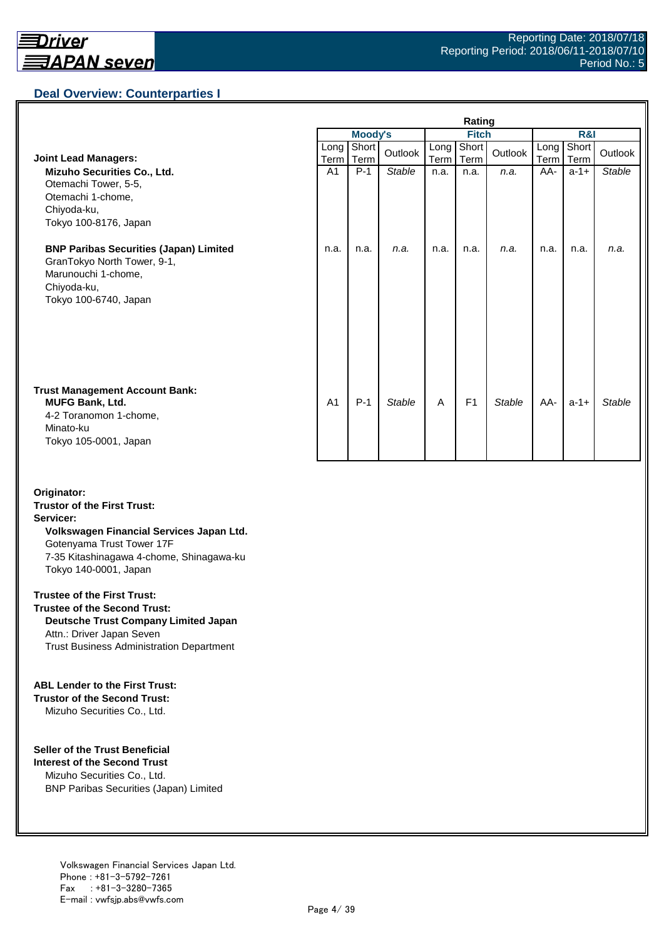## **Deal Overview: Counterparties I**

|                                                                                                                                             | Rating         |                |               |              |                |               |                |               |               |
|---------------------------------------------------------------------------------------------------------------------------------------------|----------------|----------------|---------------|--------------|----------------|---------------|----------------|---------------|---------------|
|                                                                                                                                             |                | <b>Moody's</b> |               | <b>Fitch</b> |                |               | <b>R&amp;I</b> |               |               |
| <b>Joint Lead Managers:</b>                                                                                                                 | Long<br>Term   | Short<br>Term  | Outlook       | Long<br>Term | Short<br>Term  | Outlook       | Long<br>Term   | Short<br>Term | Outlook       |
| Mizuho Securities Co., Ltd.<br>Otemachi Tower, 5-5,<br>Otemachi 1-chome,<br>Chiyoda-ku,<br>Tokyo 100-8176, Japan                            | A <sub>1</sub> | $P-1$          | <b>Stable</b> | n.a.         | n.a.           | n.a.          | AA-            | $a-1+$        | <b>Stable</b> |
| <b>BNP Paribas Securities (Japan) Limited</b><br>GranTokyo North Tower, 9-1,<br>Marunouchi 1-chome,<br>Chiyoda-ku,<br>Tokyo 100-6740, Japan | n.a.           | n.a.           | n.a.          | n.a.         | n.a.           | n.a.          | n.a.           | n.a.          | n.a.          |
| <b>Trust Management Account Bank:</b><br><b>MUFG Bank, Ltd.</b><br>4-2 Toranomon 1-chome,<br>Minato-ku<br>Tokyo 105-0001, Japan             | A <sub>1</sub> | $P-1$          | <b>Stable</b> | A            | F <sub>1</sub> | <b>Stable</b> | AA-            | $a-1+$        | Stable        |

#### **Originator: Trustor of the First Trust: Servicer: Volkswagen Financial Services Japan Ltd.** Gotenyama Trust Tower 17F 7-35 Kitashinagawa 4-chome, Shinagawa-ku Tokyo 140-0001, Japan

#### **Trustee of the First Trust:**

**Trustee of the Second Trust: Deutsche Trust Company Limited Japan** Attn.: Driver Japan Seven Trust Business Administration Department

#### **ABL Lender to the First Trust:**

**Trustor of the Second Trust:** Mizuho Securities Co., Ltd.

#### **Seller of the Trust Beneficial**

**Interest of the Second Trust** Mizuho Securities Co., Ltd. BNP Paribas Securities (Japan) Limited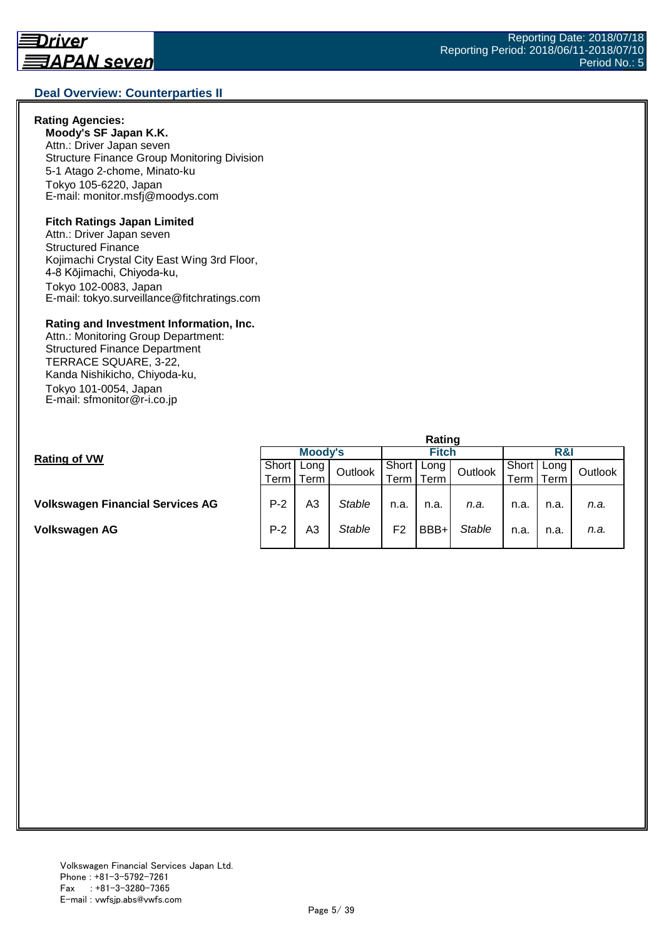#### **Deal Overview: Counterparties II**

#### **Rating Agencies:**

**Moody's SF Japan K.K.** Attn.: Driver Japan seven Structure Finance Group Monitoring Division 5-1 Atago 2-chome, Minato-ku Tokyo 105-6220, Japan E-mail: monitor.msfj@moodys.com

#### **Fitch Ratings Japan Limited**

Attn.: Driver Japan seven Structured Finance Kojimachi Crystal City East Wing 3rd Floor, 4-8 Kōjimachi, Chiyoda-ku, Tokyo 102-0083, Japan E-mail: tokyo.surveillance@fitchratings.com

#### **Rating and Investment Information, Inc.**

Attn.: Monitoring Group Department: Structured Finance Department TERRACE SQUARE, 3-22, Kanda Nishikicho, Chiyoda-ku, Tokyo 101-0054, Japan E-mail: sfmonitor@r-i.co.jp

| Moody's                                    |                |               | <b>Fitch</b>   |      |               | R&                       |         |      |  |
|--------------------------------------------|----------------|---------------|----------------|------|---------------|--------------------------|---------|------|--|
| Short<br>Long<br>Outlook<br>Term<br>Term I |                | Short         |                |      | Short         | Long                     | Outlook |      |  |
|                                            |                | erm           | Term           |      | erm           | Term,                    |         |      |  |
|                                            |                |               |                |      |               |                          |         |      |  |
| $P-2$                                      | A <sub>3</sub> | <b>Stable</b> | n.a.           | n.a. | n.a.          | n.a.                     | n.a.    | n.a. |  |
| $P-2$                                      | A3             | Stable        | F <sub>2</sub> | BBB+ | <b>Stable</b> | n.a.                     | n.a.    | n.a. |  |
|                                            |                |               |                |      |               | naunu<br>Long<br>Outlook |         |      |  |

**Rating**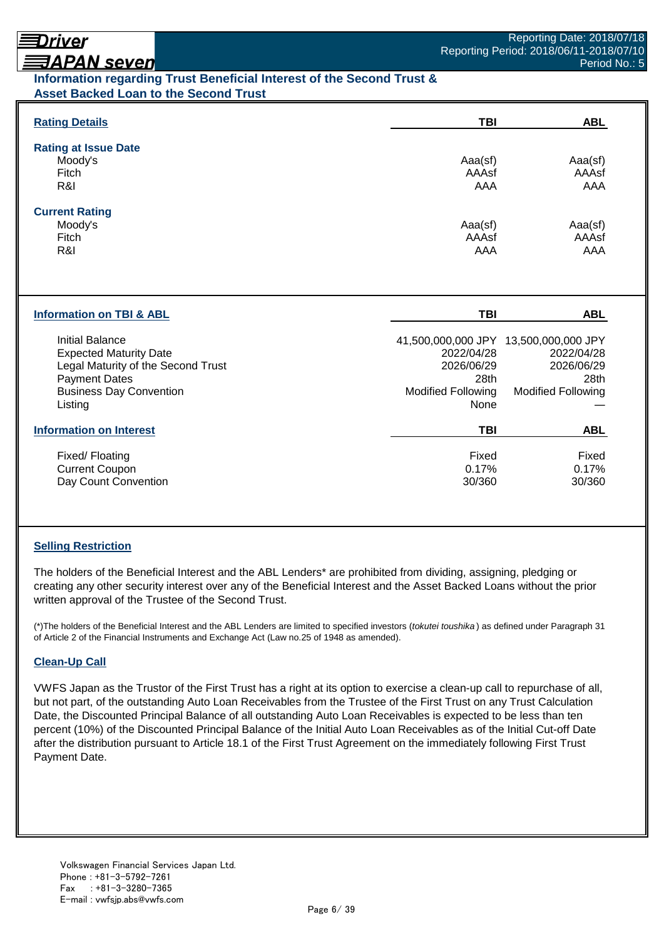# Driver

# **ヨAPAN seven**

## **Information regarding Trust Beneficial Interest of the Second Trust & Asset Backed Loan to the Second Trust**

| <b>Rating Details</b>                                                                                                                                              | <b>TBI</b>                                                            | <b>ABL</b>                                                                                             |
|--------------------------------------------------------------------------------------------------------------------------------------------------------------------|-----------------------------------------------------------------------|--------------------------------------------------------------------------------------------------------|
| <b>Rating at Issue Date</b><br>Moody's<br>Fitch<br>R&I                                                                                                             | Aaa(sf)<br>AAAsf<br>AAA                                               | Aaa(sf)<br>AAAsf<br>AAA                                                                                |
| <b>Current Rating</b><br>Moody's<br>Fitch<br>R&I                                                                                                                   | Aaa(sf)<br>AAAsf<br>AAA                                               | Aaa(sf)<br>AAAsf<br>AAA                                                                                |
| <b>Information on TBI &amp; ABL</b>                                                                                                                                | <b>TBI</b>                                                            | <b>ABL</b>                                                                                             |
| <b>Initial Balance</b><br><b>Expected Maturity Date</b><br>Legal Maturity of the Second Trust<br><b>Payment Dates</b><br><b>Business Day Convention</b><br>Listing | 2022/04/28<br>2026/06/29<br>28th<br><b>Modified Following</b><br>None | 41,500,000,000 JPY 13,500,000,000 JPY<br>2022/04/28<br>2026/06/29<br>28th<br><b>Modified Following</b> |
| <b>Information on Interest</b>                                                                                                                                     | <b>TBI</b>                                                            | <b>ABL</b>                                                                                             |
| Fixed/Floating<br><b>Current Coupon</b><br>Day Count Convention                                                                                                    | Fixed<br>0.17%<br>30/360                                              | Fixed<br>0.17%<br>30/360                                                                               |

## **Selling Restriction**

The holders of the Beneficial Interest and the ABL Lenders\* are prohibited from dividing, assigning, pledging or creating any other security interest over any of the Beneficial Interest and the Asset Backed Loans without the prior written approval of the Trustee of the Second Trust.

(\*)The holders of the Beneficial Interest and the ABL Lenders are limited to specified investors (*tokutei toushika* ) as defined under Paragraph 31 of Article 2 of the Financial Instruments and Exchange Act (Law no.25 of 1948 as amended).

## **Clean-Up Call**

VWFS Japan as the Trustor of the First Trust has a right at its option to exercise a clean-up call to repurchase of all, but not part, of the outstanding Auto Loan Receivables from the Trustee of the First Trust on any Trust Calculation Date, the Discounted Principal Balance of all outstanding Auto Loan Receivables is expected to be less than ten percent (10%) of the Discounted Principal Balance of the Initial Auto Loan Receivables as of the Initial Cut-off Date after the distribution pursuant to Article 18.1 of the First Trust Agreement on the immediately following First Trust Payment Date.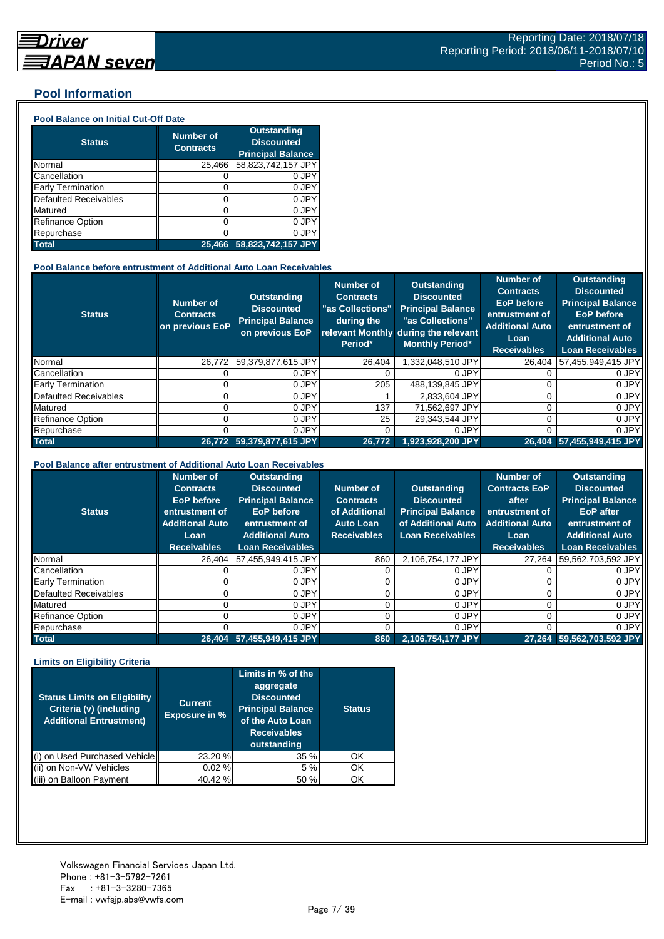## **Pool Information**

#### **Pool Balance on Initial Cut-Off Date**

| <b>Status</b>                | <b>Number of</b><br><b>Contracts</b> | <b>Outstanding</b><br><b>Discounted</b><br><b>Principal Balance</b> |
|------------------------------|--------------------------------------|---------------------------------------------------------------------|
| Normal                       | 25,466                               | 58,823,742,157 JPY                                                  |
| Cancellation                 | O                                    | 0 JPY                                                               |
| Early Termination            | 0                                    | 0 JPY                                                               |
| <b>Defaulted Receivables</b> | 0                                    | 0 JPY                                                               |
| Matured                      | 0                                    | 0 JPY                                                               |
| <b>Refinance Option</b>      | 0                                    | 0 JPY                                                               |
| Repurchase                   | ი                                    | 0 JPY                                                               |
| <b>Total</b>                 | 25.466                               | 58,823,742,157 JPY                                                  |

#### **Pool Balance before entrustment of Additional Auto Loan Receivables**

| <b>Status</b>            | Number of<br><b>Contracts</b><br>on previous EoP | <b>Outstanding</b><br><b>Discounted</b><br><b>Principal Balance</b><br>on previous EoP | <b>Number of</b><br><b>Contracts</b><br>"as Collections"<br>during the<br>Period* | <b>Outstanding</b><br><b>Discounted</b><br><b>Principal Balance</b><br>"as Collections"<br>relevant Monthly during the relevant<br><b>Monthly Period*</b> | <b>Number of</b><br><b>Contracts</b><br><b>EoP</b> before<br>entrustment of<br><b>Additional Auto</b><br>Loan<br><b>Receivables</b> | <b>Outstanding</b><br><b>Discounted</b><br><b>Principal Balance</b><br><b>EoP</b> before<br>entrustment of<br><b>Additional Auto</b><br><b>Loan Receivables</b> |
|--------------------------|--------------------------------------------------|----------------------------------------------------------------------------------------|-----------------------------------------------------------------------------------|-----------------------------------------------------------------------------------------------------------------------------------------------------------|-------------------------------------------------------------------------------------------------------------------------------------|-----------------------------------------------------------------------------------------------------------------------------------------------------------------|
| Normal                   | 26.772                                           | 59,379,877,615 JPY                                                                     | 26.404                                                                            | 1,332,048,510 JPY                                                                                                                                         | 26,404                                                                                                                              | 57,455,949,415 JPY                                                                                                                                              |
| Cancellation             |                                                  | 0 JPY                                                                                  |                                                                                   | 0 JPY                                                                                                                                                     |                                                                                                                                     | 0 JPY                                                                                                                                                           |
| <b>Early Termination</b> |                                                  | 0 JPY                                                                                  | 205                                                                               | 488.139.845 JPY                                                                                                                                           |                                                                                                                                     | 0 JPY                                                                                                                                                           |
| Defaulted Receivables    |                                                  | 0 JPY                                                                                  |                                                                                   | 2.833.604 JPY                                                                                                                                             |                                                                                                                                     | 0 JPY                                                                                                                                                           |
| Matured                  |                                                  | 0 JPY                                                                                  | 137                                                                               | 71,562,697 JPY                                                                                                                                            |                                                                                                                                     | 0 JPY                                                                                                                                                           |
| Refinance Option         |                                                  | 0 JPY                                                                                  | 25                                                                                | 29.343.544 JPY                                                                                                                                            |                                                                                                                                     | 0 JPY                                                                                                                                                           |
| Repurchase               |                                                  | 0 JPY                                                                                  |                                                                                   | 0 JPY                                                                                                                                                     |                                                                                                                                     | 0 JPY                                                                                                                                                           |
| <b>Total</b>             |                                                  | 26.772 59.379.877.615 JPY                                                              | 26,772                                                                            | 1.923.928.200 JPY                                                                                                                                         |                                                                                                                                     | 26.404 57.455.949.415 JPY                                                                                                                                       |

#### **Pool Balance after entrustment of Additional Auto Loan Receivables**

| <b>Status</b>            | <b>Number of</b><br><b>Contracts</b><br>EoP before<br>entrustment of<br><b>Additional Auto</b><br>Loan<br><b>Receivables</b> | <b>Outstanding</b><br><b>Discounted</b><br><b>Principal Balance</b><br><b>EoP</b> before<br>entrustment of<br><b>Additional Auto</b><br><b>Loan Receivables</b> | Number of<br><b>Contracts</b><br>of Additional<br><b>Auto Loan</b><br><b>Receivables</b> | <b>Outstanding</b><br><b>Discounted</b><br><b>Principal Balance</b><br>of Additional Auto<br><b>Loan Receivables</b> | <b>Number of</b><br><b>Contracts EoP</b><br>after<br>entrustment of<br><b>Additional Auto</b><br>Loan<br><b>Receivables</b> | <b>Outstanding</b><br><b>Discounted</b><br><b>Principal Balance</b><br><b>EoP</b> after<br>entrustment of<br><b>Additional Auto</b><br><b>Loan Receivables</b> |
|--------------------------|------------------------------------------------------------------------------------------------------------------------------|-----------------------------------------------------------------------------------------------------------------------------------------------------------------|------------------------------------------------------------------------------------------|----------------------------------------------------------------------------------------------------------------------|-----------------------------------------------------------------------------------------------------------------------------|----------------------------------------------------------------------------------------------------------------------------------------------------------------|
| Normal                   | 26,404                                                                                                                       | 57,455,949,415 JPY                                                                                                                                              | 860                                                                                      | 2,106,754,177 JPY                                                                                                    | 27,264                                                                                                                      | 59,562,703,592 JPY                                                                                                                                             |
| Cancellation             |                                                                                                                              | 0 JPY                                                                                                                                                           |                                                                                          | 0 JPY                                                                                                                |                                                                                                                             | 0 JPY                                                                                                                                                          |
| <b>Early Termination</b> |                                                                                                                              | 0 JPY                                                                                                                                                           |                                                                                          | 0 JPY                                                                                                                |                                                                                                                             | 0 JPY                                                                                                                                                          |
| Defaulted Receivables    |                                                                                                                              | 0 JPY                                                                                                                                                           |                                                                                          | 0 JPY                                                                                                                |                                                                                                                             | 0 JPY                                                                                                                                                          |
| Matured                  |                                                                                                                              | 0 JPY                                                                                                                                                           |                                                                                          | 0 JPY                                                                                                                |                                                                                                                             | 0 JPY                                                                                                                                                          |
| <b>Refinance Option</b>  |                                                                                                                              | 0 JPY                                                                                                                                                           |                                                                                          | 0 JPY                                                                                                                |                                                                                                                             | 0 JPY                                                                                                                                                          |
| Repurchase               |                                                                                                                              | 0 JPY                                                                                                                                                           |                                                                                          | 0 JPY                                                                                                                |                                                                                                                             | 0 JPY                                                                                                                                                          |
| <b>Total</b>             |                                                                                                                              | 26,404 57,455,949,415 JPY                                                                                                                                       | 860                                                                                      | 2,106,754,177 JPY                                                                                                    | 27.264                                                                                                                      | 59,562,703,592 JPY                                                                                                                                             |

#### **Limits on Eligibility Criteria**

| <b>Status Limits on Eligibility</b><br>Criteria (v) (including<br><b>Additional Entrustment)</b> | <b>Current</b><br><b>Exposure in %</b> | Limits in $\overline{\%}$ of the<br>aggregate<br><b>Discounted</b><br><b>Principal Balance</b><br>of the Auto Loan<br><b>Receivables</b><br>outstanding | <b>Status</b> |
|--------------------------------------------------------------------------------------------------|----------------------------------------|---------------------------------------------------------------------------------------------------------------------------------------------------------|---------------|
| on Used Purchased Vehicle                                                                        | 23.20 %                                | 35%                                                                                                                                                     | OK            |
| on Non-VW Vehicles                                                                               | 0.02%                                  | 5 %                                                                                                                                                     | OK            |
| on Balloon Payment                                                                               | 40.42 %                                | 50 %                                                                                                                                                    | OK            |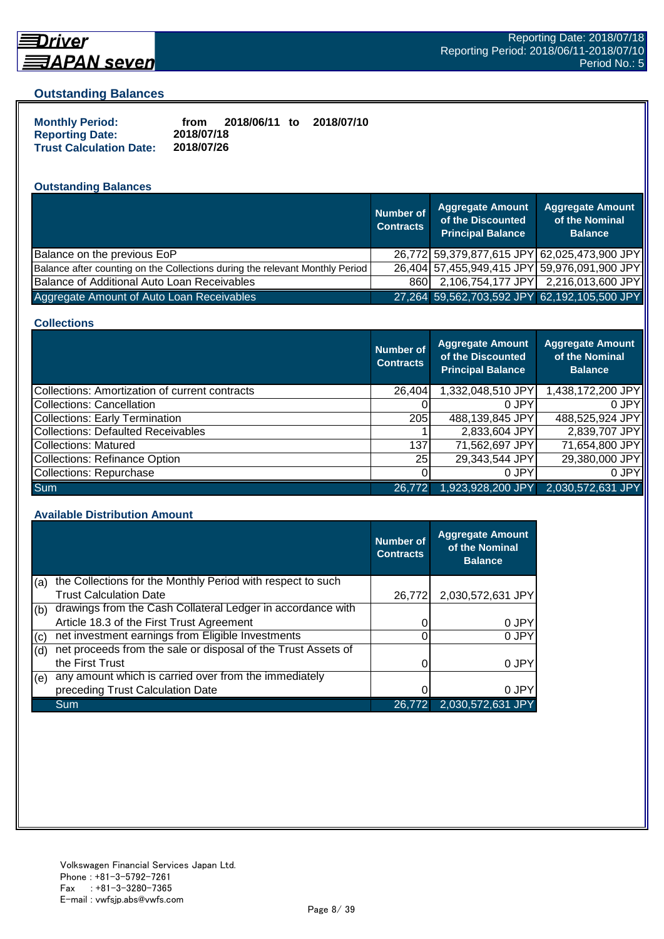

## **Driver**

#### **Outstanding Balances**

| <b>Monthly Period:</b>         | from       | 2018/06/11 to | 2018/07/10 |
|--------------------------------|------------|---------------|------------|
| <b>Reporting Date:</b>         | 2018/07/18 |               |            |
| <b>Trust Calculation Date:</b> | 2018/07/26 |               |            |

## **Outstanding Balances**

|                                                                              | <b>Number of</b><br><b>Contracts</b> | <b>Aggregate Amount</b><br>of the Discounted<br><b>Principal Balance</b> | <b>Aggregate Amount</b><br>of the Nominal<br><b>Balance</b> |
|------------------------------------------------------------------------------|--------------------------------------|--------------------------------------------------------------------------|-------------------------------------------------------------|
| Balance on the previous EoP                                                  |                                      |                                                                          | 26,772 59,379,877,615 JPY 62,025,473,900 JPY                |
| Balance after counting on the Collections during the relevant Monthly Period |                                      | 26,404 57,455,949,415 JPY 59,976,091,900 JPY                             |                                                             |
| Balance of Additional Auto Loan Receivables                                  | 860I                                 |                                                                          | 2,106,754,177 JPY 2,216,013,600 JPY                         |
| Aggregate Amount of Auto Loan Receivables                                    |                                      | 27,264 59,562,703,592 JPY 62,192,105,500 JPY                             |                                                             |

#### **Collections**

|                                                | <b>Number of</b><br><b>Contracts</b> | <b>Aggregate Amount</b><br>of the Discounted<br><b>Principal Balance</b> | <b>Aggregate Amount</b><br>of the Nominal<br><b>Balance</b> |
|------------------------------------------------|--------------------------------------|--------------------------------------------------------------------------|-------------------------------------------------------------|
| Collections: Amortization of current contracts | 26,404                               | 1,332,048,510 JPY                                                        | 1,438,172,200 JPY                                           |
| Collections: Cancellation                      |                                      | 0 JPY                                                                    | 0.JPY                                                       |
| Collections: Early Termination                 | 205                                  | 488,139,845 JPY                                                          | 488,525,924 JPY                                             |
| <b>Collections: Defaulted Receivables</b>      |                                      | 2,833,604 JPY                                                            | 2,839,707 JPY                                               |
| Collections: Matured                           | 137                                  | 71,562,697 JPY                                                           | 71,654,800 JPY                                              |
| Collections: Refinance Option                  | <b>25</b>                            | 29,343,544 JPY                                                           | 29,380,000 JPY                                              |
| Collections: Repurchase                        |                                      | 0 JPY                                                                    | 0 JPY                                                       |
| <b>Sum</b>                                     | 26,772                               | 1,923,928,200 JPY                                                        | 2,030,572,631 JPY                                           |

#### **Available Distribution Amount**

|     |                                                               | <b>Number of</b><br><b>Contracts</b> | <b>Aggregate Amount</b><br>of the Nominal<br><b>Balance</b> |
|-----|---------------------------------------------------------------|--------------------------------------|-------------------------------------------------------------|
| (a) | the Collections for the Monthly Period with respect to such   |                                      |                                                             |
|     | <b>Trust Calculation Date</b>                                 | 26,772                               | 2,030,572,631 JPY                                           |
| (b) | drawings from the Cash Collateral Ledger in accordance with   |                                      |                                                             |
|     | Article 18.3 of the First Trust Agreement                     |                                      | 0 JPY                                                       |
| (c) | net investment earnings from Eligible Investments             |                                      | 0 JPY                                                       |
| (d) | net proceeds from the sale or disposal of the Trust Assets of |                                      |                                                             |
|     | the First Trust                                               |                                      | 0 JPY                                                       |
| (e) | any amount which is carried over from the immediately         |                                      |                                                             |
|     | preceding Trust Calculation Date                              |                                      | 0 JPY                                                       |
|     | Sum                                                           | 26,772                               | 2,030,572,631 JPY                                           |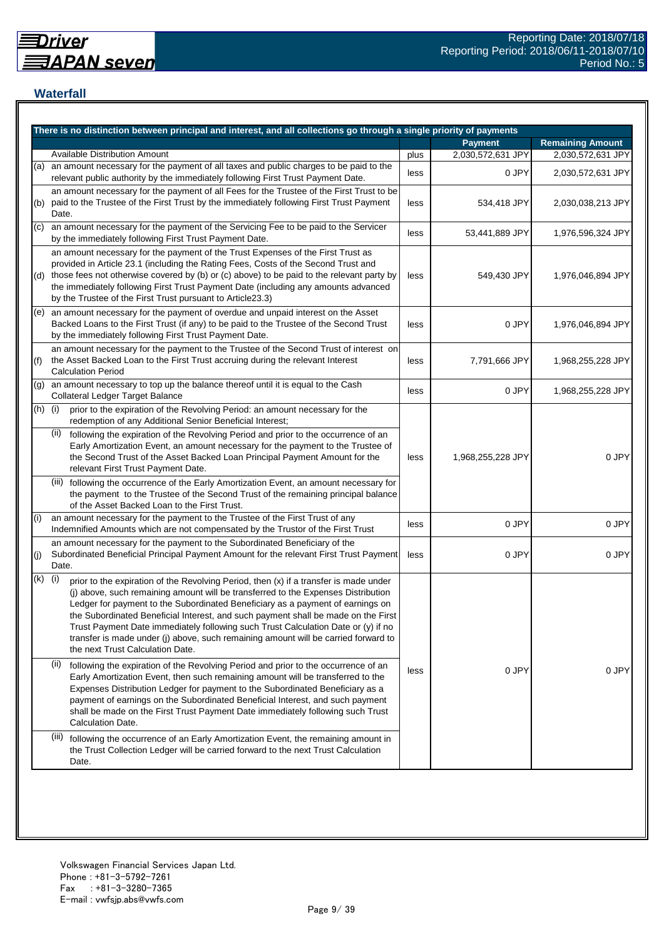## **Waterfall**

|           | There is no distinction between principal and interest, and all collections go through a single priority of payments                                                                                                                                                                                                                                                                                                                                                                                                                                                    |      |                   |                         |
|-----------|-------------------------------------------------------------------------------------------------------------------------------------------------------------------------------------------------------------------------------------------------------------------------------------------------------------------------------------------------------------------------------------------------------------------------------------------------------------------------------------------------------------------------------------------------------------------------|------|-------------------|-------------------------|
|           |                                                                                                                                                                                                                                                                                                                                                                                                                                                                                                                                                                         |      | <b>Payment</b>    | <b>Remaining Amount</b> |
|           | Available Distribution Amount                                                                                                                                                                                                                                                                                                                                                                                                                                                                                                                                           | plus | 2,030,572,631 JPY | 2,030,572,631 JPY       |
| (a)       | an amount necessary for the payment of all taxes and public charges to be paid to the<br>relevant public authority by the immediately following First Trust Payment Date.                                                                                                                                                                                                                                                                                                                                                                                               | less | 0 JPY             | 2,030,572,631 JPY       |
| (b)       | an amount necessary for the payment of all Fees for the Trustee of the First Trust to be<br>paid to the Trustee of the First Trust by the immediately following First Trust Payment<br>Date.                                                                                                                                                                                                                                                                                                                                                                            | less | 534,418 JPY       | 2,030,038,213 JPY       |
| (c)       | an amount necessary for the payment of the Servicing Fee to be paid to the Servicer<br>by the immediately following First Trust Payment Date.                                                                                                                                                                                                                                                                                                                                                                                                                           | less | 53,441,889 JPY    | 1,976,596,324 JPY       |
|           | an amount necessary for the payment of the Trust Expenses of the First Trust as<br>provided in Article 23.1 (including the Rating Fees, Costs of the Second Trust and<br>(d) those fees not otherwise covered by (b) or (c) above) to be paid to the relevant party by<br>the immediately following First Trust Payment Date (including any amounts advanced<br>by the Trustee of the First Trust pursuant to Article23.3)                                                                                                                                              | less | 549,430 JPY       | 1,976,046,894 JPY       |
|           | (e) an amount necessary for the payment of overdue and unpaid interest on the Asset<br>Backed Loans to the First Trust (if any) to be paid to the Trustee of the Second Trust<br>by the immediately following First Trust Payment Date.                                                                                                                                                                                                                                                                                                                                 | less | 0 JPY             | 1,976,046,894 JPY       |
| (f)       | an amount necessary for the payment to the Trustee of the Second Trust of interest on<br>the Asset Backed Loan to the First Trust accruing during the relevant Interest<br><b>Calculation Period</b>                                                                                                                                                                                                                                                                                                                                                                    | less | 7,791,666 JPY     | 1,968,255,228 JPY       |
| (g)       | an amount necessary to top up the balance thereof until it is equal to the Cash<br>Collateral Ledger Target Balance                                                                                                                                                                                                                                                                                                                                                                                                                                                     | less | 0 JPY             | 1,968,255,228 JPY       |
| $(h)$ (i) | prior to the expiration of the Revolving Period: an amount necessary for the<br>redemption of any Additional Senior Beneficial Interest;                                                                                                                                                                                                                                                                                                                                                                                                                                |      |                   |                         |
|           | (ii)<br>following the expiration of the Revolving Period and prior to the occurrence of an<br>Early Amortization Event, an amount necessary for the payment to the Trustee of<br>the Second Trust of the Asset Backed Loan Principal Payment Amount for the<br>relevant First Trust Payment Date.                                                                                                                                                                                                                                                                       | less | 1,968,255,228 JPY | 0 JPY                   |
|           | (iii) following the occurrence of the Early Amortization Event, an amount necessary for<br>the payment to the Trustee of the Second Trust of the remaining principal balance<br>of the Asset Backed Loan to the First Trust.                                                                                                                                                                                                                                                                                                                                            |      |                   |                         |
| (i)       | an amount necessary for the payment to the Trustee of the First Trust of any<br>Indemnified Amounts which are not compensated by the Trustor of the First Trust                                                                                                                                                                                                                                                                                                                                                                                                         | less | 0 JPY             | 0 JPY                   |
| (i)       | an amount necessary for the payment to the Subordinated Beneficiary of the<br>Subordinated Beneficial Principal Payment Amount for the relevant First Trust Payment<br>Date.                                                                                                                                                                                                                                                                                                                                                                                            | less | 0 JPY             | 0 JPY                   |
| (k)       | (i)<br>prior to the expiration of the Revolving Period, then (x) if a transfer is made under<br>(j) above, such remaining amount will be transferred to the Expenses Distribution<br>Ledger for payment to the Subordinated Beneficiary as a payment of earnings on<br>the Subordinated Beneficial Interest, and such payment shall be made on the First<br>Trust Payment Date immediately following such Trust Calculation Date or (y) if no<br>transfer is made under (j) above, such remaining amount will be carried forward to<br>the next Trust Calculation Date. |      |                   |                         |
|           | (ii)<br>following the expiration of the Revolving Period and prior to the occurrence of an<br>Early Amortization Event, then such remaining amount will be transferred to the<br>Expenses Distribution Ledger for payment to the Subordinated Beneficiary as a<br>payment of earnings on the Subordinated Beneficial Interest, and such payment<br>shall be made on the First Trust Payment Date immediately following such Trust<br>Calculation Date.                                                                                                                  | less | 0 JPY             | 0 JPY                   |
|           | (iii) following the occurrence of an Early Amortization Event, the remaining amount in<br>the Trust Collection Ledger will be carried forward to the next Trust Calculation<br>Date.                                                                                                                                                                                                                                                                                                                                                                                    |      |                   |                         |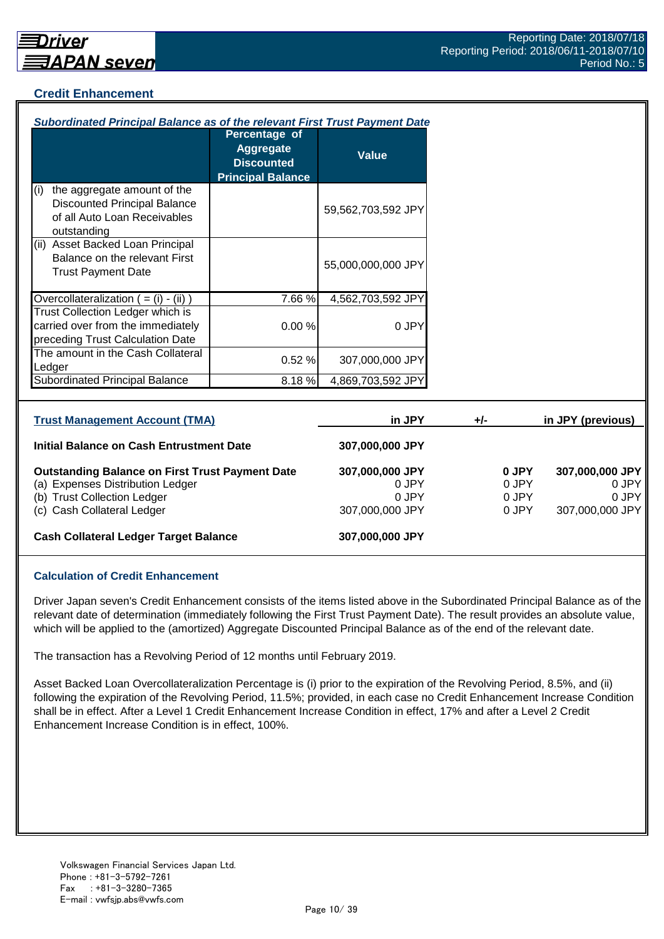## **Credit Enhancement**

| Subordinated Principal Balance as of the relevant First Trust Payment Date                                                                              |                                                                                    |                                                      |                                  |                                                      |
|---------------------------------------------------------------------------------------------------------------------------------------------------------|------------------------------------------------------------------------------------|------------------------------------------------------|----------------------------------|------------------------------------------------------|
|                                                                                                                                                         | Percentage of<br><b>Aggregate</b><br><b>Discounted</b><br><b>Principal Balance</b> | <b>Value</b>                                         |                                  |                                                      |
| the aggregate amount of the<br>(i)<br><b>Discounted Principal Balance</b><br>of all Auto Loan Receivables<br>outstanding                                |                                                                                    | 59,562,703,592 JPY                                   |                                  |                                                      |
| (ii) Asset Backed Loan Principal<br>Balance on the relevant First<br><b>Trust Payment Date</b>                                                          |                                                                                    | 55,000,000,000 JPY                                   |                                  |                                                      |
| Overcollateralization $($ = $(i)$ - $(ii)$ )                                                                                                            | 7.66%                                                                              | 4,562,703,592 JPY                                    |                                  |                                                      |
| <b>Trust Collection Ledger which is</b><br>carried over from the immediately<br>preceding Trust Calculation Date                                        | 0.00%                                                                              | 0 JPY                                                |                                  |                                                      |
| The amount in the Cash Collateral<br>Ledger                                                                                                             | 0.52 %                                                                             | 307,000,000 JPY                                      |                                  |                                                      |
| <b>Subordinated Principal Balance</b>                                                                                                                   | 8.18%                                                                              | 4,869,703,592 JPY                                    |                                  |                                                      |
| <b>Trust Management Account (TMA)</b>                                                                                                                   |                                                                                    | in JPY                                               | +/-                              | in JPY (previous)                                    |
| Initial Balance on Cash Entrustment Date                                                                                                                |                                                                                    | 307,000,000 JPY                                      |                                  |                                                      |
| <b>Outstanding Balance on First Trust Payment Date</b><br>(a) Expenses Distribution Ledger<br>(b) Trust Collection Ledger<br>(c) Cash Collateral Ledger |                                                                                    | 307,000,000 JPY<br>0 JPY<br>0 JPY<br>307,000,000 JPY | 0 JPY<br>0 JPY<br>0 JPY<br>0 JPY | 307,000,000 JPY<br>0 JPY<br>0 JPY<br>307,000,000 JPY |
| <b>Cash Collateral Ledger Target Balance</b>                                                                                                            |                                                                                    | 307,000,000 JPY                                      |                                  |                                                      |

#### **Calculation of Credit Enhancement**

Driver Japan seven's Credit Enhancement consists of the items listed above in the Subordinated Principal Balance as of the relevant date of determination (immediately following the First Trust Payment Date). The result provides an absolute value, which will be applied to the (amortized) Aggregate Discounted Principal Balance as of the end of the relevant date.

The transaction has a Revolving Period of 12 months until February 2019.

Asset Backed Loan Overcollateralization Percentage is (i) prior to the expiration of the Revolving Period, 8.5%, and (ii) following the expiration of the Revolving Period, 11.5%; provided, in each case no Credit Enhancement Increase Condition shall be in effect. After a Level 1 Credit Enhancement Increase Condition in effect, 17% and after a Level 2 Credit Enhancement Increase Condition is in effect, 100%.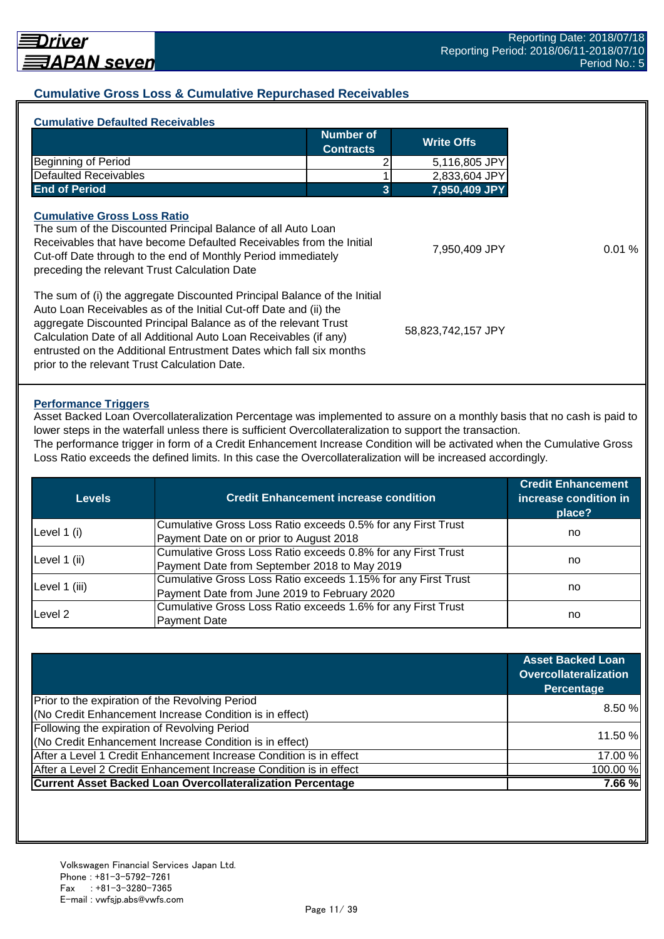## **Cumulative Gross Loss & Cumulative Repurchased Receivables**

|                                                                                                                                                                                                                                                                                             | Number of<br><b>Contracts</b> | <b>Write Offs</b>  |
|---------------------------------------------------------------------------------------------------------------------------------------------------------------------------------------------------------------------------------------------------------------------------------------------|-------------------------------|--------------------|
| <b>Beginning of Period</b>                                                                                                                                                                                                                                                                  |                               | 5,116,805 JPY      |
| <b>Defaulted Receivables</b>                                                                                                                                                                                                                                                                |                               | 2,833,604 JPY      |
| <b>End of Period</b>                                                                                                                                                                                                                                                                        | 3                             | 7,950,409 JPY      |
| <b>Cumulative Gross Loss Ratio</b><br>The sum of the Discounted Principal Balance of all Auto Loan<br>Receivables that have become Defaulted Receivables from the Initial<br>Cut-off Date through to the end of Monthly Period immediately<br>preceding the relevant Trust Calculation Date |                               | 7,950,409 JPY      |
| The sum of (i) the aggregate Discounted Principal Balance of the Initial<br>Auto Loan Receivables as of the Initial Cut-off Date and (ii) the<br>aggregate Discounted Principal Balance as of the relevant Trust<br>Calculation Date of all Additional Auto Loan Receivables (if any)       |                               | 58,823,742,157 JPY |

#### **Performance Triggers**

Asset Backed Loan Overcollateralization Percentage was implemented to assure on a monthly basis that no cash is paid to lower steps in the waterfall unless there is sufficient Overcollateralization to support the transaction. The performance trigger in form of a Credit Enhancement Increase Condition will be activated when the Cumulative Gross

Loss Ratio exceeds the defined limits. In this case the Overcollateralization will be increased accordingly.

| Levels        | <b>Credit Enhancement increase condition</b>                  | <b>Credit Enhancement</b><br>increase condition in<br>place? |  |
|---------------|---------------------------------------------------------------|--------------------------------------------------------------|--|
|               | Cumulative Gross Loss Ratio exceeds 0.5% for any First Trust  |                                                              |  |
| Level 1 (i)   | Payment Date on or prior to August 2018                       | no                                                           |  |
|               | Cumulative Gross Loss Ratio exceeds 0.8% for any First Trust  |                                                              |  |
| Level 1 (ii)  | Payment Date from September 2018 to May 2019                  | no                                                           |  |
|               | Cumulative Gross Loss Ratio exceeds 1.15% for any First Trust |                                                              |  |
| Level 1 (iii) | Payment Date from June 2019 to February 2020                  | no                                                           |  |
| Level 2       | Cumulative Gross Loss Ratio exceeds 1.6% for any First Trust  |                                                              |  |
|               | <b>Payment Date</b>                                           | no                                                           |  |

|                                                                    | <b>Asset Backed Loan</b><br>Overcollateralization<br><b>Percentage</b> |
|--------------------------------------------------------------------|------------------------------------------------------------------------|
| Prior to the expiration of the Revolving Period                    | 8.50%                                                                  |
| (No Credit Enhancement Increase Condition is in effect)            |                                                                        |
| Following the expiration of Revolving Period                       |                                                                        |
| (No Credit Enhancement Increase Condition is in effect)            | 11.50 %                                                                |
| After a Level 1 Credit Enhancement Increase Condition is in effect | 17.00 %                                                                |
| After a Level 2 Credit Enhancement Increase Condition is in effect | 100.00%                                                                |
| <b>Current Asset Backed Loan Overcollateralization Percentage</b>  | 7.66 %                                                                 |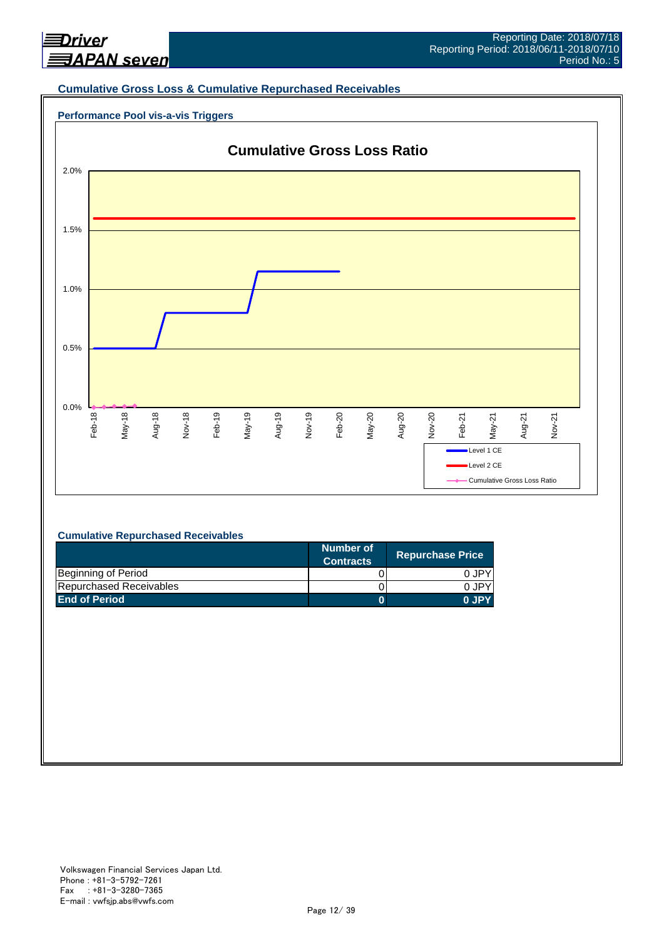

#### **Cumulative Gross Loss & Cumulative Repurchased Receivables**

## **Performance Pool vis-a-vis Triggers**



#### **Cumulative Repurchased Receivables**

|                         | Number of<br><b>Contracts</b> | <b>Repurchase Price</b> |
|-------------------------|-------------------------------|-------------------------|
| Beginning of Period     |                               | 0 JPY                   |
| Repurchased Receivables |                               | 0.JPY                   |
| <b>End of Period</b>    |                               | 0 JPY                   |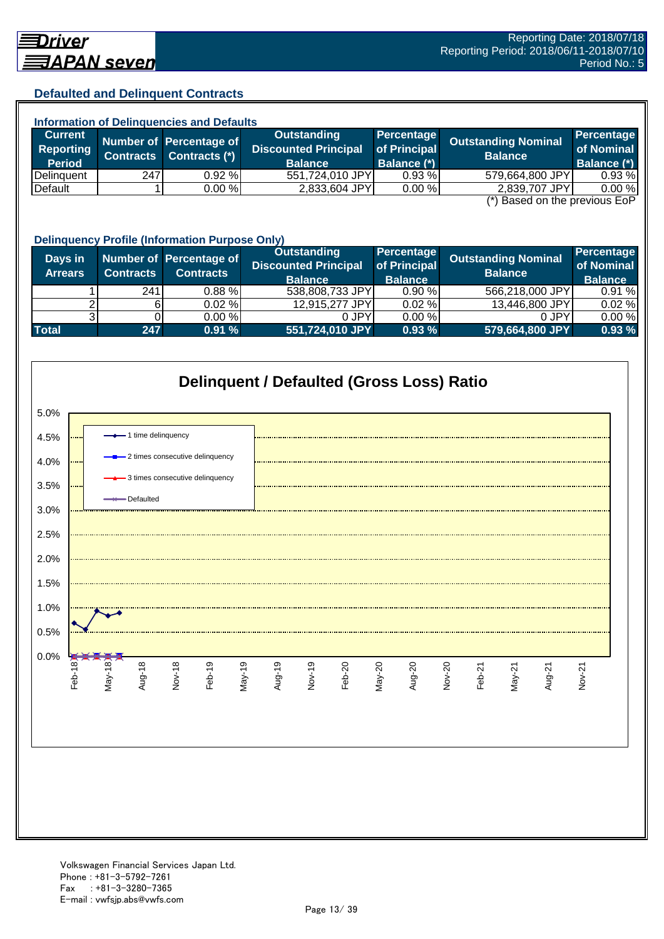## **Defaulted and Delinquent Contracts**

| <b>Information of Delinquencies and Defaults</b>                          |                  |                         |                             |              |                            |                    |  |
|---------------------------------------------------------------------------|------------------|-------------------------|-----------------------------|--------------|----------------------------|--------------------|--|
| <b>Current</b>                                                            |                  | Number of Percentage of | Outstanding                 | Percentage   | <b>Outstanding Nominal</b> | Percentage         |  |
| <b>Reporting</b>                                                          | <b>Contracts</b> | Contracts (*)           | <b>Discounted Principal</b> | of Principal | <b>Balance</b>             | of Nominal         |  |
| <b>Period</b>                                                             |                  |                         | <b>Balance</b>              | Balance (*)  |                            | <b>Balance (*)</b> |  |
| Delinquent                                                                | 247              | 0.92%                   | 551,724,010 JPY             | 0.93%        | 579,664,800 JPY            | 0.93%              |  |
| Default                                                                   |                  | 0.00%                   | 2,833,604 JPY               | 0.00 %       | 2,839,707 JPY              | 0.00 %             |  |
| $\left( \star \right)$ Docad on the provising $\mathsf{L}\circ\mathsf{D}$ |                  |                         |                             |              |                            |                    |  |

(\*) Based on the previous EoP

|                           | <b>Delinquency Profile (Information Purpose Only)</b> |                                             |                                                                     |                                              |                                              |                                                   |  |  |  |
|---------------------------|-------------------------------------------------------|---------------------------------------------|---------------------------------------------------------------------|----------------------------------------------|----------------------------------------------|---------------------------------------------------|--|--|--|
| Days in<br><b>Arrears</b> | <b>Contracts</b>                                      | Number of Percentage of<br><b>Contracts</b> | <b>Outstanding</b><br><b>Discounted Principal</b><br><b>Balance</b> | Percentage<br>of Principal<br><b>Balance</b> | <b>Outstanding Nominal</b><br><b>Balance</b> | <b>Percentage</b><br>of Nominal<br><b>Balance</b> |  |  |  |
|                           | 241                                                   | $0.88 \%$                                   | 538,808,733 JPY                                                     | 0.90%                                        | 566,218,000 JPY                              | 0.91%                                             |  |  |  |
|                           |                                                       | 0.02%                                       | 12,915,277 JPY                                                      | 0.02%                                        | 13,446,800 JPY                               | 0.02%                                             |  |  |  |
|                           |                                                       | 0.00 %                                      | 0 JPY                                                               | 0.00%                                        | 0 JPY                                        | 0.00%                                             |  |  |  |
| <b>Total</b>              | 247                                                   | 0.91%                                       | 551,724,010 JPY                                                     | 0.93%                                        | 579,664,800 JPY                              | 0.93%                                             |  |  |  |

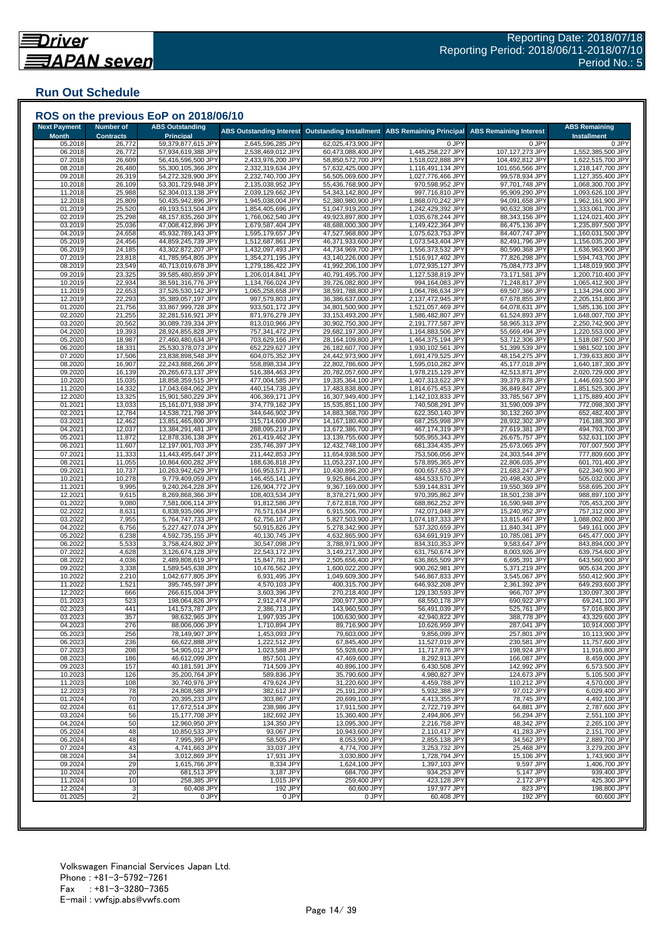## **Run Out Schedule**

| <b>Month</b><br>05.2018<br>06.2018<br>07.2018<br>08.2018<br>09.2018<br>10.2018<br>11.2018<br>12.2018<br>01.2019<br>02.2019<br>03.2019<br>04.2019<br>05.2019<br>06.2019<br>07.2019<br>08.2019<br>09.2019<br>10.2019<br>11.2019<br>12.2019<br>01.2020<br>02.2020 | <b>Contracts</b><br>26,772<br>26,772<br>26,609<br>26,480<br>26,319<br>26,109<br>25,988<br>25,809<br>25,520<br>25,298<br>25,036<br>24,658<br>24,456<br>24,185<br>23,818<br>23,549<br>23,325<br>22,934<br>22,653<br>22,293 | <b>Principal</b><br>59,379,877,615 JPY<br>57,934,619,388 JPY<br>56,416,596,500 JPY<br>55,300,105,366 JPY<br>54,272,328,900 JPY<br>53,301,729,948 JPY<br>52,304,013,138 JPY<br>50,435,942,896 JPY<br>49,193,513,504 JPY<br>48,157,835,260 JPY<br>47,008,412,896 JPY<br>45,932,789,143 JPY<br>44,859,245,739 JPY<br>43,302,872,207 JPY<br>41,785,954,805 JPY<br>40,713,019,678 JPY<br>39,585,480,859 JPY | 2,645,596,285 JPY<br>2,538,469,012 JPY<br>2,433,976,200 JPY<br>2,332,319,634 JPY<br>2,232,740,700 JPY<br>2,135,038,952 JPY<br>2,039,129,662 JPY<br>1,945,038,004 JPY<br>1,854,405,696 JPY<br>1,766,062,540 JPY<br>1,679,587,404 JPY<br>1,595,179,657 JPY<br>1,512,687,861 JPY<br>1,432,097,493 JPY | 62,025,473,900 JPY<br>60,473,088,400 JPY<br>58,850,572,700 JPY<br>57,632,425,000 JPY<br>56,505,069,600 JPY<br>55,436,768,900 JPY<br>54,343,142,800 JPY<br>52,380,980,900 JPY<br>51,047,919,200 JPY<br>49,923,897,800 JPY<br>48,688,000,300 JPY<br>47,527,968,800 JPY<br>46,371,933,600 JPY | 0 JPY<br>1,445,258,227 JPY<br>1,518,022,888 JPY<br>1,116,491,134 JPY<br>1,027,776,466 JPY<br>970,598,952 JPY<br>997,716,810 JPY<br>1,868,070,242 JPY<br>1,242,429,392 JPY<br>1,035,678,244 JPY<br>1,149,422,364 JPY | 0 JPY<br>107,127,273 JPY<br>104,492,812 JPY<br>101,656,566 JPY<br>99,578,934 JPY<br>97,701,748 JPY<br>95,909,290 JPY<br>94,091,658 JPY<br>90,632,308 JPY<br>88,343,156 JPY | <b>Installment</b><br>0 JPY<br>1,552,385,500 JPY<br>1,622,515,700 JPY<br>1,218,147,700 JPY<br>1,127,355,400 JPY<br>1,068,300,700 JPY<br>1,093,626,100 JPY<br>1,962,161,900 JPY<br>1,333,061,700 JPY |
|----------------------------------------------------------------------------------------------------------------------------------------------------------------------------------------------------------------------------------------------------------------|--------------------------------------------------------------------------------------------------------------------------------------------------------------------------------------------------------------------------|--------------------------------------------------------------------------------------------------------------------------------------------------------------------------------------------------------------------------------------------------------------------------------------------------------------------------------------------------------------------------------------------------------|----------------------------------------------------------------------------------------------------------------------------------------------------------------------------------------------------------------------------------------------------------------------------------------------------|--------------------------------------------------------------------------------------------------------------------------------------------------------------------------------------------------------------------------------------------------------------------------------------------|---------------------------------------------------------------------------------------------------------------------------------------------------------------------------------------------------------------------|----------------------------------------------------------------------------------------------------------------------------------------------------------------------------|-----------------------------------------------------------------------------------------------------------------------------------------------------------------------------------------------------|
|                                                                                                                                                                                                                                                                |                                                                                                                                                                                                                          |                                                                                                                                                                                                                                                                                                                                                                                                        |                                                                                                                                                                                                                                                                                                    |                                                                                                                                                                                                                                                                                            |                                                                                                                                                                                                                     |                                                                                                                                                                            |                                                                                                                                                                                                     |
|                                                                                                                                                                                                                                                                |                                                                                                                                                                                                                          |                                                                                                                                                                                                                                                                                                                                                                                                        |                                                                                                                                                                                                                                                                                                    |                                                                                                                                                                                                                                                                                            |                                                                                                                                                                                                                     |                                                                                                                                                                            |                                                                                                                                                                                                     |
|                                                                                                                                                                                                                                                                |                                                                                                                                                                                                                          |                                                                                                                                                                                                                                                                                                                                                                                                        |                                                                                                                                                                                                                                                                                                    |                                                                                                                                                                                                                                                                                            |                                                                                                                                                                                                                     |                                                                                                                                                                            |                                                                                                                                                                                                     |
|                                                                                                                                                                                                                                                                |                                                                                                                                                                                                                          |                                                                                                                                                                                                                                                                                                                                                                                                        |                                                                                                                                                                                                                                                                                                    |                                                                                                                                                                                                                                                                                            |                                                                                                                                                                                                                     |                                                                                                                                                                            |                                                                                                                                                                                                     |
|                                                                                                                                                                                                                                                                |                                                                                                                                                                                                                          |                                                                                                                                                                                                                                                                                                                                                                                                        |                                                                                                                                                                                                                                                                                                    |                                                                                                                                                                                                                                                                                            |                                                                                                                                                                                                                     |                                                                                                                                                                            |                                                                                                                                                                                                     |
|                                                                                                                                                                                                                                                                |                                                                                                                                                                                                                          |                                                                                                                                                                                                                                                                                                                                                                                                        |                                                                                                                                                                                                                                                                                                    |                                                                                                                                                                                                                                                                                            |                                                                                                                                                                                                                     |                                                                                                                                                                            |                                                                                                                                                                                                     |
|                                                                                                                                                                                                                                                                |                                                                                                                                                                                                                          |                                                                                                                                                                                                                                                                                                                                                                                                        |                                                                                                                                                                                                                                                                                                    |                                                                                                                                                                                                                                                                                            |                                                                                                                                                                                                                     |                                                                                                                                                                            |                                                                                                                                                                                                     |
|                                                                                                                                                                                                                                                                |                                                                                                                                                                                                                          |                                                                                                                                                                                                                                                                                                                                                                                                        |                                                                                                                                                                                                                                                                                                    |                                                                                                                                                                                                                                                                                            |                                                                                                                                                                                                                     |                                                                                                                                                                            |                                                                                                                                                                                                     |
|                                                                                                                                                                                                                                                                |                                                                                                                                                                                                                          |                                                                                                                                                                                                                                                                                                                                                                                                        |                                                                                                                                                                                                                                                                                                    |                                                                                                                                                                                                                                                                                            |                                                                                                                                                                                                                     |                                                                                                                                                                            | 1,124,021,400 JPY                                                                                                                                                                                   |
|                                                                                                                                                                                                                                                                |                                                                                                                                                                                                                          |                                                                                                                                                                                                                                                                                                                                                                                                        |                                                                                                                                                                                                                                                                                                    |                                                                                                                                                                                                                                                                                            | 1,075,623,753 JPY                                                                                                                                                                                                   | 86,475,136 JPY                                                                                                                                                             | 1,235,897,500 JPY                                                                                                                                                                                   |
|                                                                                                                                                                                                                                                                |                                                                                                                                                                                                                          |                                                                                                                                                                                                                                                                                                                                                                                                        |                                                                                                                                                                                                                                                                                                    |                                                                                                                                                                                                                                                                                            | 1,073,543,404 JPY                                                                                                                                                                                                   | 84,407,747 JPY<br>82,491,796 JPY                                                                                                                                           | 1,160,031,500 JPY<br>1,156,035,200 JPY                                                                                                                                                              |
|                                                                                                                                                                                                                                                                |                                                                                                                                                                                                                          |                                                                                                                                                                                                                                                                                                                                                                                                        |                                                                                                                                                                                                                                                                                                    | 44,734,969,700 JPY                                                                                                                                                                                                                                                                         | 1,556,373,532 JPY                                                                                                                                                                                                   | 80,590,368 JPY                                                                                                                                                             | 1,636,963,900 JPY                                                                                                                                                                                   |
|                                                                                                                                                                                                                                                                |                                                                                                                                                                                                                          |                                                                                                                                                                                                                                                                                                                                                                                                        | 1,354,271,195 JPY                                                                                                                                                                                                                                                                                  | 43,140,226,000 JPY                                                                                                                                                                                                                                                                         | 1,516,917,402 JPY                                                                                                                                                                                                   | 77,826,298 JPY                                                                                                                                                             | 1,594,743,700 JPY                                                                                                                                                                                   |
|                                                                                                                                                                                                                                                                |                                                                                                                                                                                                                          |                                                                                                                                                                                                                                                                                                                                                                                                        | 1,279,186,422 JPY                                                                                                                                                                                                                                                                                  | 41,992,206,100 JPY                                                                                                                                                                                                                                                                         | 1,072,935,127 JPY                                                                                                                                                                                                   | 75,084,773 JPY                                                                                                                                                             | 1,148,019,900 JPY                                                                                                                                                                                   |
|                                                                                                                                                                                                                                                                |                                                                                                                                                                                                                          |                                                                                                                                                                                                                                                                                                                                                                                                        | 1,206,014,841 JPY                                                                                                                                                                                                                                                                                  | 40,791,495,700 JPY                                                                                                                                                                                                                                                                         | 1,127,538,819 JPY                                                                                                                                                                                                   | 73,171,581 JPY                                                                                                                                                             | 1,200,710,400 JPY                                                                                                                                                                                   |
|                                                                                                                                                                                                                                                                |                                                                                                                                                                                                                          | 38,591,316,776 JPY<br>37,526,530,142 JPY                                                                                                                                                                                                                                                                                                                                                               | 1,134,766,024 JPY<br>1,065,258,658 JPY                                                                                                                                                                                                                                                             | 39,726,082,800 JPY<br>38,591,788,800 JPY                                                                                                                                                                                                                                                   | 994,164,083 JPY<br>1,064,786,634 JPY                                                                                                                                                                                | 71,248,817 JPY<br>69,507,366 JPY                                                                                                                                           | 1,065,412,900 JPY                                                                                                                                                                                   |
|                                                                                                                                                                                                                                                                |                                                                                                                                                                                                                          | 35,389,057,197 JPY                                                                                                                                                                                                                                                                                                                                                                                     | 997,579,803 JPY                                                                                                                                                                                                                                                                                    | 36,386,637,000 JPY                                                                                                                                                                                                                                                                         | 2,137,472,945 JPY                                                                                                                                                                                                   | 67,678,855 JPY                                                                                                                                                             | 1,134,294,000 JPY<br>2,205,151,800 JPY                                                                                                                                                              |
|                                                                                                                                                                                                                                                                | 21,756                                                                                                                                                                                                                   | 33,867,999,728 JPY                                                                                                                                                                                                                                                                                                                                                                                     | 933,501,172 JPY                                                                                                                                                                                                                                                                                    | 34,801,500,900 JPY                                                                                                                                                                                                                                                                         | 1,521,057,469 JPY                                                                                                                                                                                                   | 64,078,631 JPY                                                                                                                                                             | 1,585,136,100 JPY                                                                                                                                                                                   |
|                                                                                                                                                                                                                                                                | 21,255                                                                                                                                                                                                                   | 32,281,516,921 JPY                                                                                                                                                                                                                                                                                                                                                                                     | 871,976,279 JPY                                                                                                                                                                                                                                                                                    | 33,153,493,200 JPY                                                                                                                                                                                                                                                                         | 1,586,482,807 JPY                                                                                                                                                                                                   | 61,524,893 JPY                                                                                                                                                             | 1,648,007,700 JPY                                                                                                                                                                                   |
| 03.2020                                                                                                                                                                                                                                                        | 20,562                                                                                                                                                                                                                   | 30,089,739,334 JPY                                                                                                                                                                                                                                                                                                                                                                                     | 813,010,966 JPY                                                                                                                                                                                                                                                                                    | 30,902,750,300 JPY                                                                                                                                                                                                                                                                         | 2,191,777,587 JPY                                                                                                                                                                                                   | 58,965,313 JPY                                                                                                                                                             | 2,250,742,900 JPY                                                                                                                                                                                   |
| 04.2020                                                                                                                                                                                                                                                        | 19,393                                                                                                                                                                                                                   | 28,924,855,828 JPY                                                                                                                                                                                                                                                                                                                                                                                     | 757,341,472 JPY                                                                                                                                                                                                                                                                                    | 29,682,197,300 JPY                                                                                                                                                                                                                                                                         | 1,164,883,506 JP\                                                                                                                                                                                                   | 55,669,494 JPY                                                                                                                                                             | 1,220,553,000 JPY                                                                                                                                                                                   |
| 05.2020<br>06.2020                                                                                                                                                                                                                                             | 18,987<br>18,331                                                                                                                                                                                                         | 27,460,480,634 JPY<br>25,530,378,073 JPY                                                                                                                                                                                                                                                                                                                                                               | 703,629,166 JPY<br>652,229,627 JPY                                                                                                                                                                                                                                                                 | 28,164,109,800 JPY<br>26,182,607,700 JPY                                                                                                                                                                                                                                                   | 1,464,375,194 JPY<br>1,930,102,561 JPY                                                                                                                                                                              | 53,712,306 JPY<br>51,399,539 JPY                                                                                                                                           | 1,518,087,500 JPY<br>1,981,502,100 JPY                                                                                                                                                              |
| 07.2020                                                                                                                                                                                                                                                        | 17,506                                                                                                                                                                                                                   | 23,838,898,548 JPY                                                                                                                                                                                                                                                                                                                                                                                     | 604,075,352 JPY                                                                                                                                                                                                                                                                                    | 24,442,973,900 JPY                                                                                                                                                                                                                                                                         | 1,691,479,525 JPY                                                                                                                                                                                                   | 48,154,275 JPY                                                                                                                                                             | 1,739,633,800 JPY                                                                                                                                                                                   |
| 08.2020                                                                                                                                                                                                                                                        | 16,907                                                                                                                                                                                                                   | 22,243,888,266 JPY                                                                                                                                                                                                                                                                                                                                                                                     | 558,898,334 JPY                                                                                                                                                                                                                                                                                    | 22,802,786,600 JPY                                                                                                                                                                                                                                                                         | 1,595,010,282 JPY                                                                                                                                                                                                   | 45,177,018 JPY                                                                                                                                                             | 1,640,187,300 JPY                                                                                                                                                                                   |
| 09.2020                                                                                                                                                                                                                                                        | 16,139                                                                                                                                                                                                                   | 20,265,673,137 JPY                                                                                                                                                                                                                                                                                                                                                                                     | 516,384,463 JPY                                                                                                                                                                                                                                                                                    | 20,782,057,600 JPY                                                                                                                                                                                                                                                                         | 1,978,215,129 JPY                                                                                                                                                                                                   | 42,513,871 JPY                                                                                                                                                             | 2,020,729,000 JPY                                                                                                                                                                                   |
| 10.2020                                                                                                                                                                                                                                                        | 15,035                                                                                                                                                                                                                   | 18,858,359,515 JPY                                                                                                                                                                                                                                                                                                                                                                                     | 477,004,585 JPY                                                                                                                                                                                                                                                                                    | 19,335,364,100 JPY                                                                                                                                                                                                                                                                         | 1,407,313,622 JPY                                                                                                                                                                                                   | 39,379,878 JPY                                                                                                                                                             | 1,446,693,500 JPY                                                                                                                                                                                   |
| 11.2020                                                                                                                                                                                                                                                        | 14,332                                                                                                                                                                                                                   | 17,043,684,062 JPY                                                                                                                                                                                                                                                                                                                                                                                     | 440,154,738 JPY                                                                                                                                                                                                                                                                                    | 17,483,838,800 JPY                                                                                                                                                                                                                                                                         | 1,814,675,453 JPY                                                                                                                                                                                                   | 36,849,847 JPY                                                                                                                                                             | 1,851,525,300 JPY                                                                                                                                                                                   |
| 12.2020<br>01.2021                                                                                                                                                                                                                                             | 13,325<br>13,033                                                                                                                                                                                                         | 15,901,580,229 JPY<br>15,161,071,938 JPY                                                                                                                                                                                                                                                                                                                                                               | 406,369,171 JPY<br>374,779,162 JPY                                                                                                                                                                                                                                                                 | 16,307,949,400 JPY<br>15,535,851,100 JPY                                                                                                                                                                                                                                                   | 1,142,103,833 JPY<br>740,508,291 JPY                                                                                                                                                                                | 33,785,567 JPY<br>31,590,009 JPY                                                                                                                                           | 1,175,889,400 JPY<br>772,098,300 JPY                                                                                                                                                                |
| 02.2021                                                                                                                                                                                                                                                        | 12,784                                                                                                                                                                                                                   | 14,538,721,798 JPY                                                                                                                                                                                                                                                                                                                                                                                     | 344,646,902 JPY                                                                                                                                                                                                                                                                                    | 14,883,368,700 JPY                                                                                                                                                                                                                                                                         | 622,350,140 JPY                                                                                                                                                                                                     | 30,132,260 JPY                                                                                                                                                             | 652,482,400 JPY                                                                                                                                                                                     |
| 03.2021                                                                                                                                                                                                                                                        | 12,462                                                                                                                                                                                                                   | 13,851,465,800 JPY                                                                                                                                                                                                                                                                                                                                                                                     | 315,714,600 JPY                                                                                                                                                                                                                                                                                    | 14,167,180,400 JPY                                                                                                                                                                                                                                                                         | 687,255,998 JPY                                                                                                                                                                                                     | 28,932,302 JPY                                                                                                                                                             | 716,188,300 JPY                                                                                                                                                                                     |
| 04.2021                                                                                                                                                                                                                                                        | 12,037                                                                                                                                                                                                                   | 13,384,291,481 JPY                                                                                                                                                                                                                                                                                                                                                                                     | 288,095,219 JPY                                                                                                                                                                                                                                                                                    | 13,672,386,700 JPY                                                                                                                                                                                                                                                                         | 467,174,319 JPY                                                                                                                                                                                                     | 27,619,381 JPY                                                                                                                                                             | 494,793,700 JPY                                                                                                                                                                                     |
| 05.2021                                                                                                                                                                                                                                                        | 11,872                                                                                                                                                                                                                   | 12,878,336,138 JPY                                                                                                                                                                                                                                                                                                                                                                                     | 261,419,462 JPY                                                                                                                                                                                                                                                                                    | 13,139,755,600 JPY                                                                                                                                                                                                                                                                         | 505,955,343 JPY                                                                                                                                                                                                     | 26,675,757 JPY                                                                                                                                                             | 532,631,100 JPY                                                                                                                                                                                     |
| 06.2021                                                                                                                                                                                                                                                        | 11,607                                                                                                                                                                                                                   | 12,197,001,703 JPY                                                                                                                                                                                                                                                                                                                                                                                     | 235,746,397 JPY                                                                                                                                                                                                                                                                                    | 12,432,748,100 JPY                                                                                                                                                                                                                                                                         | 681,334,435 JPY                                                                                                                                                                                                     | 25,673,065 JPY                                                                                                                                                             | 707,007,500 JPY                                                                                                                                                                                     |
| 07.2021<br>08.2021                                                                                                                                                                                                                                             | 11,333<br>11,055                                                                                                                                                                                                         | 11,443,495,647 JPY<br>10,864,600,282 JPY                                                                                                                                                                                                                                                                                                                                                               | 211,442,853 JPY<br>188,636,818 JPY                                                                                                                                                                                                                                                                 | 11,654,938,500 JPY<br>11,053,237,100 JPY                                                                                                                                                                                                                                                   | 753,506,056 JPY<br>578,895,365 JPY                                                                                                                                                                                  | 24,303,544 JPY<br>22,806,035 JPY                                                                                                                                           | 777,809,600 JPY<br>601,701,400 JPY                                                                                                                                                                  |
| 09.2021                                                                                                                                                                                                                                                        | 10,737                                                                                                                                                                                                                   | 10,263,942,629 JPY                                                                                                                                                                                                                                                                                                                                                                                     | 166,953,571 JPY                                                                                                                                                                                                                                                                                    | 10,430,896,200 JPY                                                                                                                                                                                                                                                                         | 600,657,653 JPY                                                                                                                                                                                                     | 21,683,247 JPY                                                                                                                                                             | 622,340,900 JPY                                                                                                                                                                                     |
| 10.2021                                                                                                                                                                                                                                                        | 10,278                                                                                                                                                                                                                   | 9,779,409,059 JPY                                                                                                                                                                                                                                                                                                                                                                                      | 146,455,141 JPY                                                                                                                                                                                                                                                                                    | 9,925,864,200 JPY                                                                                                                                                                                                                                                                          | 484,533,570 JPY                                                                                                                                                                                                     | 20,498,430 JPY                                                                                                                                                             | 505,032,000 JPY                                                                                                                                                                                     |
| 11.2021                                                                                                                                                                                                                                                        | 9,995                                                                                                                                                                                                                    | 9,240,264,228 JPY                                                                                                                                                                                                                                                                                                                                                                                      | 126,904,772 JPY                                                                                                                                                                                                                                                                                    | 9,367,169,000 JPY                                                                                                                                                                                                                                                                          | 539,144,831 JPY                                                                                                                                                                                                     | 19,550,369 JPY                                                                                                                                                             | 558,695,200 JPY                                                                                                                                                                                     |
| 12.2021                                                                                                                                                                                                                                                        | 9,615                                                                                                                                                                                                                    | 8,269,868,366 JPY                                                                                                                                                                                                                                                                                                                                                                                      | 108,403,534 JPY                                                                                                                                                                                                                                                                                    | 8,378,271,900 JPY                                                                                                                                                                                                                                                                          | 970,395,862 JPY                                                                                                                                                                                                     | 18,501,238 JPY                                                                                                                                                             | 988,897,100 JPY                                                                                                                                                                                     |
| 01.2022<br>02.2022                                                                                                                                                                                                                                             | 9,080<br>8,631                                                                                                                                                                                                           | 7,581,006,114 JPY<br>6,838,935,066 JPY                                                                                                                                                                                                                                                                                                                                                                 | 91,812,586 JPY<br>76,571,634 JPY                                                                                                                                                                                                                                                                   | 7,672,818,700 JPY<br>6,915,506,700 JPY                                                                                                                                                                                                                                                     | 688,862,252 JPY<br>742,071,048 JPY                                                                                                                                                                                  | 16,590,948 JPY<br>15,240,952 JPY                                                                                                                                           | 705,453,200 JPY<br>757,312,000 JPY                                                                                                                                                                  |
| 03.2022                                                                                                                                                                                                                                                        | 7,955                                                                                                                                                                                                                    | 5,764,747,733 JPY                                                                                                                                                                                                                                                                                                                                                                                      | 62,756,167 JPY                                                                                                                                                                                                                                                                                     | 5,827,503,900 JPY                                                                                                                                                                                                                                                                          | 1,074,187,333 JPY                                                                                                                                                                                                   | 13,815,467 JPY                                                                                                                                                             | 1,088,002,800 JPY                                                                                                                                                                                   |
| 04.202                                                                                                                                                                                                                                                         | 6,756                                                                                                                                                                                                                    | 5,227,427,074 JPY                                                                                                                                                                                                                                                                                                                                                                                      | 50,915,826 JPY                                                                                                                                                                                                                                                                                     | 5,278,342,900 JPY                                                                                                                                                                                                                                                                          | 537,320,659 JPY                                                                                                                                                                                                     | 11,840,341 JPY                                                                                                                                                             | 549,161,000 JPY                                                                                                                                                                                     |
| 05.202                                                                                                                                                                                                                                                         | 6,238                                                                                                                                                                                                                    | 4,592,735,155 JP\                                                                                                                                                                                                                                                                                                                                                                                      | 40,130,745 JPY                                                                                                                                                                                                                                                                                     | 4,632,865,900 JPY                                                                                                                                                                                                                                                                          | 634,691,919 JPY                                                                                                                                                                                                     | 10,785,081 JPY                                                                                                                                                             | 645,477,000 JPY                                                                                                                                                                                     |
| 06.2022                                                                                                                                                                                                                                                        | 5,533                                                                                                                                                                                                                    | 3,758,424,802 JPY                                                                                                                                                                                                                                                                                                                                                                                      | 30,547,098 JPY                                                                                                                                                                                                                                                                                     | 3,788,971,900 JPY                                                                                                                                                                                                                                                                          | 834,310,353 JPY                                                                                                                                                                                                     | 9,583,647 JPY                                                                                                                                                              | 843,894,000 JPY                                                                                                                                                                                     |
| 07.2022                                                                                                                                                                                                                                                        | 4,628                                                                                                                                                                                                                    | 3,126,674,128 JPY                                                                                                                                                                                                                                                                                                                                                                                      | 22,543,172 JPY                                                                                                                                                                                                                                                                                     | 3,149,217,300 JPY                                                                                                                                                                                                                                                                          | 631,750,674 JPY                                                                                                                                                                                                     | 8,003,926 JPY                                                                                                                                                              | 639,754,600 JPY                                                                                                                                                                                     |
| 08.2022<br>09.2022                                                                                                                                                                                                                                             | 4,036<br>3,338                                                                                                                                                                                                           | 2,489,808,619 JPY<br>1,589,545,638 JPY                                                                                                                                                                                                                                                                                                                                                                 | 15,847,781 JPY<br>10,476,562 JPY                                                                                                                                                                                                                                                                   | 2,505,656,400 JPY<br>1,600,022,200 JPY                                                                                                                                                                                                                                                     | 636,865,509 JPY<br>900,262,981 JPY                                                                                                                                                                                  | 6,695,391 JPY<br>5,371,219 JPY                                                                                                                                             | 643,560,900 JPY<br>905,634,200 JPY                                                                                                                                                                  |
| 10.2022                                                                                                                                                                                                                                                        | 2,210                                                                                                                                                                                                                    | 1,042,677,805 JPY                                                                                                                                                                                                                                                                                                                                                                                      | 6,931,495 JPY                                                                                                                                                                                                                                                                                      | 1,049,609,300 JPY                                                                                                                                                                                                                                                                          | 546,867,833 JPY                                                                                                                                                                                                     | 3,545,067 JPY                                                                                                                                                              | 550,412,900 JPY                                                                                                                                                                                     |
| 11.2022                                                                                                                                                                                                                                                        | 1,521                                                                                                                                                                                                                    | 395,745,597 JPY                                                                                                                                                                                                                                                                                                                                                                                        | 4,570,103 JPY                                                                                                                                                                                                                                                                                      | 400,315,700 JPY                                                                                                                                                                                                                                                                            | 646,932,208 JPY                                                                                                                                                                                                     | 2,361,392 JPY                                                                                                                                                              | 649,293,600 JPY                                                                                                                                                                                     |
| 12.2022                                                                                                                                                                                                                                                        | 666                                                                                                                                                                                                                      | 266,615,004 JPY                                                                                                                                                                                                                                                                                                                                                                                        | 3,603,396 JPY                                                                                                                                                                                                                                                                                      | 270,218,400 JPY                                                                                                                                                                                                                                                                            | 129,130,593 JPY                                                                                                                                                                                                     | 966,707 JPY                                                                                                                                                                | 130,097,300 JPY                                                                                                                                                                                     |
| 01.2023                                                                                                                                                                                                                                                        | 523                                                                                                                                                                                                                      | 198,064,826 JPY                                                                                                                                                                                                                                                                                                                                                                                        | 2,912,474 JPY                                                                                                                                                                                                                                                                                      | 200,977,300 JPY                                                                                                                                                                                                                                                                            | 68,550,178 JPY                                                                                                                                                                                                      | 690,922 JPY                                                                                                                                                                | 69,241,100 JPY                                                                                                                                                                                      |
| 02.2023                                                                                                                                                                                                                                                        | 441                                                                                                                                                                                                                      | 141,573,787 JPY                                                                                                                                                                                                                                                                                                                                                                                        | 2,386,713 JPY                                                                                                                                                                                                                                                                                      | 143,960,500 JPY                                                                                                                                                                                                                                                                            | 56,491,039 JPY                                                                                                                                                                                                      | 525,761 JPY                                                                                                                                                                | 57,016,800 JPY                                                                                                                                                                                      |
| 03.2023<br>04.2023                                                                                                                                                                                                                                             | 357<br>276                                                                                                                                                                                                               | 98,632,965 JPY<br>88,006,006 JPY                                                                                                                                                                                                                                                                                                                                                                       | 1,997,935 JPY<br>1,710,894 JPY                                                                                                                                                                                                                                                                     | 100,630,900 JPY<br>89,716,900 JPY                                                                                                                                                                                                                                                          | 42,940,822 JPY<br>10,626,959 JPY                                                                                                                                                                                    | 388,778 JPY<br>287,041 JPY                                                                                                                                                 | 43,329,600 JPY<br>10,914,000 JPY                                                                                                                                                                    |
| 05.2023                                                                                                                                                                                                                                                        | 256                                                                                                                                                                                                                      | 78,149,907 JPY                                                                                                                                                                                                                                                                                                                                                                                         | 1,453,093 JPY                                                                                                                                                                                                                                                                                      | 79,603,000 JPY                                                                                                                                                                                                                                                                             | 9,856,099 JPY                                                                                                                                                                                                       | 257.801 JPY                                                                                                                                                                | 10,113,900 JPY                                                                                                                                                                                      |
| 06.2023                                                                                                                                                                                                                                                        | 236                                                                                                                                                                                                                      | 66,622,888 JPY                                                                                                                                                                                                                                                                                                                                                                                         | 1,222,512 JPY                                                                                                                                                                                                                                                                                      | 67,845,400 JPY                                                                                                                                                                                                                                                                             | 11,527,019 JPY                                                                                                                                                                                                      | 230,581 JPY                                                                                                                                                                | 11,757,600 JPY                                                                                                                                                                                      |
| 07.2023                                                                                                                                                                                                                                                        | 208                                                                                                                                                                                                                      | 54,905,012 JPY                                                                                                                                                                                                                                                                                                                                                                                         | 1,023,588 JPY                                                                                                                                                                                                                                                                                      | 55.928.600 JPY                                                                                                                                                                                                                                                                             | 11,717,876 JPY                                                                                                                                                                                                      | 198.924 JPY                                                                                                                                                                | 11,916,800 JPY                                                                                                                                                                                      |
| 08.2023                                                                                                                                                                                                                                                        | 186                                                                                                                                                                                                                      | 46,612,099 JPY                                                                                                                                                                                                                                                                                                                                                                                         | 857,501 JPY                                                                                                                                                                                                                                                                                        | 47,469,600 JPY                                                                                                                                                                                                                                                                             | 8,292,913 JPY                                                                                                                                                                                                       | 166,087 JPY                                                                                                                                                                | 8,459,000 JPY                                                                                                                                                                                       |
| 09.2023                                                                                                                                                                                                                                                        | 157                                                                                                                                                                                                                      | 40,181,591 JPY                                                                                                                                                                                                                                                                                                                                                                                         | 714,509 JPY                                                                                                                                                                                                                                                                                        | 40,896,100 JPY                                                                                                                                                                                                                                                                             | 6,430,508 JPY                                                                                                                                                                                                       | 142,992 JPY                                                                                                                                                                | 6,573,500 JPY                                                                                                                                                                                       |
| 10.2023<br>11.2023                                                                                                                                                                                                                                             | 126<br>108                                                                                                                                                                                                               | 35,200,764 JPY<br>30,740,976 JPY                                                                                                                                                                                                                                                                                                                                                                       | 589,836 JPY<br>479,624 JPY                                                                                                                                                                                                                                                                         | 35,790,600 JPY<br>31,220,600 JPY                                                                                                                                                                                                                                                           | 4,980,827 JPY<br>4,459,788 JPY                                                                                                                                                                                      | 124,673 JPY<br>110,212 JPY                                                                                                                                                 | 5,105,500 JPY<br>4,570,000 JPY                                                                                                                                                                      |
| 12.2023                                                                                                                                                                                                                                                        | 78                                                                                                                                                                                                                       | 24,808,588 JPY                                                                                                                                                                                                                                                                                                                                                                                         | 382,612 JPY                                                                                                                                                                                                                                                                                        | 25,191,200 JPY                                                                                                                                                                                                                                                                             | 5,932,388 JPY                                                                                                                                                                                                       | 97.012 JPY                                                                                                                                                                 | 6,029,400 JPY                                                                                                                                                                                       |
| 01.2024                                                                                                                                                                                                                                                        | 70                                                                                                                                                                                                                       | 20,395,233 JPY                                                                                                                                                                                                                                                                                                                                                                                         | 303,867 JPY                                                                                                                                                                                                                                                                                        | 20,699,100 JPY                                                                                                                                                                                                                                                                             | 4,413,355 JPY                                                                                                                                                                                                       | 78,745 JPY                                                                                                                                                                 | 4,492,100 JPY                                                                                                                                                                                       |
| 02.2024                                                                                                                                                                                                                                                        | 61                                                                                                                                                                                                                       | 17,672,514 JPY                                                                                                                                                                                                                                                                                                                                                                                         | 238,986 JPY                                                                                                                                                                                                                                                                                        | 17,911,500 JPY                                                                                                                                                                                                                                                                             | 2.722.719 JPY                                                                                                                                                                                                       | 64,881 JPY                                                                                                                                                                 | 2,787,600 JPY                                                                                                                                                                                       |
| 03.2024                                                                                                                                                                                                                                                        | 56                                                                                                                                                                                                                       | 15,177,708 JPY                                                                                                                                                                                                                                                                                                                                                                                         | 182,692 JPY                                                                                                                                                                                                                                                                                        | 15,360,400 JPY                                                                                                                                                                                                                                                                             | 2,494,806 JPY                                                                                                                                                                                                       | 56,294 JPY                                                                                                                                                                 | 2,551,100 JPY                                                                                                                                                                                       |
| 04.2024                                                                                                                                                                                                                                                        | 50                                                                                                                                                                                                                       | 12,960,950 JPY                                                                                                                                                                                                                                                                                                                                                                                         | 134,350 JPY                                                                                                                                                                                                                                                                                        | 13,095,300 JPY                                                                                                                                                                                                                                                                             | 2,216,758 JPY                                                                                                                                                                                                       | 48,342 JPY                                                                                                                                                                 | 2,265,100 JPY                                                                                                                                                                                       |
| 05.2024<br>06.2024                                                                                                                                                                                                                                             | 48<br>48                                                                                                                                                                                                                 | 10,850,533 JPY<br>7,995,395 JPY                                                                                                                                                                                                                                                                                                                                                                        | 93,067 JPY<br>58,505 JPY                                                                                                                                                                                                                                                                           | 10,943,600 JPY<br>8,053,900 JPY                                                                                                                                                                                                                                                            | 2,110,417 JPY<br>2,855,138 JPY                                                                                                                                                                                      | 41,283 JPY<br>34,562 JPY                                                                                                                                                   | 2,151,700 JPY<br>2,889,700 JPY                                                                                                                                                                      |
| 07.2024                                                                                                                                                                                                                                                        | 43                                                                                                                                                                                                                       | 4,741,663 JPY                                                                                                                                                                                                                                                                                                                                                                                          | 33,037 JPY                                                                                                                                                                                                                                                                                         | 4,774,700 JPY                                                                                                                                                                                                                                                                              | 3,253,732 JPY                                                                                                                                                                                                       | 25,468 JPY                                                                                                                                                                 | 3,279,200 JPY                                                                                                                                                                                       |
| 08.2024                                                                                                                                                                                                                                                        | 34                                                                                                                                                                                                                       | 3,012,869 JPY                                                                                                                                                                                                                                                                                                                                                                                          | 17,931 JPY                                                                                                                                                                                                                                                                                         | 3,030,800 JPY                                                                                                                                                                                                                                                                              | 1,728,794 JPY                                                                                                                                                                                                       | 15,106 JPY                                                                                                                                                                 | 1,743,900 JPY                                                                                                                                                                                       |
| 09.2024                                                                                                                                                                                                                                                        | 29                                                                                                                                                                                                                       | 1,615,766 JPY                                                                                                                                                                                                                                                                                                                                                                                          | 8,334 JPY                                                                                                                                                                                                                                                                                          | 1,624,100 JPY                                                                                                                                                                                                                                                                              | 1,397,103 JPY                                                                                                                                                                                                       | 9,597 JPY                                                                                                                                                                  | 1,406,700 JPY                                                                                                                                                                                       |
| 10.2024                                                                                                                                                                                                                                                        | 20                                                                                                                                                                                                                       | 681,513 JPY                                                                                                                                                                                                                                                                                                                                                                                            | 3,187 JPY                                                                                                                                                                                                                                                                                          | 684,700 JPY                                                                                                                                                                                                                                                                                | 934,253 JPY                                                                                                                                                                                                         | 5,147 JPY                                                                                                                                                                  | 939,400 JPY                                                                                                                                                                                         |
| 11.2024                                                                                                                                                                                                                                                        | 10                                                                                                                                                                                                                       | 258,385 JPY                                                                                                                                                                                                                                                                                                                                                                                            | 1,015 JPY                                                                                                                                                                                                                                                                                          | 259,400 JPY                                                                                                                                                                                                                                                                                | 423,128 JPY                                                                                                                                                                                                         | 2,172 JPY                                                                                                                                                                  | 425,300 JPY                                                                                                                                                                                         |
| 12.2024<br>01.2025                                                                                                                                                                                                                                             | 3                                                                                                                                                                                                                        | 60,408 JPY<br>0 JPY                                                                                                                                                                                                                                                                                                                                                                                    | 192 JPY<br>0 JPY                                                                                                                                                                                                                                                                                   | 60,600 JPY<br>0 JPY                                                                                                                                                                                                                                                                        | 197,977 JPY<br>60,408 JPY                                                                                                                                                                                           | 823 JPY<br>192 JPY                                                                                                                                                         | 198,800 JPY<br>60,600 JPY                                                                                                                                                                           |

###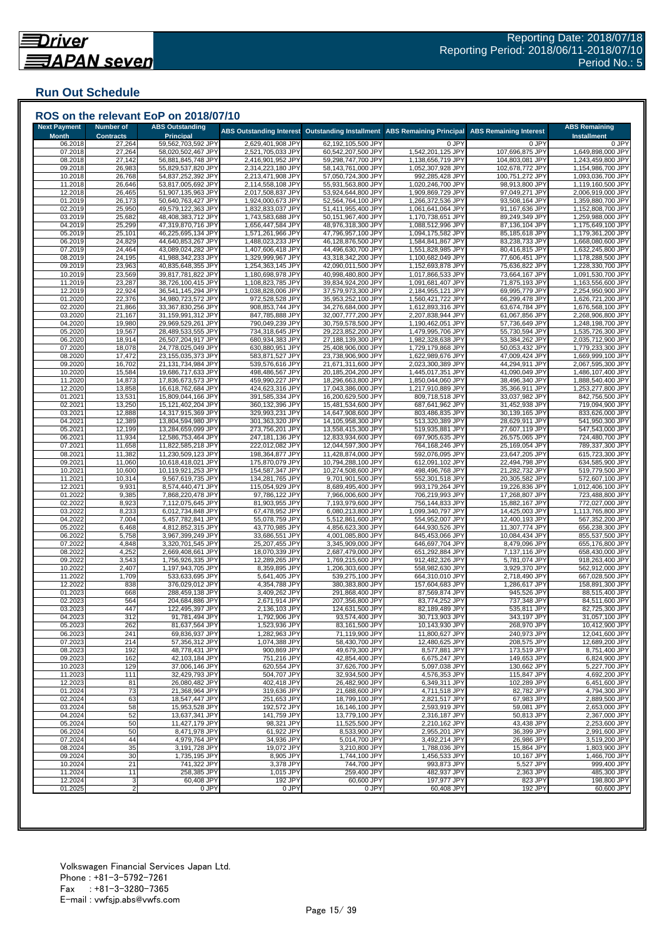## **Run Out Schedule**

| <b>Next Payment</b>     | <b>Number of</b>           | <b>ABS Outstanding</b>                   | <b>ABS Outstanding Interest</b>        | <b>Outstanding Installment</b>           | <b>ABS Remaining Principal</b>         | <b>ABS Remaining Interest</b>      | <b>ABS Remaining</b>                   |
|-------------------------|----------------------------|------------------------------------------|----------------------------------------|------------------------------------------|----------------------------------------|------------------------------------|----------------------------------------|
| <b>Month</b><br>06.2018 | <b>Contracts</b><br>27,264 | <b>Principal</b><br>59,562,703,592 JPY   | 2,629,401,908 JPY                      | 62,192,105,500 JPY                       | 0 JPY                                  | 0 JPY                              | <b>Installment</b><br>0 JPY            |
| 07.2018                 | 27,264                     | 58,020,502,467 JPY                       | 2,521,705,033 JPY                      | 60,542,207,500 JPY                       | 1,542,201,125 JPY                      | 107,696,875 JPY                    | 1,649,898,000 JPY                      |
| 08.2018                 | 27,142                     | 56,881,845,748 JPY                       | 2,416,901,952 JPY                      | 59,298,747,700 JPY                       | 1,138,656,719 JPY                      | 104,803,081 JPY                    | 1,243,459,800 JPY                      |
| 09.2018<br>10.2018      | 26,983<br>26,768           | 55,829,537,820 JPY<br>54,837,252,392 JPY | 2,314,223,180 JPY<br>2,213,471,908 JPY | 58,143,761,000 JPY<br>57,050,724,300 JPY | 1,052,307,928 JPY<br>992,285,428 JPY   | 102,678,772 JPY<br>100,751,272 JPY | 1,154,986,700 JPY<br>1,093,036,700 JPY |
| 11.2018                 | 26,646                     | 53,817,005,692 JPY                       | 2,114,558,108 JPY                      | 55,931,563,800 JPY                       | 1,020,246,700 JPY                      | 98,913,800 JPY                     | 1,119,160,500 JPY                      |
| 12.2018                 | 26,465                     | 51,907,135,963 JPY                       | 2,017,508,837 JPY                      | 53,924,644,800 JPY                       | 1,909,869,729 JPY                      | 97,049,271 JPY                     | 2,006,919,000 JPY                      |
| 01.2019                 | 26,173                     | 50,640,763,427 JPY                       | 1,924,000,673 JPY                      | 52,564,764,100 JPY                       | 1,266,372,536 JPY                      | 93,508,164 JPY                     | 1,359,880,700 JPY                      |
| 02.2019                 | 25,950                     | 49,579,122,363 JPY                       | 1,832,833,037 JPY                      | 51,411,955,400 JPY                       | 1,061,641,064 JPY                      | 91,167,636 JPY                     | 1,152,808,700 JPY                      |
| 03.2019<br>04.2019      | 25,682<br>25,299           | 48,408,383,712 JPY<br>47,319,870,716 JPY | 1,743,583,688 JPY<br>1,656,447,584 JPY | 50,151,967,400 JPY<br>48,976,318,300 JPY | 1,170,738,651 JPY<br>1,088,512,996 JPY | 89,249,349 JPY<br>87,136,104 JPY   | 1,259,988,000 JPY<br>1,175,649,100 JPY |
| 05.2019                 | 25,101                     | 46,225,695,134 JPY                       | 1,571,261,966 JPY                      | 47,796,957,100 JPY                       | 1,094,175,582 JPY                      | 85,185,618 JPY                     | 1,179,361,200 JPY                      |
| 06.2019                 | 24,829                     | 44,640,853,267 JPY                       | 1,488,023,233 JPY                      | 46,128,876,500 JPY                       | 1,584,841,867 JPY                      | 83,238,733 JPY                     | 1,668,080,600 JPY                      |
| 07.2019                 | 24,464                     | 43,089,024,282 JPY                       | 1,407,606,418 JPY                      | 44,496,630,700 JPY                       | 1,551,828,985 JPY                      | 80,416,815 JPY                     | 1,632,245,800 JPY                      |
| 08.2019<br>09.2019      | 24,195<br>23,963           | 41,988,342,233 JPY<br>40,835,648,355 JPY | 1,329,999,967 JPY<br>1,254,363,145 JPY | 43,318,342,200 JPY<br>42,090,011,500 JPY | 1,100,682,049 JPY<br>1,152,693,878 JPY | 77,606,451 JPY<br>75,636,822 JPY   | 1,178,288,500 JPY<br>1,228,330,700 JPY |
| 10.2019                 | 23,569                     | 39,817,781,822 JPY                       | 1,180,698,978 JPY                      | 40,998,480,800 JPY                       | 1,017,866,533 JPY                      | 73,664,167 JPY                     | 1,091,530,700 JPY                      |
| 11.2019                 | 23,287                     | 38,726,100,415 JPY                       | 1,108,823,785 JPY                      | 39,834,924,200 JPY                       | 1,091,681,407 JPY                      | 71,875,193 JPY                     | 1,163,556,600 JPY                      |
| 12.2019                 | 22,924                     | 36,541,145,294 JPY                       | 1,038,828,006 JPY                      | 37,579,973,300 JPY                       | 2,184,955,121 JPY                      | 69,995,779 JPY                     | 2,254,950,900 JPY                      |
| 01.2020                 | 22,376                     | 34,980,723,572 JPY                       | 972,528,528 JPY                        | 35,953,252,100 JPY                       | 1,560,421,722 JPY                      | 66,299,478 JPY                     | 1,626,721,200 JPY                      |
| 02.2020<br>03.2020      | 21,866<br>21,167           | 33,367,830,256 JPY<br>31,159,991,312 JPY | 908,853,744 JPY<br>847,785,888 JPY     | 34,276,684,000 JPY<br>32,007,777,200 JPY | 1,612,893,316 JPY<br>2,207,838,944 JPY | 63,674,784 JPY<br>61,067,856 JPY   | 1,676,568,100 JPY<br>2,268,906,800 JPY |
| 04.2020                 | 19,980                     | 29,969,529,261 JPY                       | 790,049,239 JPY                        | 30,759,578,500 JPY                       | 1,190,462,051 JPY                      | 57,736,649 JPY                     | 1,248,198,700 JPY                      |
| 05.2020                 | 19,567                     | 28,489,533,555 JPY                       | 734,318,645 JPY                        | 29,223,852,200 JPY                       | 1,479,995,706 JPY                      | 55,730,594 JPY                     | 1,535,726,300 JPY                      |
| 06.2020                 | 18,914                     | 26,507,204,917 JPY                       | 680,934,383 JPY                        | 27,188,139,300 JPY                       | 1,982,328,638 JPY                      | 53,384,262 JPY                     | 2,035,712,900 JPY                      |
| 07.2020                 | 18,078                     | 24,778,025,049 JPY                       | 630,880,951 JPY                        | 25,408,906,000 JPY                       | 1,729,179,868 JPY                      | 50,053,432 JPY                     | 1,779,233,300 JPY                      |
| 08.2020<br>09.2020      | 17,472<br>16,702           | 23,155,035,373 JPY<br>21,131,734,984 JPY | 583,871,527 JPY<br>539,576,616 JPY     | 23,738,906,900 JPY<br>21,671,311,600 JPY | 1,622,989,676 JPY<br>2,023,300,389 JPY | 47,009,424 JPY<br>44,294,911 JPY   | 1,669,999,100 JPY<br>2,067,595,300 JPY |
| 10.2020                 | 15,584                     | 19,686,717,633 JPY                       | 498,486,567 JPY                        | 20,185,204,200 JPY                       | 1,445,017,351 JPY                      | 41,090,049 JPY                     | 1,486,107,400 JPY                      |
| 11.2020                 | 14,873                     | 17,836,673,573 JPY                       | 459,990,227 JPY                        | 18,296,663,800 JPY                       | 1,850,044,060 JPY                      | 38,496,340 JPY                     | 1,888,540,400 JPY                      |
| 12.2020                 | 13,858                     | 16,618,762,684 JPY                       | 424,623,316 JPY                        | 17,043,386,000 JPY                       | 1,217,910,889 JPY                      | 35,366,911 JPY                     | 1,253,277,800 JPY                      |
| 01.2021                 | 13,531                     | 15,809,044,166 JPY                       | 391,585,334 JPY                        | 16,200,629,500 JPY                       | 809,718,518 JPY                        | 33,037,982 JPY                     | 842,756,500 JPY                        |
| 02.2021<br>03.2021      | 13,250<br>12,888           | 15,121,402,204 JPY<br>14,317,915,369 JPY | 360,132,396 JPY<br>329,993,231 JPY     | 15,481,534,600 JPY<br>14,647,908,600 JPY | 687,641,962 JPY<br>803,486,835 JPY     | 31,452,938 JPY<br>30,139,165 JPY   | 719,094,900 JPY<br>833,626,000 JPY     |
| 04.2021                 | 12,389                     | 13,804,594,980 JPY                       | 301,363,320 JPY                        | 14,105,958,300 JPY                       | 513,320,389 JPY                        | 28,629,911 JPY                     | 541,950,300 JPY                        |
| 05.2021                 | 12,199                     | 13,284,659,099 JPY                       | 273,756,201 JPY                        | 13,558,415,300 JPY                       | 519,935,881 JPY                        | 27,607,119 JPY                     | 547,543,000 JPY                        |
| 06.2021                 | 11,934                     | 12,586,753,464 JPY                       | 247,181,136 JPY                        | 12,833,934,600 JPY                       | 697,905,635 JPY                        | 26,575,065 JPY                     | 724,480,700 JPY                        |
| 07.2021                 | 11,658                     | 11,822,585,218 JPY                       | 222,012,082 JPY                        | 12,044,597,300 JPY                       | 764,168,246 JPY                        | 25,169,054 JPY                     | 789,337,300 JPY                        |
| 08.2021<br>09.2021      | 11,382<br>11,060           | 11,230,509,123 JPY<br>10,618,418,021 JPY | 198,364,877 JPY<br>175,870,079 JPY     | 11,428,874,000 JPY<br>10,794,288,100 JPY | 592,076,095 JPY<br>612,091,102 JPY     | 23,647,205 JPY<br>22,494,798 JPY   | 615,723,300 JPY<br>634,585,900 JPY     |
| 10.2021                 | 10,600                     | 10,119,921,253 JPY                       | 154,587,347 JPY                        | 10,274,508,600 JPY                       | 498,496,768 JPY                        | 21,282,732 JPY                     | 519,779,500 JPY                        |
| 11.2021                 | 10,314                     | 9,567,619,735 JPY                        | 134,281,765 JPY                        | 9,701,901,500 JPY                        | 552,301,518 JPY                        | 20,305,582 JPY                     | 572,607,100 JPY                        |
| 12.2021                 | 9,931                      | 8,574,440,471 JPY                        | 115,054,929 JPY                        | 8,689,495,400 JPY                        | 993,179,264 JPY                        | 19,226,836 JPY                     | 1,012,406,100 JPY                      |
| 01.2022<br>02.2022      | 9,385<br>8,923             | 7,868,220,478 JPY<br>7,112,075,645 JPY   | 97,786,122 JPY<br>81,903,955 JPY       | 7,966,006,600 JPY<br>7,193,979,600 JPY   | 706,219,993 JPY<br>756,144,833 JPY     | 17,268,807 JPY<br>15,882,167 JPY   | 723,488,800 JPY<br>772,027,000 JPY     |
| 03.2022                 | 8,233                      | 6,012,734,848 JPY                        | 67,478,952 JPY                         | 6,080,213,800 JPY                        | 1,099,340,797 JPY                      | 14,425,003 JPY                     | 1,113,765,800 JPY                      |
| 04.2022                 | 7,004                      | 5,457,782,841 JPY                        | 55,078,759 JPY                         | 5,512,861,600 JPY                        | 554,952,007 JPY                        | 12,400,193 JPY                     | 567,352,200 JPY                        |
| 05.202                  | 6,468                      | 4,812,852,315 JPY                        | 43,770,985 JPY                         | 4,856,623,300 JPY                        | 644,930,526 JPY                        | 11,307,774 JPY                     | 656,238,300 JPY                        |
| 06.202                  | 5,758                      | 3,967,399,249 JP\                        | 33,686,551 JPY                         | 4,001,085,800 JPY                        | 845,453,066 JPY                        | 10,084,434 JPY                     | 855,537,500 JPY                        |
| 07.2022<br>08.2022      | 4,848<br>4,252             | 3,320,701,545 JPY<br>2,669,408,661 JPY   | 25,207,455 JPY<br>18,070,339 JPY       | 3,345,909,000 JPY<br>2,687,479,000 JPY   | 646,697,704 JPY<br>651,292,884 JPY     | 8,479,096 JPY<br>7,137,116 JPY     | 655,176,800 JPY<br>658,430,000 JPY     |
| 09.2022                 | 3,543                      | 1,756,926,335 JPY                        | 12,289,265 JPY                         | 1,769,215,600 JPY                        | 912,482,326 JPY                        | 5,781,074 JPY                      | 918,263,400 JPY                        |
| 10.2022                 | 2,407                      | 1,197,943,705 JPY                        | 8,359,895 JPY                          | 1,206,303,600 JPY                        | 558,982,630 JPY                        | 3,929,370 JPY                      | 562,912,000 JPY                        |
| 11.2022                 | 1,709                      | 533,633,695 JPY                          | 5,641,405 JPY                          | 539,275,100 JPY                          | 664,310,010 JPY                        | 2,718,490 JPY                      | 667,028,500 JPY                        |
| 12.2022<br>01.2023      | 838<br>668                 | 376,029,012 JPY                          | 4,354,788 JPY<br>3,409,262 JPY         | 380,383,800 JPY<br>291,868,400 JPY       | 157,604,683 JPY                        | 1,286,617 JPY                      | 158,891,300 JPY                        |
| 02.2023                 | 564                        | 288,459,138 JPY<br>204,684,886 JPY       | 2,671,914 JPY                          | 207,356,800 JPY                          | 87,569,874 JPY<br>83,774,252 JPY       | 945,526 JPY<br>737,348 JPY         | 88,515,400 JPY<br>84,511,600 JPY       |
| 03.2023                 | 447                        | 122,495,397 JPY                          | 2,136,103 JPY                          | 124,631,500 JPY                          | 82,189,489 JPY                         | 535,811 JPY                        | 82,725,300 JPY                         |
| 04.2023                 | 312                        | 91,781,494 JPY                           | 1,792,906 JPY                          | 93,574,400 JPY                           | 30,713,903 JPY                         | 343,197 JPY                        | 31,057,100 JPY                         |
| 05.2023                 | 262                        | 81,637,564 JPY                           | 1,523,936 JPY                          | 83,161,500 JPY                           | 10,143,930 JPY                         | 268,970 JPY                        | 10,412,900 JPY                         |
| 06.2023<br>07.2023      | 241<br>214                 | 69,836,937 JPY<br>57,356,312 JPY         | 1,282,963 JPY<br>1,074,388 JPY         | 71,119,900 JPY<br>58,430,700 JPY         | 11,800,627 JPY<br>12,480,625 JPY       | 240,973 JPY<br>208,575 JPY         | 12,041,600 JPY<br>12,689,200 JPY       |
| 08.2023                 | 192                        | 48,778,431 JPY                           | 900,869 JPY                            | 49,679,300 JPY                           | 8,577,881 JPY                          | 173,519 JPY                        | 8,751,400 JPY                          |
| 09.2023                 | 162                        | 42,103,184 JPY                           | 751,216 JPY                            | 42,854,400 JPY                           | 6,675,247 JPY                          | 149,653 JPY                        | 6,824,900 JPY                          |
| 10.2023                 | 129                        | 37,006,146 JPY                           | 620,554 JPY                            | 37,626,700 JPY                           | 5,097,038 JPY                          | 130,662 JPY                        | 5,227,700 JPY                          |
| 11.2023                 | 111                        | 32,429,793 JPY                           | 504,707 JPY                            | 32,934,500 JPY                           | 4,576,353 JPY                          | 115,847 JPY                        | 4,692,200 JPY                          |
| 12.2023<br>01.2024      | 81<br>73                   | 26,080,482 JPY<br>21,368,964 JPY         | 402,418 JPY<br>319,636 JPY             | 26,482,900 JPY<br>21,688,600 JPY         | 6,349,311 JPY<br>4,711,518 JPY         | 102,289 JPY<br>82,782 JPY          | 6,451,600 JPY<br>4,794,300 JPY         |
| 02.2024                 | 63                         | 18,547,447 JPY                           | 251,653 JPY                            | 18,799,100 JPY                           | 2,821,517 JPY                          | 67,983 JPY                         | 2,889,500 JPY                          |
| 03.2024                 | 58                         | 15,953,528 JPY                           | 192,572 JPY                            | 16,146,100 JPY                           | 2,593,919 JPY                          | 59,081 JPY                         | 2,653,000 JPY                          |
| 04.2024                 | 52                         | 13,637,341 JPY                           | 141,759 JPY                            | 13,779,100 JPY                           | 2,316,187 JPY                          | 50,813 JPY                         | 2,367,000 JPY                          |
| 05.2024                 | 50                         | 11,427,179 JPY                           | 98,321 JPY                             | 11,525,500 JPY                           | 2,210,162 JPY                          | 43,438 JPY                         | 2,253,600 JPY                          |
| 06.2024<br>07.2024      | 50<br>44                   | 8,471,978 JPY<br>4,979,764 JPY           | 61,922 JPY<br>34,936 JPY               | 8,533,900 JPY<br>5,014,700 JPY           | 2,955,201 JPY<br>3,492,214 JPY         | 36,399 JPY<br>26,986 JPY           | 2,991,600 JPY<br>3,519,200 JPY         |
| 08.2024                 | 35                         | 3,191,728 JPY                            | 19,072 JPY                             | 3,210,800 JPY                            | 1,788,036 JPY                          | 15,864 JPY                         | 1,803,900 JPY                          |
| 09.2024                 | 30                         | 1,735,195 JPY                            | 8,905 JPY                              | 1,744,100 JPY                            | 1,456,533 JPY                          | 10,167 JPY                         | 1,466,700 JPY                          |
| 10.2024                 | 21                         | 741,322 JPY                              | 3,378 JPY                              | 744,700 JPY                              | 993,873 JPY                            | 5,527 JPY                          | 999,400 JPY                            |
| 11.2024<br>12.2024      | 11                         | 258,385 JPY                              | 1,015 JPY                              | 259,400 JPY                              | 482,937 JPY                            | 2,363 JPY                          | 485,300 JPY                            |
|                         | 3                          | 60,408 JPY                               | 192 JPY                                | 60,600 JPY<br>0 JPY                      | 197,977 JPY<br>60,408 JPY              | 823 JPY<br>192 JPY                 | 198,800 JPY                            |

###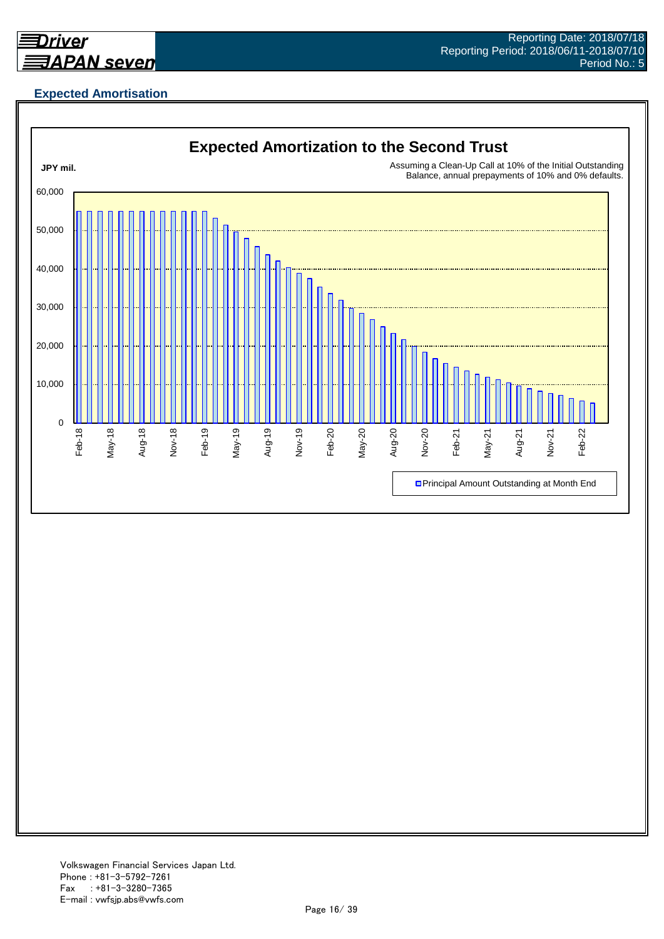

## **Expected Amortisation**

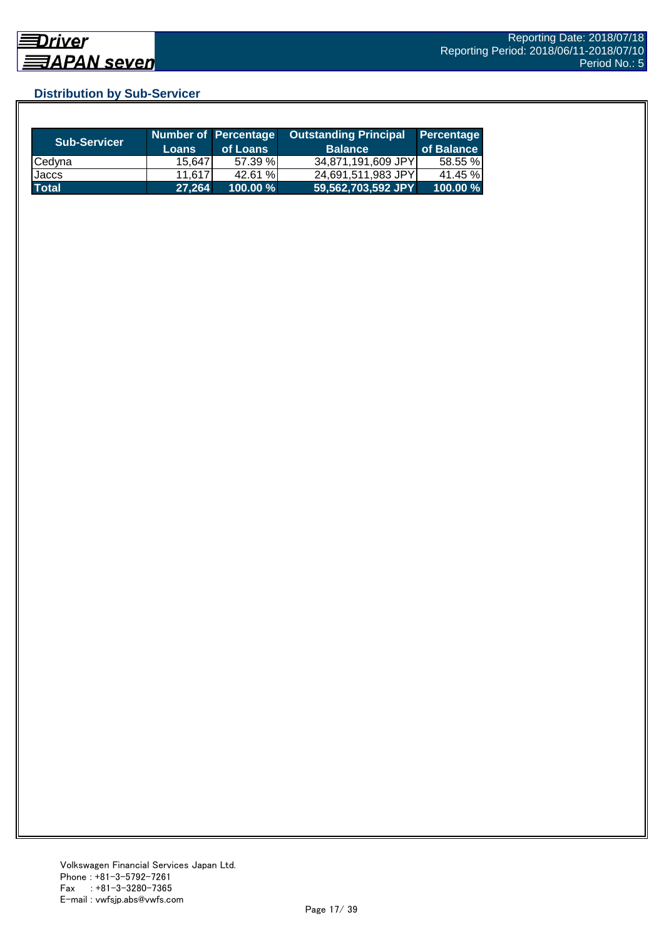## **Distribution by Sub-Servicer**

| <b>Sub-Servicer</b> | <b>Loans</b> | Number of Percentage<br>of Loans | <b>Outstanding Principal</b><br><b>Balance</b> | Percentage<br>of Balance |
|---------------------|--------------|----------------------------------|------------------------------------------------|--------------------------|
| <b>Cedyna</b>       | 15.647       | 57.39 %                          | 34,871,191,609 JPY                             | 58.55 %                  |
| Jaccs               | 11,617       | 42.61 %                          | 24,691,511,983 JPY                             | 41.45 %                  |
| <b>Total</b>        | 27.264       | $100.00 \%$                      | 59,562,703,592 JPY                             | 100.00 %                 |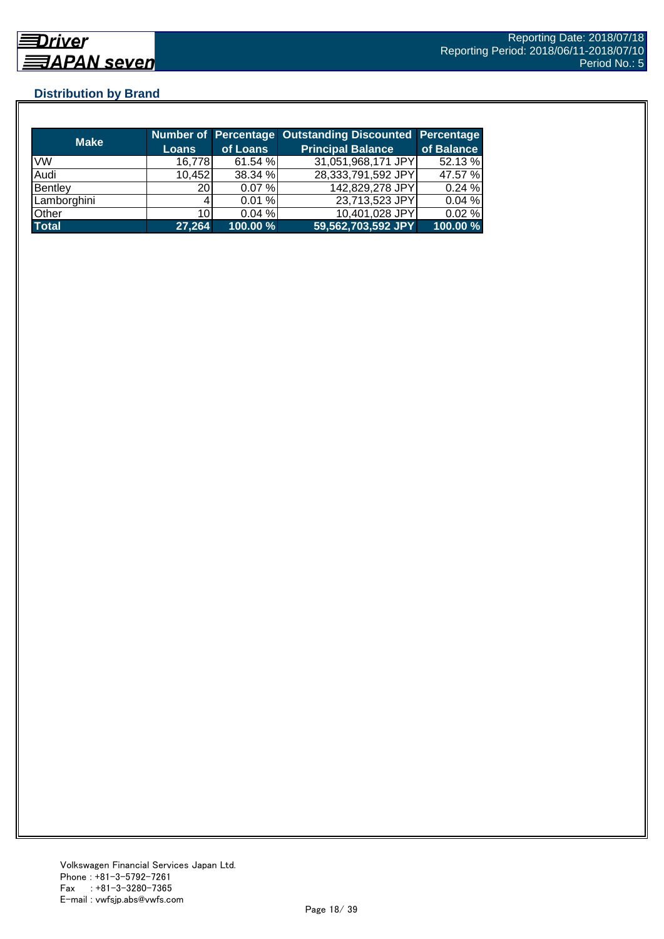## **Distribution by Brand**

| <b>Make</b>  |        |             | <b>Number of Percentage Outstanding Discounted Percentage</b> |            |
|--------------|--------|-------------|---------------------------------------------------------------|------------|
|              | Loans  | of Loans    | <b>Principal Balance</b>                                      | of Balance |
| <b>VW</b>    | 16,778 | 61.54 %     | 31,051,968,171 JPY                                            | 52.13 %    |
| Audi         | 10,452 | 38.34 %     | 28,333,791,592 JPY                                            | 47.57 %    |
| Bentley      | 20     | 0.07%       | 142,829,278 JPY                                               | 0.24%      |
| Lamborghini  |        | 0.01%       | 23,713,523 JPY                                                | 0.04%      |
| Other        | 10     | 0.04%       | 10,401,028 JPY                                                | 0.02%      |
| <b>Total</b> | 27,264 | $100.00 \%$ | 59,562,703,592 JPY                                            | 100.00 %   |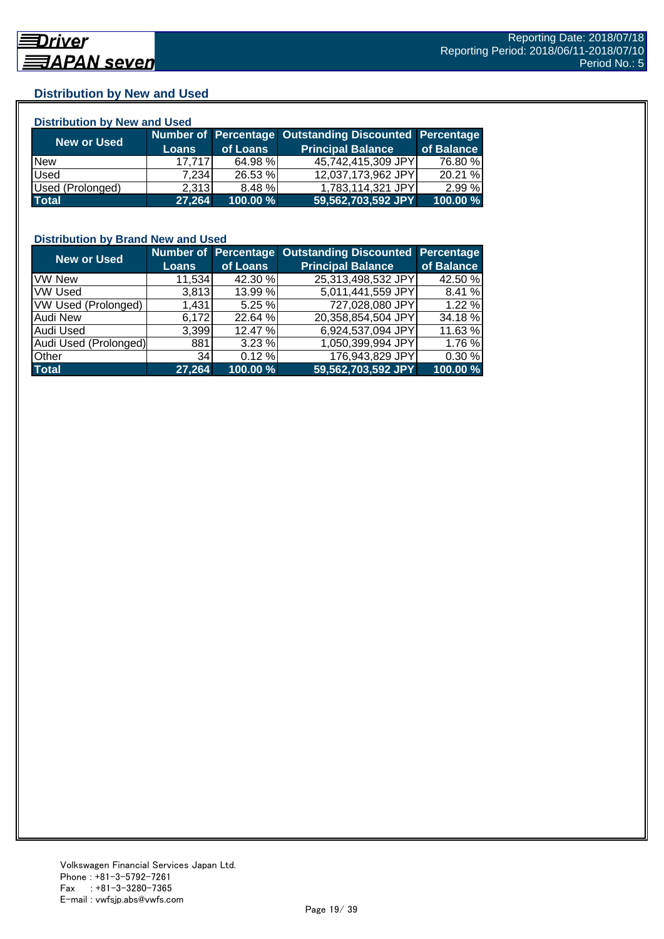## **Distribution by New and Used**

| <b>Distribution by New and Used</b> |              |          |                                                        |            |  |  |  |
|-------------------------------------|--------------|----------|--------------------------------------------------------|------------|--|--|--|
| New or Used                         |              |          | Number of Percentage Outstanding Discounted Percentage |            |  |  |  |
|                                     | <b>Loans</b> | of Loans | <b>Principal Balance</b>                               | of Balance |  |  |  |
| <b>New</b>                          | 17.717       | 64.98 %  | 45,742,415,309 JPY                                     | 76.80 %    |  |  |  |
| Used                                | 7.234        | 26.53 %  | 12,037,173,962 JPY                                     | 20.21 %    |  |  |  |
| Used (Prolonged)                    | 2,313        | 8.48 %   | 1,783,114,321 JPY                                      | 2.99%      |  |  |  |
| <b>Total</b>                        | 27,264       | 100.00 % | 59,562,703,592 JPY                                     | 100.00 %   |  |  |  |

#### **Distribution by Brand New and Used**

| <b>New or Used</b>         |              |          | Number of Percentage Outstanding Discounted Percentage |            |
|----------------------------|--------------|----------|--------------------------------------------------------|------------|
|                            | <b>Loans</b> | of Loans | <b>Principal Balance</b>                               | of Balance |
| <b>VW New</b>              | 11,534       | 42.30 %  | 25,313,498,532 JPY                                     | 42.50 %    |
| <b>VW Used</b>             | 3.813        | 13.99 %  | 5,011,441,559 JPY                                      | 8.41%      |
| <b>VW Used (Prolonged)</b> | 1,431        | 5.25 %   | 727,028,080 JPY                                        | 1.22%      |
| Audi New                   | 6,172        | 22.64 %  | 20,358,854,504 JPY                                     | 34.18 %    |
| <b>Audi Used</b>           | 3,399        | 12.47 %  | 6,924,537,094 JPY                                      | 11.63 %    |
| Audi Used (Prolonged)      | 881          | 3.23%    | 1,050,399,994 JPY                                      | 1.76 %     |
| <b>Other</b>               | 34           | 0.12%    | 176,943,829 JPY                                        | 0.30 %     |
| <b>Total</b>               | 27,264       | 100.00 % | 59,562,703,592 JPY                                     | 100.00 %   |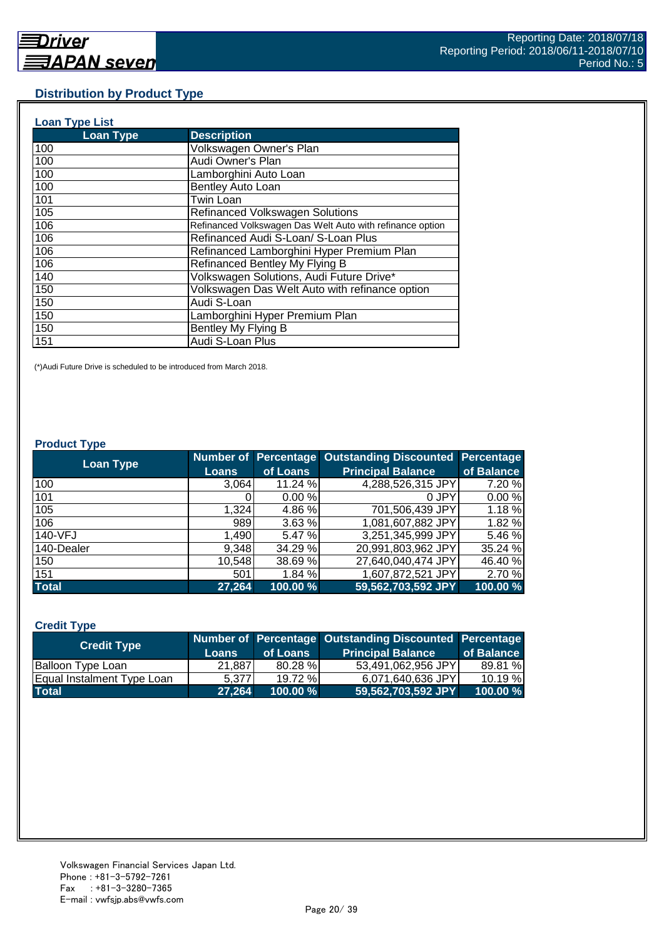#### **Distribution by Product Type**

| <b>Loan Type List</b> |                                                           |
|-----------------------|-----------------------------------------------------------|
| <b>Loan Type</b>      | <b>Description</b>                                        |
| 100                   | Volkswagen Owner's Plan                                   |
| 100                   | Audi Owner's Plan                                         |
| 100                   | Lamborghini Auto Loan                                     |
| 100                   | Bentley Auto Loan                                         |
| 101                   | <b>Twin Loan</b>                                          |
| 105                   | <b>Refinanced Volkswagen Solutions</b>                    |
| 106                   | Refinanced Volkswagen Das Welt Auto with refinance option |
| 106                   | Refinanced Audi S-Loan/ S-Loan Plus                       |
| 106                   | Refinanced Lamborghini Hyper Premium Plan                 |
| 106                   | Refinanced Bentley My Flying B                            |
| 140                   | Volkswagen Solutions, Audi Future Drive*                  |
| 150                   | Volkswagen Das Welt Auto with refinance option            |
| 150                   | Audi S-Loan                                               |
| 150                   | Lamborghini Hyper Premium Plan                            |
| 150                   | Bentley My Flying B                                       |
| 151                   | Audi S-Loan Plus                                          |

(\*)Audi Future Drive is scheduled to be introduced from March 2018.

#### **Product Type**

| <b>Loan Type</b> |              |          | <b>Number of Percentage Outstanding Discounted</b> | <b>Percentage</b> |
|------------------|--------------|----------|----------------------------------------------------|-------------------|
|                  | <b>Loans</b> | of Loans | <b>Principal Balance</b>                           | of Balance        |
| 100              | 3,064        | 11.24 %  | 4,288,526,315 JPY                                  | 7.20 %            |
| 101              |              | 0.00%    | 0 JPY                                              | 0.00%             |
| 105              | 1,324        | 4.86 %   | 701,506,439 JPY                                    | 1.18%             |
| 106              | 989          | 3.63 %   | 1,081,607,882 JPY                                  | 1.82 %            |
| 140-VFJ          | 1,490        | 5.47 %   | 3,251,345,999 JPY                                  | 5.46 %            |
| 140-Dealer       | 9,348        | 34.29 %  | 20,991,803,962 JPY                                 | 35.24 %           |
| 150              | 10,548       | 38.69 %  | 27,640,040,474 JPY                                 | 46.40 %           |
| 151              | 501          | 1.84 %   | 1,607,872,521 JPY                                  | 2.70 %            |
| <b>Total</b>     | 27,264       | 100.00 % | 59,562,703,592 JPY                                 | 100.00 %          |

#### **Credit Type**

| <b>Credit Type</b>         |        |          | Number of Percentage Outstanding Discounted Percentage |            |
|----------------------------|--------|----------|--------------------------------------------------------|------------|
|                            | Loans  | of Loans | <b>Principal Balance</b>                               | of Balance |
| Balloon Type Loan          | 21,887 | 80.28 %  | 53,491,062,956 JPY                                     | 89.81 %    |
| Equal Instalment Type Loan | 5.377  | 19.72%   | 6,071,640,636 JPY                                      | 10.19%     |
| <b>Total</b>               | 27,264 | 100.00 % | 59,562,703,592 JPY                                     | 100.00 %   |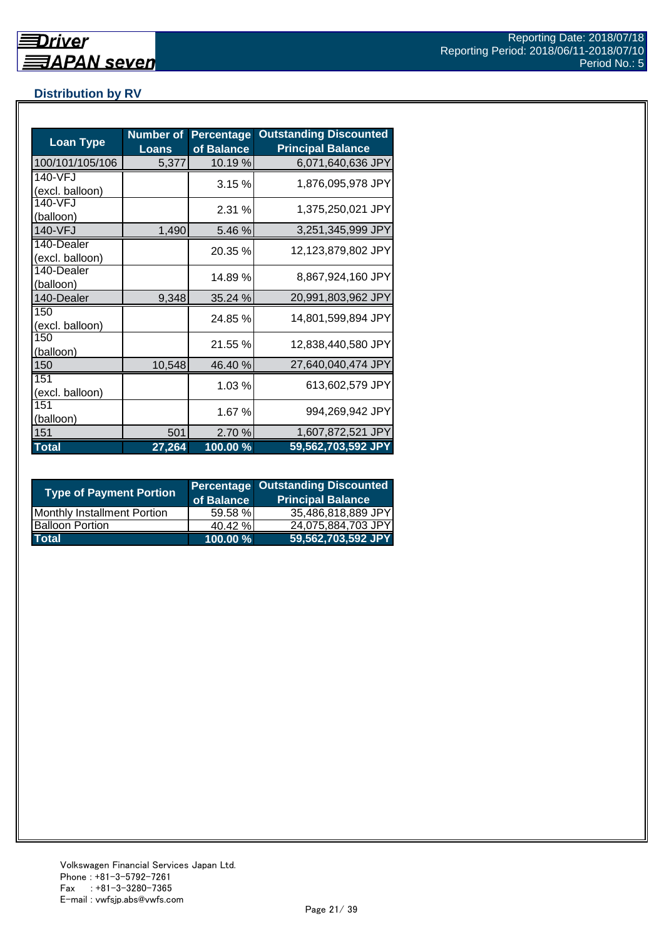## **Distribution by RV**

| <b>Loan Type</b>              | <b>Number of</b><br><b>Loans</b> | <b>Percentage</b><br>of Balance | <b>Outstanding Discounted</b><br><b>Principal Balance</b> |
|-------------------------------|----------------------------------|---------------------------------|-----------------------------------------------------------|
| 100/101/105/106               | 5,377                            | 10.19 %                         | 6,071,640,636 JPY                                         |
| 140-VFJ<br>(excl. balloon)    |                                  | 3.15%                           | 1,876,095,978 JPY                                         |
| 140-VFJ<br>(balloon)          |                                  | 2.31%                           | 1,375,250,021 JPY                                         |
| 140-VFJ                       | 1,490                            | 5.46 %                          | 3,251,345,999 JPY                                         |
| 140-Dealer<br>(excl. balloon) |                                  | 20.35 %                         | 12,123,879,802 JPY                                        |
| 140-Dealer<br>(balloon)       |                                  | 14.89 %                         | 8,867,924,160 JPY                                         |
| 140-Dealer                    | 9,348                            | 35.24 %                         | 20,991,803,962 JPY                                        |
| 150<br>(excl. balloon)        |                                  | 24.85 %                         | 14,801,599,894 JPY                                        |
| 150<br>(balloon)              |                                  | 21.55 %                         | 12,838,440,580 JPY                                        |
| 150                           | 10,548                           | 46.40 %                         | 27,640,040,474 JPY                                        |
| 151<br>(excl. balloon)        |                                  | 1.03%                           | 613,602,579 JPY                                           |
| 151<br>(balloon)              |                                  | 1.67 %                          | 994,269,942 JPY                                           |
| 151                           | 501                              | 2.70 %                          | 1,607,872,521 JPY                                         |
| <b>Total</b>                  | 27,264                           | 100.00 %                        | 59,562,703,592 JPY                                        |

| <b>Type of Payment Portion</b> | of Balance | <b>Percentage Outstanding Discounted</b><br><b>Principal Balance</b> |
|--------------------------------|------------|----------------------------------------------------------------------|
| Monthly Installment Portion    | 59.58 %    | 35,486,818,889 JPY                                                   |
| <b>Balloon Portion</b>         | 40.42 %    | 24,075,884,703 JPY                                                   |
| <b>Total</b>                   | 100.00 %   | 59,562,703,592 JPY                                                   |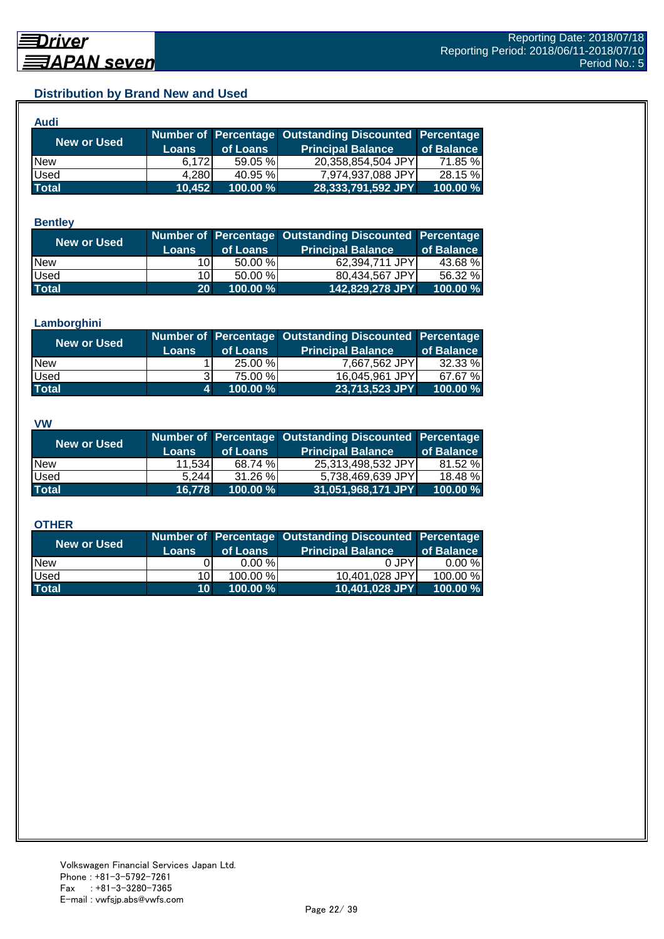## **Distribution by Brand New and Used**

| Audi         |              |          |                                                        |            |
|--------------|--------------|----------|--------------------------------------------------------|------------|
| New or Used  |              |          | Number of Percentage Outstanding Discounted Percentage |            |
|              | <b>Loans</b> | of Loans | <b>Principal Balance</b>                               | of Balance |
| <b>New</b>   | 6.172        | 59.05 %  | 20,358,854,504 JPY                                     | 71.85 %    |
| Used         | 4,280        | 40.95 %  | 7,974,937,088 JPY                                      | 28.15 %    |
| <b>Total</b> | 10,452       | 100.00%  | 28,333,791,592 JPY                                     | 100.00 %   |

#### **Bentley**

| New or Used  |                 |          | Number of Percentage Outstanding Discounted Percentage |            |
|--------------|-----------------|----------|--------------------------------------------------------|------------|
|              | <b>Loans</b>    | of Loans | <b>Principal Balance</b>                               | of Balance |
| <b>New</b>   | 10I             | 50.00 %  | 62,394,711 JPY                                         | 43.68%     |
| <b>Used</b>  | 10I             | 50.00 %  | 80.434.567 JPYI                                        | 56.32 %    |
| <b>Total</b> | 20 <sup>1</sup> | 100.00 % | 142,829,278 JPY                                        | 100.00 %   |

#### **Lamborghini**

| <b>New or Used</b> | <b>Loans</b> | of Loans | Number of Percentage Outstanding Discounted Percentage<br><b>Principal Balance</b> | of Balance |
|--------------------|--------------|----------|------------------------------------------------------------------------------------|------------|
| <b>New</b>         |              | 25.00 %  | 7,667,562 JPY                                                                      | 32.33 %    |
| <b>Used</b>        |              | 75.00 %  | 16,045,961 JPY                                                                     | 67.67 %    |
| <b>Total</b>       | 4.           | 100.00 % | 23,713,523 JPY                                                                     | 100.00 %   |

#### **VW**

| <b>New or Used</b> |              |          | Number of Percentage Outstanding Discounted Percentage |            |
|--------------------|--------------|----------|--------------------------------------------------------|------------|
|                    | <b>Loans</b> | of Loans | <b>Principal Balance</b>                               | of Balance |
| <b>New</b>         | 11.534       | 68.74 %  | 25.313.498.532 JPYI                                    | 81.52 %    |
| <b>Used</b>        | 5.244        | 31.26 %  | 5,738,469,639 JPY                                      | 18.48 %    |
| <b>Total</b>       | 16.778       | 100.00 % | 31,051,968,171 JPY                                     | 100.00 %   |

#### **OTHER**

| <b>New or Used</b> | <b>Loans</b>    | of Loans | Number of Percentage Outstanding Discounted Percentage<br><b>Principal Balance</b> | of Balance |
|--------------------|-----------------|----------|------------------------------------------------------------------------------------|------------|
| <b>New</b>         |                 | 0.00%    | 0 JPY                                                                              | $0.00 \%$  |
| Used               | 10I             | 100.00 % | 10,401,028 JPY                                                                     | 100.00 %   |
| <b>Total</b>       | 10 <sup>1</sup> | 100.00 % | 10,401,028 JPY                                                                     | 100.00 %   |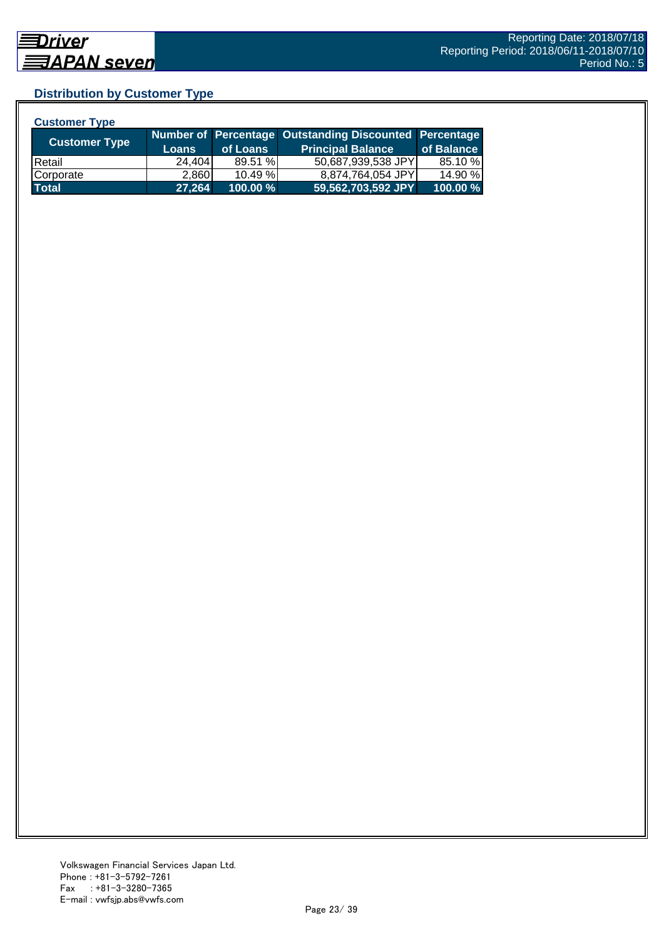## **Distribution by Customer Type**

| <b>Customer Type</b> |              |          |                                                        |            |
|----------------------|--------------|----------|--------------------------------------------------------|------------|
|                      |              |          | Number of Percentage Outstanding Discounted Percentage |            |
| <b>Customer Type</b> | <b>Loans</b> | of Loans | <b>Principal Balance</b>                               | of Balance |
| <b>IRetail</b>       | 24.404       | 89.51 %  | 50,687,939,538 JPY                                     | 85.10 %    |
| Corporate            | 2,860        | 10.49 %  | 8,874,764,054 JPY                                      | 14.90 %    |
| <b>Total</b>         | 27,264       | 100.00 % | 59,562,703,592 JPY                                     | 100.00 %   |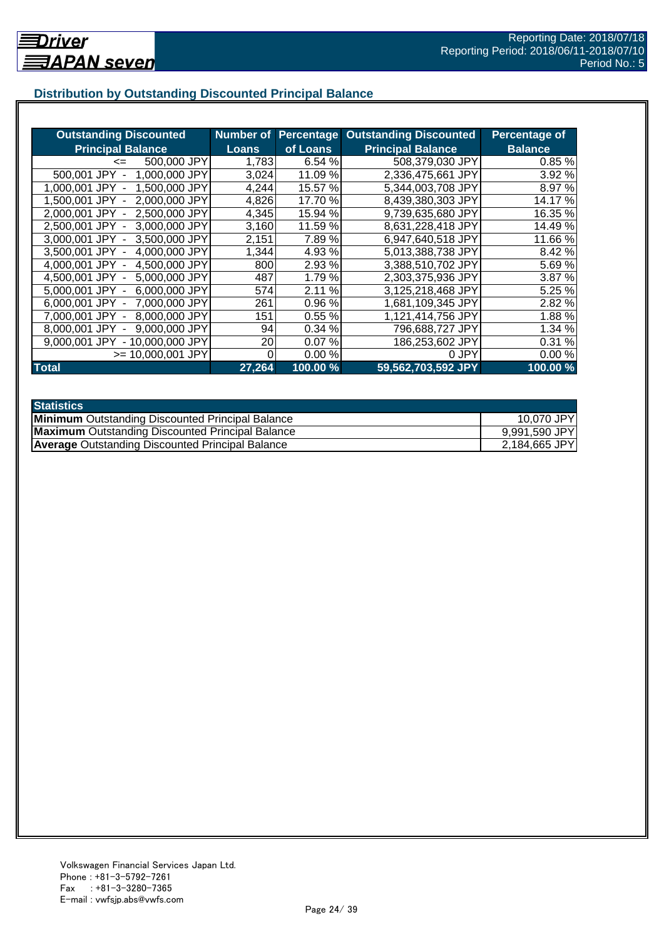## **Distribution by Outstanding Discounted Principal Balance**

| <b>Outstanding Discounted</b>     | <b>Number of</b> | <b>Percentage</b> | <b>Outstanding Discounted</b> | Percentage of  |
|-----------------------------------|------------------|-------------------|-------------------------------|----------------|
| <b>Principal Balance</b>          | <b>Loans</b>     | of Loans          | <b>Principal Balance</b>      | <b>Balance</b> |
| 500,000 JPY<br>$\leq$             | 1,783            | 6.54 %            | 508,379,030 JPY               | 0.85%          |
| 500,001 JPY<br>1,000,000 JPY      | 3,024            | 11.09 %           | 2,336,475,661 JPY             | 3.92 %         |
| 1,500,000 JPY<br>1.000.001 JPY    | 4,244            | 15.57 %           | 5,344,003,708 JPY             | 8.97 %         |
| 2,000,000 JPY<br>1.500.001 JPY -  | 4,826            | 17.70 %           | 8,439,380,303 JPY             | 14.17 %        |
| 2,000,001 JPY -<br>2.500,000 JPY  | 4,345            | 15.94 %           | 9,739,635,680 JPY             | 16.35 %        |
| 2,500,001 JPY -<br>3,000,000 JPY  | 3,160            | 11.59 %           | 8,631,228,418 JPY             | 14.49 %        |
| 3,000,001 JPY -<br>3,500,000 JPY  | 2,151            | 7.89%             | 6,947,640,518 JPY             | 11.66 %        |
| 4,000,000 JPY<br>3,500,001 JPY -  | 1,344            | 4.93 %            | 5.013.388.738 JPY             | 8.42 %         |
| 4,500,000 JPY<br>4.000.001 JPY -  | 800              | 2.93 %            | 3,388,510,702 JPY             | 5.69%          |
| 5,000,000 JPY<br>4.500.001 JPY -  | 487              | 1.79 %            | 2,303,375,936 JPY             | 3.87 %         |
| 6,000,000 JPY<br>5.000.001 JPY -  | 574              | 2.11<br>$\%$      | 3,125,218,468 JPY             | 5.25 %         |
| 7,000,000 JPY<br>6.000.001 JPY -  | 261              | 0.96%             | 1,681,109,345 JPY             | 2.82 %         |
| 8,000,000 JPY<br>7.000.001 JPY    | 151              | 0.55%             | 1,121,414,756 JPY             | 1.88%          |
| 9,000,000 JPY<br>8.000.001 JPY    | 94               | 0.34 %            | 796,688,727 JPY               | 1.34 %         |
| - 10,000,000 JPY<br>9.000.001 JPY | 20               | 0.07%             | 186,253,602 JPY               | 0.31%          |
| $>= 10,000,001$ JPY               | 0                | 0.00%             | 0 JPY                         | 0.00%          |
| <b>Total</b>                      | 27,264           | 100.00 %          | 59,562,703,592 JPY            | 100.00 %       |

| <b>Statistics</b>                                       |               |
|---------------------------------------------------------|---------------|
| <b>Minimum</b> Outstanding Discounted Principal Balance | 10,070 JPY    |
| <b>Maximum</b> Outstanding Discounted Principal Balance | 9,991,590 JPY |
| <b>Average Outstanding Discounted Principal Balance</b> | 2,184,665 JPY |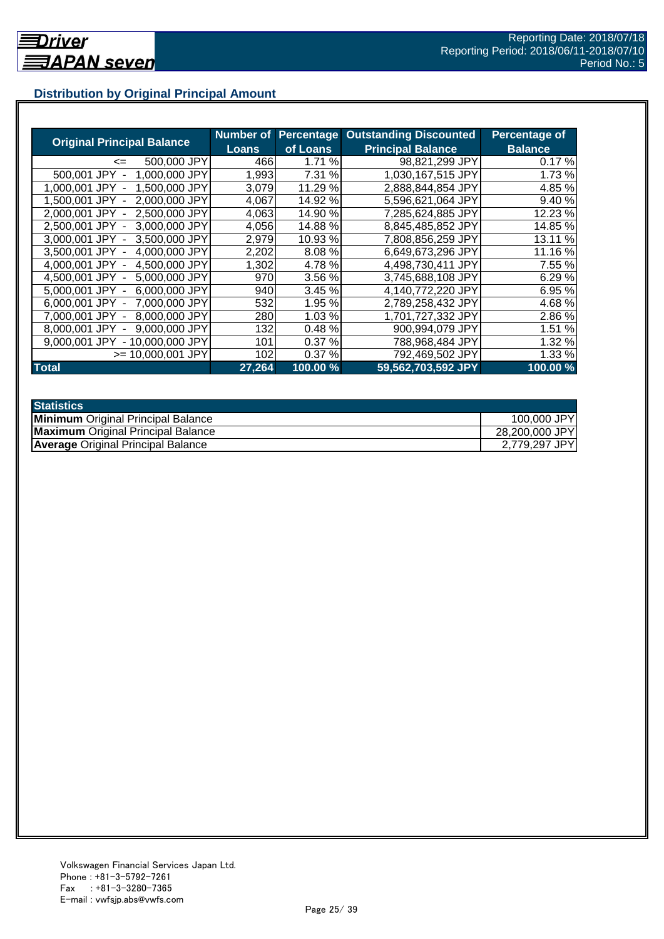## **Distribution by Original Principal Amount**

|                                           | Number of |          | <b>Percentage Outstanding Discounted</b> | <b>Percentage of</b> |
|-------------------------------------------|-----------|----------|------------------------------------------|----------------------|
| <b>Original Principal Balance</b>         | Loans     | of Loans | <b>Principal Balance</b>                 | <b>Balance</b>       |
| 500,000 JPY<br><=                         | 466       | 1.71%    | 98,821,299 JPY                           | 0.17%                |
| 1,000,000 JPY<br>500,001 JPY              | 1,993     | 7.31 %   | 1,030,167,515 JPY                        | 1.73%                |
| 1,500,000 JPY<br>1.000.001<br><b>JPY</b>  | 3,079     | 11.29 %  | 2,888,844,854 JPY                        | 4.85 %               |
| 2.000.000 JPY<br>1.500.001 JPY            | 4,067     | 14.92 %  | 5,596,621,064 JPY                        | 9.40%                |
| 2,500,000 JPY<br>2.000.001 JPY -          | 4,063     | 14.90 %  | 7,285,624,885 JPY                        | 12.23 %              |
| 2,500,001 JPY -<br>3,000,000 JPY          | 4,056     | 14.88%   | 8,845,485,852 JPY                        | 14.85 %              |
| 3.000.001 JPY -<br>3.500,000 JPY          | 2,979     | 10.93 %  | 7,808,856,259 JPY                        | 13.11 %              |
| 3,500,001 JPY -<br>4,000,000 JPY          | 2,202     | 8.08%    | 6,649,673,296 JPY                        | 11.16 %              |
| 4,500,000 JPY<br>4.000.001 JPY -          | 1,302     | 4.78%    | 4,498,730,411 JPY                        | 7.55 %               |
| 4,500,001 JPY -<br>5,000,000 JPY          | 970       | 3.56 %   | 3,745,688,108 JPY                        | 6.29 %               |
| 6,000,000 JPY<br>5.000.001 JPY -          | 940       | 3.45 %   | 4,140,772,220 JPY                        | 6.95 %               |
| 7,000,000 JPY<br>6.000.001 JPY -          | 532       | 1.95 %   | 2,789,258,432 JPY                        | 4.68%                |
| 8,000,000 JPY<br>7,000,001 JPY -          | 280       | 1.03%    | 1,701,727,332 JPY                        | 2.86 %               |
| 9,000,000 JPY<br>8.000.001 JPY            | 132       | 0.48%    | 900,994,079 JPY                          | 1.51 %               |
| 9.000.001 JPY<br>10.000.000 JPY<br>$\sim$ | 101       | 0.37%    | 788,968,484 JPY                          | 1.32 %               |
| >= 10.000.001 JPY                         | 102       | 0.37%    | 792,469,502 JPY                          | 1.33 %               |
| <b>Total</b>                              | 27,264    | 100.00 % | 59,562,703,592 JPY                       | 100.00%              |

| <b>Statistics</b>                         |                |
|-------------------------------------------|----------------|
| <b>Minimum</b> Original Principal Balance | 100,000 JPY    |
| <b>Maximum</b> Original Principal Balance | 28,200,000 JPY |
| <b>Average Original Principal Balance</b> | 2,779,297 JPY  |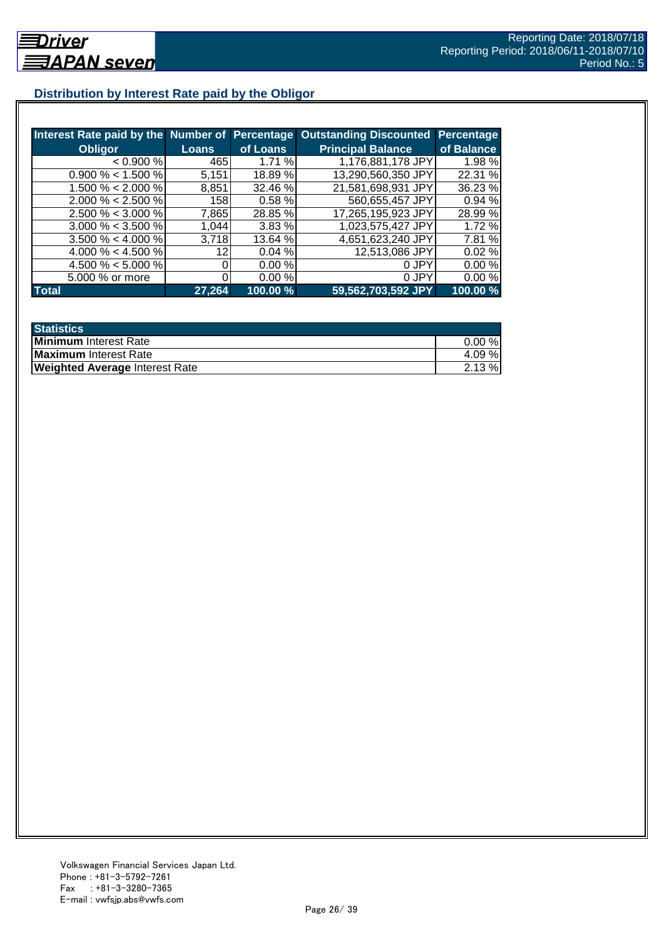## **Distribution by Interest Rate paid by the Obligor**

| Interest Rate paid by the Number of Percentage |              |          | <b>Outstanding Discounted</b> | Percentage |
|------------------------------------------------|--------------|----------|-------------------------------|------------|
| <b>Obligor</b>                                 | <b>Loans</b> | of Loans | <b>Principal Balance</b>      | of Balance |
| < 0.900 %                                      | 465          | 1.71%    | 1,176,881,178 JPY             | 1.98 %     |
| $0.900\% < 1.500\%$                            | 5,151        | 18.89 %  | 13,290,560,350 JPY            | 22.31 %    |
| $1.500\% < 2.000\%$                            | 8,851        | 32.46 %  | 21,581,698,931 JPY            | 36.23 %    |
| $2.000\% < 2.500\%$                            | 158I         | 0.58 %   | 560,655,457 JPY               | 0.94 %     |
| $2.500\% < 3.000\%$                            | 7,865        | 28.85 %  | 17,265,195,923 JPY            | 28.99 %    |
| $3.000\% < 3.500\%$                            | 1.044        | 3.83%    | 1,023,575,427 JPY             | 1.72 %     |
| $3.500\% < 4.000\%$                            | 3,718        | 13.64 %  | 4,651,623,240 JPY             | 7.81 %     |
| 4.000 % < 4.500 %                              | 12           | 0.04%    | 12,513,086 JPY                | 0.02%      |
| 4.500 % < 5.000 %                              |              | 0.00 %   | 0 JPY                         | 0.00%      |
| 5.000 % or more                                |              | 0.00%    | 0 JPY                         | 0.00%      |
| <b>Total</b>                                   | 27,264       | 100.00 % | 59,562,703,592 JPY            | 100.00 %   |

| <b>Statistics</b>                     |           |
|---------------------------------------|-----------|
| <b>Minimum</b> Interest Rate          | $0.00 \%$ |
| Maximum Interest Rate                 | 4.09 %    |
| <b>Weighted Average Interest Rate</b> | $2.13 \%$ |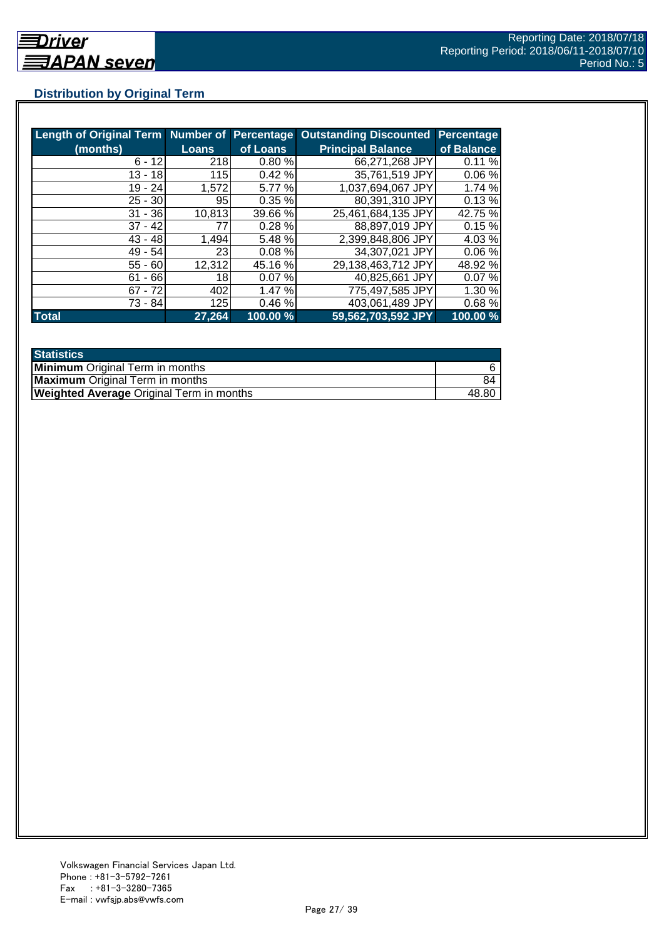## **Distribution by Original Term**

| Length of Original Term Number of Percentage |              |          | <b>Outstanding Discounted</b> | <b>Percentage</b> |
|----------------------------------------------|--------------|----------|-------------------------------|-------------------|
| (months)                                     | <b>Loans</b> | of Loans | <b>Principal Balance</b>      | of Balance        |
| $6 - 12$                                     | 218          | 0.80%    | 66,271,268 JPY                | 0.11%             |
| $13 - 18$                                    | 115          | 0.42%    | 35,761,519 JPY                | 0.06%             |
| 19 - 24                                      | 1,572        | 5.77 %   | 1,037,694,067 JPY             | 1.74%             |
| $25 - 30$                                    | 95           | 0.35%    | 80.391,310 JPY                | 0.13%             |
| $31 - 36$                                    | 10,813       | 39.66 %  | 25,461,684,135 JPY            | 42.75 %           |
| $37 - 42$                                    | 77           | 0.28%    | 88,897,019 JPY                | 0.15%             |
| $43 - 48$                                    | 1,494        | 5.48 %   | 2,399,848,806 JPY             | 4.03%             |
| $49 - 54$                                    | 23           | 0.08%    | 34,307,021 JPY                | 0.06%             |
| $55 - 60$                                    | 12,312       | 45.16 %  | 29,138,463,712 JPY            | 48.92 %           |
| $61 - 66$                                    | 18           | 0.07%    | 40,825,661 JPY                | 0.07%             |
| $67 - 72$                                    | 402          | 1.47 %   | 775,497,585 JPY               | 1.30 %            |
| 73 - 84                                      | 125          | 0.46%    | 403,061,489 JPY               | 0.68%             |
| <b>Total</b>                                 | 27,264       | 100.00 % | 59,562,703,592 JPY            | 100.00 %          |

| <b>Statistics</b>                               |       |
|-------------------------------------------------|-------|
| <b>Minimum</b> Original Term in months          |       |
| <b>Maximum</b> Original Term in months          |       |
| <b>Weighted Average Original Term in months</b> | 48.80 |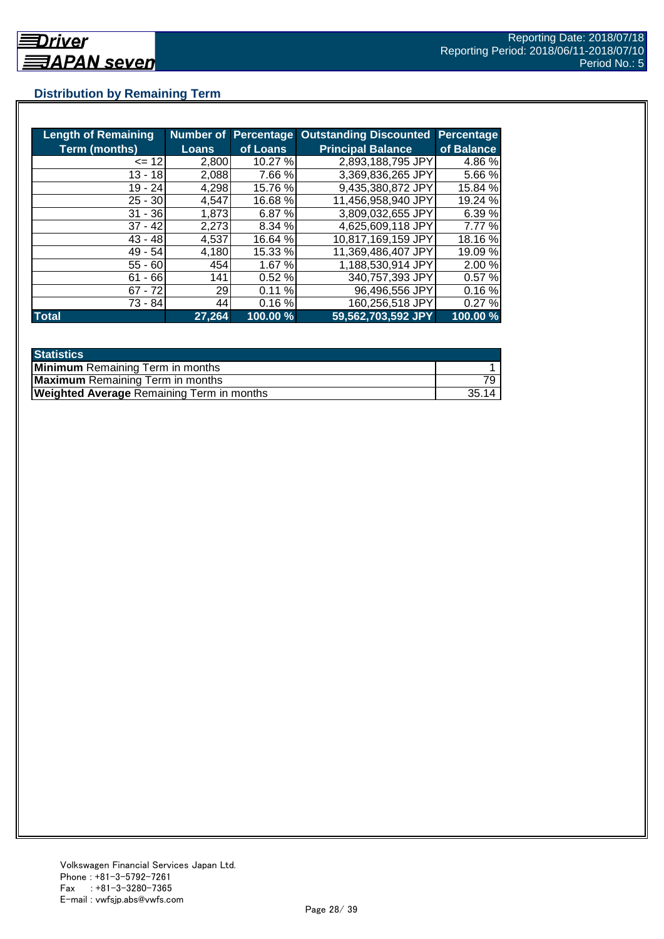## **Distribution by Remaining Term**

| <b>Length of Remaining</b> |              |          | Number of Percentage Outstanding Discounted | <b>Percentage</b> |
|----------------------------|--------------|----------|---------------------------------------------|-------------------|
| <b>Term (months)</b>       | <b>Loans</b> | of Loans | <b>Principal Balance</b>                    | of Balance        |
| $= 12$                     | 2,800        | 10.27 %  | 2,893,188,795 JPY                           | 4.86 %            |
| $13 - 18$                  | 2,088        | 7.66 %   | 3,369,836,265 JPY                           | 5.66 %            |
| 19 - 24                    | 4,298        | 15.76 %  | 9,435,380,872 JPY                           | 15.84 %           |
| $25 - 30$                  | 4,547        | 16.68 %  | 11,456,958,940 JPY                          | 19.24 %           |
| $31 - 36$                  | 1,873        | 6.87%    | 3,809,032,655 JPY                           | 6.39 %            |
| $37 - 42$                  | 2,273        | 8.34 %   | 4,625,609,118 JPY                           | 7.77 %            |
| $43 - 48$                  | 4,537        | 16.64 %  | 10,817,169,159 JPY                          | 18.16%            |
| $49 - 54$                  | 4,180        | 15.33 %  | 11,369,486,407 JPY                          | 19.09 %           |
| $55 - 60$                  | 454          | 1.67 %   | 1,188,530,914 JPY                           | 2.00 %            |
| $-66$<br>61                | 141          | 0.52%    | 340,757,393 JPY                             | 0.57%             |
| $67 - 72$                  | 29           | 0.11%    | 96,496,556 JPY                              | 0.16%             |
| 73 - 84                    | 44           | 0.16%    | 160,256,518 JPY                             | 0.27%             |
| <b>Total</b>               | 27,264       | 100.00 % | 59,562,703,592 JPY                          | 100.00 %          |

| <b>Statistics</b>                                |       |
|--------------------------------------------------|-------|
| <b>Minimum</b> Remaining Term in months          |       |
| <b>Maximum</b> Remaining Term in months          |       |
| <b>Weighted Average Remaining Term in months</b> | 35.14 |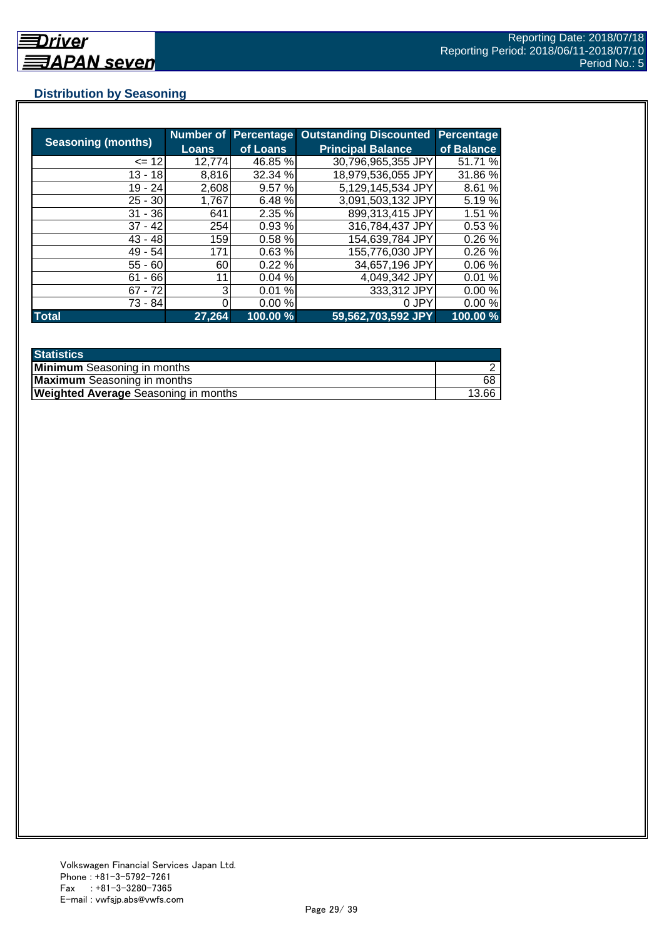## **Distribution by Seasoning**

| <b>Seasoning (months)</b> |              | <b>Number of Percentage</b> | <b>Outstanding Discounted</b> | <b>Percentage</b> |
|---------------------------|--------------|-----------------------------|-------------------------------|-------------------|
|                           | <b>Loans</b> | of Loans                    | <b>Principal Balance</b>      | of Balance        |
| $= 12$                    | 12,774       | 46.85 %                     | 30,796,965,355 JPY            | 51.71 %           |
| $13 - 18$                 | 8,816        | 32.34 %                     | 18,979,536,055 JPY            | 31.86 %           |
| $19 - 24$                 | 2,608        | 9.57%                       | 5,129,145,534 JPY             | 8.61 %            |
| $25 - 30$                 | 1,767        | 6.48 %                      | 3,091,503,132 JPY             | 5.19%             |
| $31 - 36$                 | 641          | 2.35 %                      | 899,313,415 JPY               | 1.51 %            |
| $37 - 42$                 | 254          | 0.93%                       | 316,784,437 JPY               | 0.53%             |
| $43 - 48$                 | 159          | 0.58 %                      | 154,639,784 JPY               | 0.26%             |
| $49 - 54$                 | 171          | 0.63%                       | 155,776,030 JPY               | 0.26%             |
| $55 - 60$                 | 60           | 0.22%                       | 34,657,196 JPY                | 0.06%             |
| $61 - 66$                 | 11           | 0.04%                       | 4,049,342 JPY                 | 0.01%             |
| $67 - 72$                 | 3            | 0.01%                       | 333,312 JPY                   | 0.00%             |
| 73 - 84                   |              | 0.00%                       | 0 JPY                         | 0.00%             |
| <b>Total</b>              | 27,264       | 100.00 %                    | 59,562,703,592 JPY            | 100.00 %          |

| <b>Statistics</b>                           |       |
|---------------------------------------------|-------|
| <b>Minimum</b> Seasoning in months          |       |
| <b>Maximum</b> Seasoning in months          | 68    |
| <b>Weighted Average</b> Seasoning in months | 13.66 |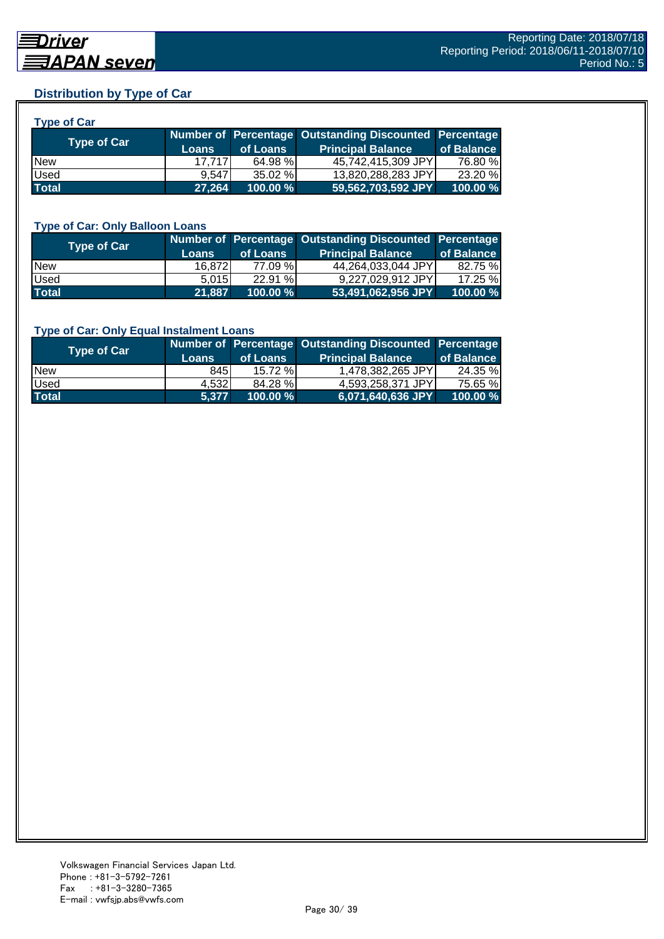## **Distribution by Type of Car**

| <b>Type of Car</b> |        |          |                                                        |            |
|--------------------|--------|----------|--------------------------------------------------------|------------|
|                    |        |          | Number of Percentage Outstanding Discounted Percentage |            |
| <b>Type of Car</b> | Loans  | of Loans | <b>Principal Balance</b>                               | of Balance |
| <b>New</b>         | 17.717 | 64.98 %  | 45,742,415,309 JPY                                     | 76.80 %    |
| <b>Used</b>        | 9.547  | 35.02 %  | 13,820,288,283 JPY                                     | 23.20 %    |
| <b>Total</b>       | 27,264 | 100.00 % | 59,562,703,592 JPY                                     | 100.00 %   |

#### **Type of Car: Only Balloon Loans**

| <b>Type of Car</b> | <b>Loans</b> | of Loans    | Number of Percentage Outstanding Discounted Percentage<br><b>Principal Balance</b> | of Balance |
|--------------------|--------------|-------------|------------------------------------------------------------------------------------|------------|
| <b>New</b>         | 16.8721      | 77.09 %     | 44,264,033,044 JPY                                                                 | 82.75 %    |
| Used               | 5.015        | 22.91%      | 9.227.029.912 JPYI                                                                 | $17.25 \%$ |
| <b>Total</b>       | 21,887       | $100.00 \%$ | $153,491,062,956$ JPY                                                              | 100.00%    |

#### **Type of Car: Only Equal Instalment Loans**

| <b>Type of Car</b> | <b>Loans</b> | of Loans    | Number of Percentage Outstanding Discounted Percentage<br><b>Principal Balance</b> | of Balance |
|--------------------|--------------|-------------|------------------------------------------------------------------------------------|------------|
| <b>New</b>         | 845I         | $15.72\%$   | 1,478,382,265 JPY                                                                  | 24.35 %    |
| Used               | 4.532        | 84.28 %     | 4.593.258.371 JPYL                                                                 | 75.65 %    |
| <b>Total</b>       | 5.377        | $100.00 \%$ | 6,071,640,636 JPY                                                                  | 100.00 %   |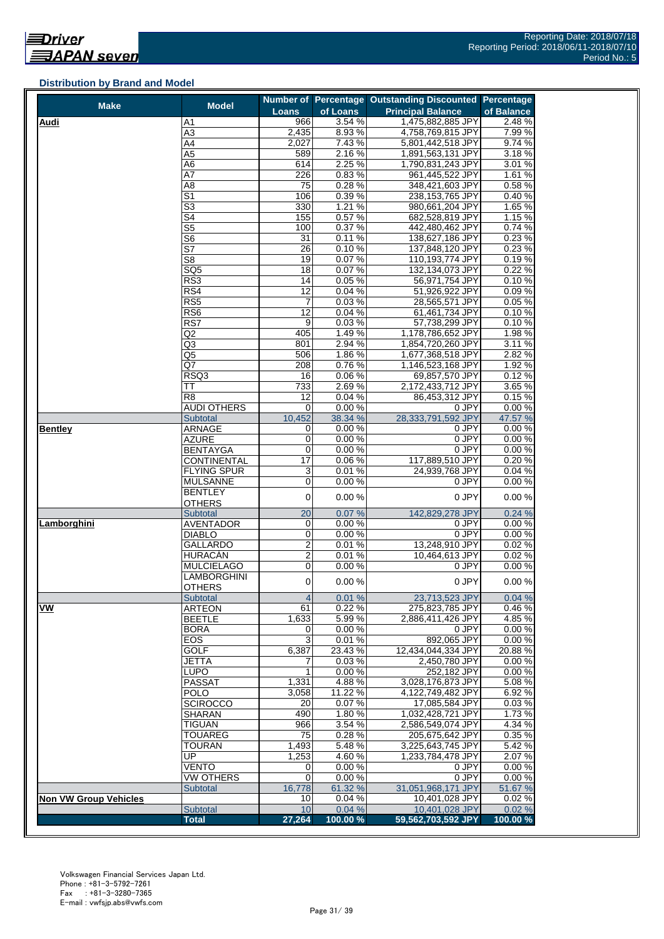#### **Distribution by Brand and Model**

| <b>Make</b>                  | <b>Model</b>                            |                     |                | Number of Percentage Outstanding Discounted Percentage |                  |
|------------------------------|-----------------------------------------|---------------------|----------------|--------------------------------------------------------|------------------|
|                              |                                         | <b>Loans</b>        | of Loans       | <b>Principal Balance</b>                               | of Balance       |
| <b>Audi</b>                  | A1                                      | 966                 | 3.54%          | 1,475,882,885 JPY                                      | 2.48 %           |
|                              | $\overline{A3}$                         | 2,435               | 8.93%          | 4,758,769,815 JPY                                      | 7.99%            |
|                              | A4                                      | 2,027               | 7.43%          | 5,801,442,518 JPY                                      | 9.74 %           |
|                              | A5                                      | 589                 | 2.16%          | 1,891,563,131 JPY                                      | 3.18%            |
|                              | A6<br>A7                                | 614                 | 2.25 %         | 1,790,831,243 JPY                                      | 3.01 %<br>1.61%  |
|                              | A <sub>8</sub>                          | 226<br>75           | 0.83%<br>0.28% | 961,445,522 JPY<br>348,421,603 JPY                     | 0.58%            |
|                              | $\overline{\mathsf{S}1}$                | 106                 | 0.39%          | 238,153,765 JPY                                        | 0.40%            |
|                              | $\overline{\mathbb{S}^3}$               | 330                 | 1.21%          | 980,661,204 JPY                                        | 1.65 %           |
|                              | S4                                      | 155                 | 0.57%          | 682,528,819 JPY                                        | 1.15 %           |
|                              | $\overline{\text{S5}}$                  | 100                 | 0.37%          | 442,480,462 JPY                                        | 0.74%            |
|                              | S <sub>6</sub>                          | 31                  | 0.11%          | 138,627,186 JPY                                        | 0.23%            |
|                              | $\overline{\mathsf{S}7}$                | 26                  | 0.10%          | 137,848,120 JPY                                        | 0.23%            |
|                              | S <sub>8</sub>                          | 19                  | 0.07%          | 110,193,774 JPY                                        | 0.19%            |
|                              | SQ <sub>5</sub>                         | $\overline{18}$     | 0.07%          | 132,134,073 JPY                                        | 0.22 %           |
|                              | RS3                                     | 14                  | 0.05%          | 56,971,754 JPY                                         | 0.10%            |
|                              | RS4                                     | 12                  | 0.04%          | 51,926,922 JPY                                         | 0.09%            |
|                              | RS <sub>5</sub>                         | 7                   | 0.03%          | 28,565,571 JPY                                         | 0.05%            |
|                              | RS6                                     | 12                  | 0.04%          | 61,461,734 JPY                                         | 0.10%            |
|                              | RS7                                     | $\overline{9}$      | 0.03%          | 57,738,299 JPY                                         | 0.10%            |
|                              | Q2                                      | 405                 | 1.49%          | 1,178,786,652 JPY                                      | 1.98%            |
|                              | Q3                                      | 801                 | 2.94 %         | 1,854,720,260 JPY                                      | 3.11 %           |
|                              | Q5                                      | 506                 | 1.86%          | 1,677,368,518 JPY                                      | 2.82%            |
|                              | Q7                                      | 208<br>16           | 0.76%          | 1,146,523,168 JPY                                      | 1.92 %           |
|                              | RSQ3<br>TT                              | 733                 | 0.06%<br>2.69% | 69,857,570 JPY<br>2,172,433,712 JPY                    | 0.12%<br>3.65 %  |
|                              | $\overline{R8}$                         | 12                  | 0.04%          | 86,453,312 JPY                                         | 0.15%            |
|                              | AUDI OTHERS                             | 0                   | 0.00%          | 0 JPY                                                  | 0.00%            |
|                              | Subtotal                                | 10,452              | 38.34 %        | 28,333,791,592 JPY                                     | 47.57 %          |
| <b>Bentley</b>               | <b>ARNAGE</b>                           | 0                   | 0.00%          | 0 JPY                                                  | 0.00%            |
|                              | <b>AZURE</b>                            | 0                   | 0.00%          | 0 JPY                                                  | 0.00%            |
|                              | <b>BENTAYGA</b>                         | 0                   | 0.00%          | 0 JPY                                                  | 0.00%            |
|                              | <b>CONTINENTAL</b>                      | $\overline{17}$     | 0.06%          | 117,889,510 JPY                                        | 0.20%            |
|                              | <b>FLYING SPUR</b>                      | $\overline{3}$      | 0.01%          | 24,939,768 JPY                                         | 0.04%            |
|                              | <b>MULSANNE</b>                         | 0                   | 0.00%          | 0 JPY                                                  | 0.00%            |
|                              | BENTLEY                                 | $\overline{0}$      | 0.00%          | 0 JPY                                                  | 0.00%            |
|                              | <b>OTHERS</b>                           |                     |                |                                                        |                  |
|                              | Subtotal                                | 20                  | 0.07%          | 142,829,278 JPY                                        | 0.24%            |
| Lamborghini                  | <b>AVENTADOR</b>                        | 0                   | 0.00%          | 0 JPY                                                  | 0.00%            |
|                              | <b>DIABLO</b>                           | 0                   | 0.00%          | 0 JPY                                                  | 0.00%            |
|                              | GALLARDO                                | $\overline{2}$      | 0.01%          | 13,248,910 JPY                                         | 0.02%            |
|                              | HURACÁN                                 | $\overline{2}$<br>0 | 0.01%          | 10,464,613 JPY                                         | 0.02%<br>0.00%   |
|                              | <b>MULCIELAGO</b><br><b>LAMBORGHINI</b> |                     | 0.00%          | 0 JPY                                                  |                  |
|                              | <b>OTHERS</b>                           | $\mathbf 0$         | 0.00%          | 0 JPY                                                  | 0.00%            |
|                              | Subtotal                                | $\overline{4}$      | 0.01%          | 23,713,523 JPY                                         | 0.04%            |
| VW                           | <b>ARTEON</b>                           | 61                  | 0.22%          | 275,823,785 JPY                                        | 0.46%            |
|                              | <b>BEETLE</b>                           | 1,633               | 5.99%          | 2,886,411,426 JPY                                      | 4.85%            |
|                              | <b>BORA</b>                             | 0                   | 0.00%          | 0 JPY                                                  | 0.00%            |
|                              | EOS                                     | 3                   | 0.01%          | 892,065 JPY                                            | 0.00%            |
|                              | <b>GOLF</b>                             | 6,387               | 23.43%         | 12,434,044,334 JPY                                     | 20.88%           |
|                              | <b>JETTA</b>                            | 7                   | 0.03%          | 2,450,780 JPY                                          | 0.00%            |
|                              | <b>LUPO</b>                             | 1                   | 0.00%          | 252,182 JPY                                            | 0.00%            |
|                              | <b>PASSAT</b>                           | 1,331               | 4.88%          | 3,028,176,873 JPY                                      | 5.08%            |
|                              | <b>POLO</b>                             | 3,058               | 11.22 %        | 4,122,749,482 JPY                                      | 6.92%            |
|                              | <b>SCIROCCO</b>                         | 20                  | 0.07%          | 17,085,584 JPY                                         | 0.03%            |
|                              | SHARAN                                  | 490                 | $1.80\%$       | 1,032,428,721 JPY                                      | 1.73%            |
|                              | <b>TIGUAN</b>                           | 966                 | 3.54 %         | 2,586,549,074 JPY                                      | 4.34 %           |
|                              | <b>TOUAREG</b>                          | 75<br>1,493         | 0.28%<br>5.48% | 205,675,642 JPY                                        | 0.35 %<br>5.42 % |
|                              | <b>TOURAN</b><br>UP                     | 1,253               | 4.60%          | 3,225,643,745 JPY<br>1,233,784,478 JPY                 | 2.07%            |
|                              | <b>VENTO</b>                            | 0                   | 0.00%          | 0 JPY                                                  | 0.00%            |
|                              | <b>VW OTHERS</b>                        | 0                   | 0.00%          | 0 JPY                                                  | 0.00%            |
|                              | Subtotal                                | 16,778              | 61.32 %        | 31,051,968,171 JPY                                     | 51.67 %          |
| <b>Non VW Group Vehicles</b> |                                         | 10                  | 0.04%          | 10,401,028 JPY                                         | 0.02%            |
|                              | Subtotal                                | 10                  | 0.04%          | 10,401,028 JPY                                         | 0.02%            |
|                              | <b>Total</b>                            | 27,264              | 100.00%        | 59,562,703,592 JPY                                     | 100.00 %         |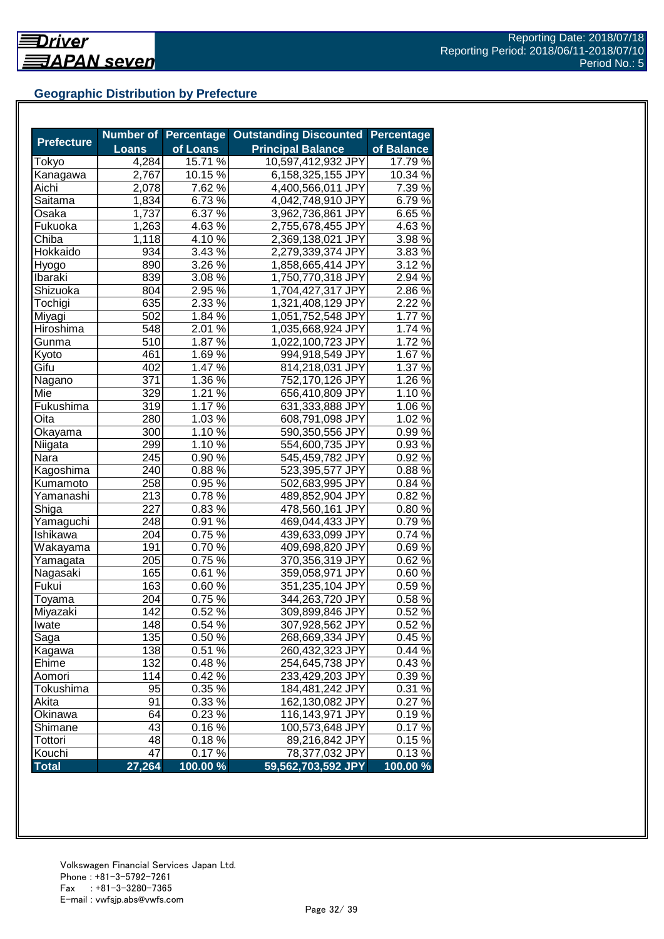## **Geographic Distribution by Prefecture**

|                   |              | <b>Number of Percentage</b> | <b>Outstanding Discounted</b> | <b>Percentage</b> |
|-------------------|--------------|-----------------------------|-------------------------------|-------------------|
| <b>Prefecture</b> | <b>Loans</b> | of Loans                    | <b>Principal Balance</b>      | of Balance        |
| Tokyo             | 4,284        | 15.71 %                     | 10,597,412,932 JPY            | 17.79 %           |
| Kanagawa          | 2,767        | 10.15 %                     | 6,158,325,155 JPY             | 10.34 %           |
| Aichi             | 2,078        | 7.62 %                      | 4,400,566,011 JPY             | 7.39 %            |
| Saitama           | 1,834        | 6.73 %                      | 4,042,748,910 JPY             | 6.79%             |
| Osaka             | 1,737        | 6.37 %                      | 3,962,736,861 JPY             | 6.65%             |
| Fukuoka           | 1,263        | $4.63\,\sqrt{6}$            | 2,755,678,455 JPY             | 4.63%             |
| Chiba             | 1,118        | $4.10\,\%$                  | 2,369,138,021 JPY             | $3.98\%$          |
| Hokkaido          | 934          | $3.43\%$                    | 2,279,339,374 JPY             | 3.83%             |
| Hyogo             | 890          | $3.26\,\sqrt{2}$            | 1,858,665,414 JPY             | 3.12%             |
| Ibaraki           | 839          | 3.08 %                      | 1,750,770,318 JPY             | 2.94 %            |
| Shizuoka          | 804          | 2.95 %                      | 1,704,427,317 JPY             | 2.86%             |
| Tochigi           | 635          | 2.33 %                      | 1,321,408,129 JPY             | 2.22 %            |
| Miyagi            | 502          | 1.84 %                      | 1,051,752,548 JPY             | 1.77 %            |
| Hiroshima         | 548          | 2.01 %                      | 1,035,668,924 JPY             | 1.74 %            |
| Gunma             | 510          | 1.87 %                      | 1,022,100,723 JPY             | 1.72%             |
| Kyoto             | 461          | 1.69%                       | 994,918,549 JPY               | 1.67 %            |
| Gifu              | 402          | 1.47 %                      | 814,218,031 JPY               | 1.37 %            |
| Nagano            | 371          | 1.36 $\sqrt{2}$             | 752,170,126 JPY               | $1.26\%$          |
| Mie               | 329          | $1.21\,\sqrt{6}$            | 656,410,809 JPY               | 1.10%             |
| Fukushima         | 319          | $1.17\%$                    | 631,333,888 JPY               | 1.06%             |
| Oita              | 280          | $1.03\,\sqrt{6}$            | 608,791,098 JPY               | $1.02\%$          |
| Okayama           | 300          | 1.10%                       | 590,350,556 JPY               | 0.99%             |
| Niigata           | 299          | 1.10 %                      | 554,600,735 JPY               | 0.93%             |
| Nara              | 245          | 0.90%                       | 545,459,782 JPY               | 0.92%             |
| Kagoshima         | 240          | 0.88%                       | 523,395,577 JPY               | 0.88%             |
| Kumamoto          | 258          | 0.95 %                      | 502,683,995 JPY               | 0.84 %            |
| Yamanashi         | 213          | 0.78%                       | 489,852,904 JPY               | 0.82%             |
| Shiga             | 227          | 0.83%                       | 478,560,161 JPY               | 0.80%             |
| Yamaguchi         | 248          | 0.91%                       | 469,044,433 JPY               | 0.79%             |
| Ishikawa          | 204          | $0.75\%$                    | 439,633,099 JPY               | 0.74 %            |
| Wakayama          | 191          | $0.70\,\sqrt{2}$            | 409,698,820 JPY               | 0.69%             |
| Yamagata          | 205          | $0.75\,\sqrt{2}$            | 370,356,319 JPY               | 0.62%             |
| Nagasaki          | 165          | $0.61\,\sqrt{2}$            | 359,058,971 JPY               | 0.60%             |
| Fukui             | 163          | $0.60\,\%$                  | 351,235,104 JPY               | 0.59%             |
| Toyama            | 204          | 0.75 %                      | 344,263,720 JPY               | 0.58%             |
| Miyazaki          | 142          | 0.52%                       | 309,899,846 JPY               | 0.52%             |
| Iwate             | 148          | 0.54%                       | 307,928,562 JPY               | 0.52%             |
| Saga              | 135          | 0.50 %                      | 268,669,334 JPY               | 0.45%             |
| Kagawa            | 138          | 0.51%                       | 260,432,323 JPY               | 0.44%             |
| Ehime             | 132          | 0.48%                       | 254,645,738 JPY               | 0.43%             |
| Aomori            | 114          | 0.42%                       | 233,429,203 JPY               | 0.39 %            |
| Tokushima         | 95           | 0.35 %                      | 184,481,242 JPY               | 0.31%             |
| Akita             | 91           | 0.33 %                      | 162,130,082 JPY               | 0.27%             |
| Okinawa           | 64           | $0.23\%$                    | 116,143,971 JPY               | 0.19%             |
| Shimane           | 43           | 0.16%                       | 100,573,648 JPY               | 0.17%             |
| Tottori           | 48           | 0.18%                       | 89,216,842 JPY                | 0.15%             |
| Kouchi            | 47           | 0.17%                       | 78,377,032 JPY                | 0.13%             |
| <b>Total</b>      | 27,264       | 100.00 %                    | 59,562,703,592 JPY            | 100.00 %          |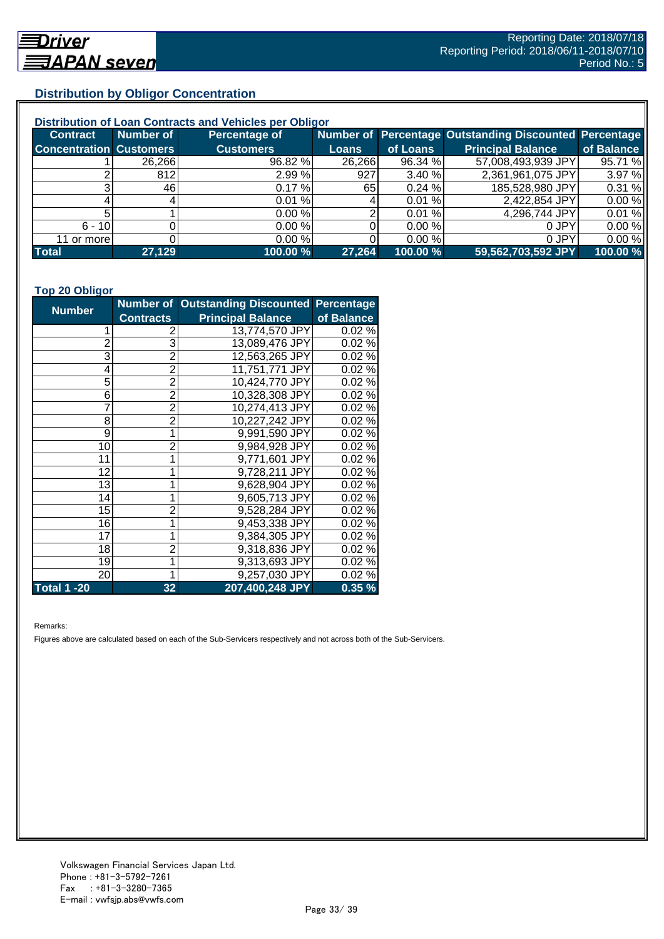## **Distribution by Obligor Concentration**

| Distribution of Loan Contracts and Vehicles per Obligor |           |                      |        |          |                                                        |            |  |
|---------------------------------------------------------|-----------|----------------------|--------|----------|--------------------------------------------------------|------------|--|
| <b>Contract</b>                                         | Number of | <b>Percentage of</b> |        |          | Number of Percentage Outstanding Discounted Percentage |            |  |
| <b>Concentration Customers</b>                          |           | <b>Customers</b>     | Loans  | of Loans | <b>Principal Balance</b>                               | of Balance |  |
|                                                         | 26,266    | 96.82 %              | 26,266 | 96.34 %  | 57,008,493,939 JPY                                     | 95.71 %    |  |
|                                                         | 812       | 2.99%                | 927    | 3.40%    | 2,361,961,075 JPY                                      | 3.97 %     |  |
| ົ                                                       | 46        | 0.17%                | 65 I   | 0.24%    | 185,528,980 JPY                                        | 0.31%      |  |
|                                                         |           | 0.01%                |        | 0.01%    | 2,422,854 JPY                                          | 0.00%      |  |
|                                                         |           | 0.00%                |        | 0.01%    | 4,296,744 JPY                                          | 0.01%      |  |
| $6 - 10$                                                |           | 0.00%                |        | 0.00 %   | 0 JPY                                                  | 0.00%      |  |
| 11 or more                                              |           | 0.00%                |        | 0.00 %   | 0 JPY                                                  | 0.00%      |  |
| <b>Total</b>                                            | 27,129    | 100.00 %             | 27,264 | 100.00 % | 59,562,703,592 JPY                                     | 100.00 %   |  |

#### **Top 20 Obligor**

| <b>Number</b>      |                  | Number of Outstanding Discounted Percentage |            |
|--------------------|------------------|---------------------------------------------|------------|
|                    | <b>Contracts</b> | <b>Principal Balance</b>                    | of Balance |
| 1                  | 2                | 13,774,570 JPY                              | 0.02%      |
| $\overline{c}$     | 3                | 13,089,476 JPY                              | 0.02%      |
| 3                  | $\overline{2}$   | 12,563,265 JPY                              | 0.02%      |
| 4                  | $\overline{2}$   | 11,751,771 JPY                              | 0.02%      |
| 5                  | $\overline{2}$   | 10,424,770 JPY                              | 0.02%      |
| 6                  | $\overline{2}$   | 10,328,308 JPY                              | 0.02%      |
| $\overline{7}$     | $\overline{2}$   | 10,274,413 JPY                              | 0.02%      |
| 8                  | $\overline{2}$   | 10,227,242 JPY                              | 0.02%      |
| 9                  | $\mathbf 1$      | 9,991,590 JPY                               | 0.02%      |
| 10                 | $\overline{2}$   | 9,984,928 JPY                               | 0.02%      |
| 11                 | 1                | 9,771,601 JPY                               | 0.02%      |
| 12                 | 1                | 9,728,211 JPY                               | 0.02%      |
| 13                 | 1                | 9,628,904 JPY                               | 0.02%      |
| 14                 | 1                | 9,605,713 JPY                               | 0.02%      |
| 15                 | $\overline{2}$   | 9,528,284 JPY                               | 0.02%      |
| 16                 | 1                | 9,453,338 JPY                               | 0.02%      |
| 17                 | 1                | 9,384,305 JPY                               | 0.02%      |
| 18                 | $\overline{2}$   | 9,318,836 JPY                               | 0.02%      |
| 19                 | 1                | 9,313,693 JPY                               | 0.02%      |
| 20                 | 1                | 9,257,030 JPY                               | 0.02%      |
| <b>Total 1 -20</b> | 32               | 207,400,248 JPY                             | 0.35%      |

Remarks:

Figures above are calculated based on each of the Sub-Servicers respectively and not across both of the Sub-Servicers.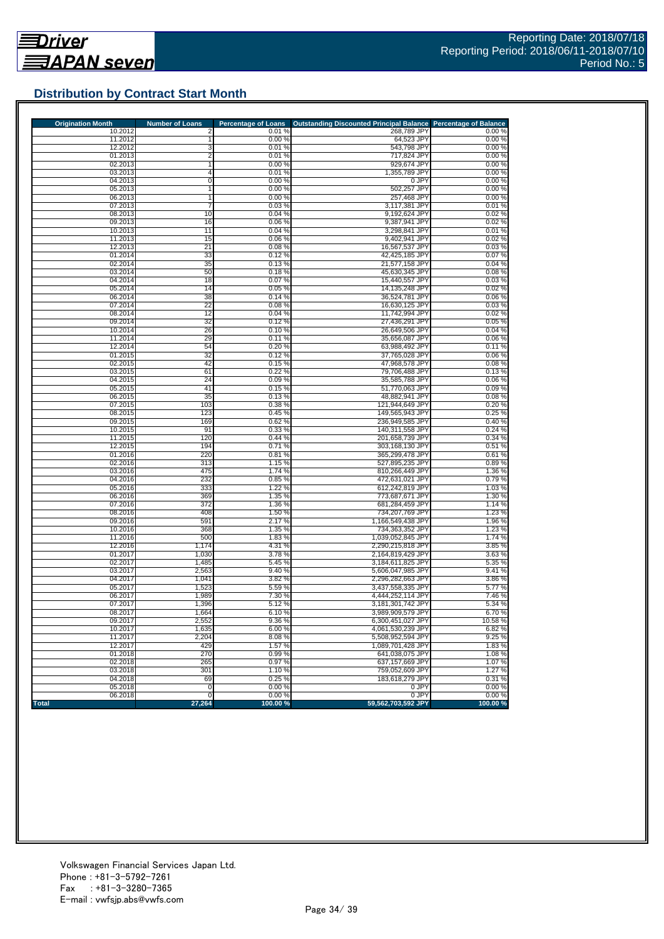![](_page_33_Picture_0.jpeg)

## **Distribution by Contract Start Month**

| <b>Origination Month</b> | <b>Number of Loans</b> | <b>Percentage of Loans</b> | <b>Outstanding Discounted Principal Balance</b> | <b>Percentage of Balance</b> |
|--------------------------|------------------------|----------------------------|-------------------------------------------------|------------------------------|
| 10.2012                  | 2                      | 0.01%                      | 268,789 JPY                                     | 0.00%                        |
| 11.2012                  |                        | 0.00%                      | 64,523 JPY                                      | 0.00%                        |
| 12.2012                  | 3                      | 0.01%                      | 543,798 JPY                                     | 0.00%                        |
| 01.2013<br>02.2013       | 2                      | 0.01%                      | 717,824 JPY                                     | 0.00%                        |
| 03.2013                  | 4                      | 0.00%<br>0.01%             | 929,674 JPY<br>1,355,789 JPY                    | 0.00%<br>0.00%               |
| 04.2013                  | 0                      | 0.00%                      | 0 JPY                                           | 0.00%                        |
| 05.2013                  | $\mathbf{1}$           | 0.00%                      | 502.257 JPY                                     | 0.00%                        |
| 06.2013                  | $\mathbf{1}$           | 0.00%                      | 257,468 JPY                                     | 0.00%                        |
| 07.2013                  | 7                      | 0.03%                      | 3,117,381 JPY                                   | 0.01%                        |
| 08.2013                  | 10                     | 0.04%                      | 9,192,624 JPY                                   | 0.02%                        |
| 09.2013                  | 16                     | 0.06%                      | 9,387,941 JPY                                   | 0.02%                        |
| 10.2013                  | 11                     | 0.04%                      | 3.298.841 JPY                                   | 0.01%                        |
| 11.2013                  | 15                     | 0.06%                      | 9,402,941 JPY                                   | 0.02%                        |
| 12.2013                  | 21                     | 0.08%                      | 16,567,537 JPY                                  | 0.03%                        |
| 01.2014                  | 33                     | 0.12%                      | 42,425,185 JPY                                  | 0.07%                        |
| 02.2014                  | 35                     | 0.13%                      | 21,577,158 JPY                                  | 0.04%                        |
| 03.2014                  | 50                     | 0.18%                      | 45,630,345 JPY                                  | 0.08%                        |
| 04.2014                  | 18                     | 0.07%                      | 15,440,557 JPY                                  | 0.03%                        |
| 05.2014                  | 14                     | 0.05%                      | 14,135,248 JPY                                  | 0.02%                        |
| 06.2014                  | 38                     | 0.14%                      | 36,524,781 JPY                                  | 0.06%                        |
| 07.2014                  | 22                     | 0.08%                      | 16,630,125 JPY                                  | 0.03%                        |
| 08.2014                  | 12                     | 0.04%                      | 11,742,994 JPY                                  | 0.02%                        |
| 09.2014                  | 32                     | 0.12%                      | 27,436,291 JPY                                  | 0.05%                        |
| 10.2014                  | 26                     | 0.10%                      | 26,649,506 JPY                                  | 0.04%                        |
| 11.2014                  | 29                     | 0.11%                      | 35,656,087 JPY                                  | 0.06%                        |
| 12.2014                  | 54                     | 0.20%                      | 63,988,492 JPY                                  | 0.11%                        |
| 01.2015                  | 32                     | 0.12%                      | 37,765,028 JPY<br>47.968.578 JPY                | 0.06%                        |
| 02.2015<br>03.2015       | 42<br>61               | 0.15%<br>0.22%             | 79.706.488 JPY                                  | 0.08%<br>0.13%               |
| 04.2015                  | 24                     | 0.09%                      | 35,585,788 JPY                                  | 0.06%                        |
| 05.2015                  | 41                     | 0.15%                      | 51.770.063 JPY                                  | 0.09%                        |
| 06.2015                  | 35                     | 0.13%                      | 48,882,941 JPY                                  | 0.08%                        |
| 07.2015                  | 103                    | 0.38%                      | 121,944,649 JPY                                 | 0.20%                        |
| 08.2015                  | 123                    | 0.45 %                     | 149,565,943 JPY                                 | 0.25 %                       |
| 09.2015                  | 169                    | 0.62%                      | 236,949,585 JPY                                 | 0.40%                        |
| 10.2015                  | 91                     | 0.33%                      | 140,311,558 JPY                                 | 0.24%                        |
| 11.2015                  | 120                    | 0.44%                      | 201,658,739 JPY                                 | 0.34%                        |
| 12.2015                  | 194                    | 0.71%                      | 303,168,130 JPY                                 | 0.51%                        |
| 01.2016                  | 220                    | 0.81%                      | 365,299,478 JPY                                 | 0.61%                        |
| 02.2016                  | 313                    | 1.15 %                     | 527,895,235 JPY                                 | 0.89%                        |
| 03.2016                  | 475                    | 1.74 %                     | 810,266,449 JPY                                 | 1.36 %                       |
| 04.2016                  | 232                    | 0.85%                      | 472,631,021 JPY                                 | 0.79%                        |
| 05.2016                  | 333                    | 1.22 %                     | 612,242,819 JPY                                 | 1.03%                        |
| 06.2016                  | 369                    | 1.35 %                     | 773,687,671 JPY                                 | 1.30 %                       |
| 07.2016                  | 372                    | 1.36 %                     | 681,284,459 JPY                                 | 1.14 %                       |
| 08.2016                  | 408                    | 1.50 %                     | 734,207,769 JPY                                 | 1.23 %                       |
| 09.2016                  | 591                    | 2.17 %                     | 1,166,549,438 JPY                               | 1.96 %                       |
| 10.2016                  | 368                    | 1.35 %                     | 734,363,352 JPY                                 | 1.23 %                       |
| 11.2016                  | 500                    | 1.83 %<br>4.31 %           | 1,039,052,845 JPY                               | 1.74 %                       |
| 12.2016<br>01.2017       | 1,174<br>1,030         |                            | 2,290,215,818 JPY<br>2,164,819,429 JPY          | 3.85 %                       |
| 02.2017                  | 1,485                  | 3.78 %<br>5.45 %           | 3,184,611,825 JPY                               | 3.63%<br>5.35 %              |
| 03.2017                  | 2,563                  | 9.40%                      | 5,606,047,985 JPY                               | 9.41%                        |
| 04.2017                  | 1,041                  | 3.82 %                     | 2,296,282,663 JPY                               | 3.86 %                       |
| 05.2017                  | 1,523                  | 5.59 %                     | 3,437,558,335 JPY                               | 5.77 %                       |
| 06.2017                  | 1,989                  | 7.30 %                     | 4,444,252,114 JPY                               | 7.46 %                       |
| 07.2017                  | 1,396                  | 5.12%                      | 3,181,301,742 JPY                               | 5.34 %                       |
| 08.2017                  | 1,664                  | 6.10%                      | 3,989,909,579 JPY                               | 6.70%                        |
| 09.2017                  | 2,552                  | 9.36%                      | 6,300,451,027 JPY                               | 10.58 %                      |
| 10.2017                  | 1,635                  | 6.00 %                     | 4,061,530,239 JPY                               | 6.82%                        |
| 11.2017                  | 2,204                  | 8.08%                      | 5,508,952,594 JPY                               | 9.25%                        |
| 12.2017                  | 429                    | 1.57%                      | 1,089,701,428 JPY                               | 1.83%                        |
| 01.2018                  | 270                    | 0.99%                      | 641.038.075 JPY                                 | 1.08%                        |
| 02.2018                  | 265                    | 0.97%                      | 637,157,669 JPY                                 | 1.07%                        |
| 03.2018                  | 301                    | 1.10%                      | 759,052,609 JPY                                 | 1.27 %                       |
| 04.2018                  | 69                     | 0.25 %                     | 183,618,279 JPY                                 | 0.31%                        |
| 05.2018                  | 0                      | 0.00%                      | 0 JPY                                           | 0.00%                        |
| 06.2018                  | 0                      | 0.00%                      | 0 JPY                                           | 0.00%                        |
| <b>Total</b>             | 27,264                 | 100.00%                    | 59,562,703,592 JPY                              | 100.00%                      |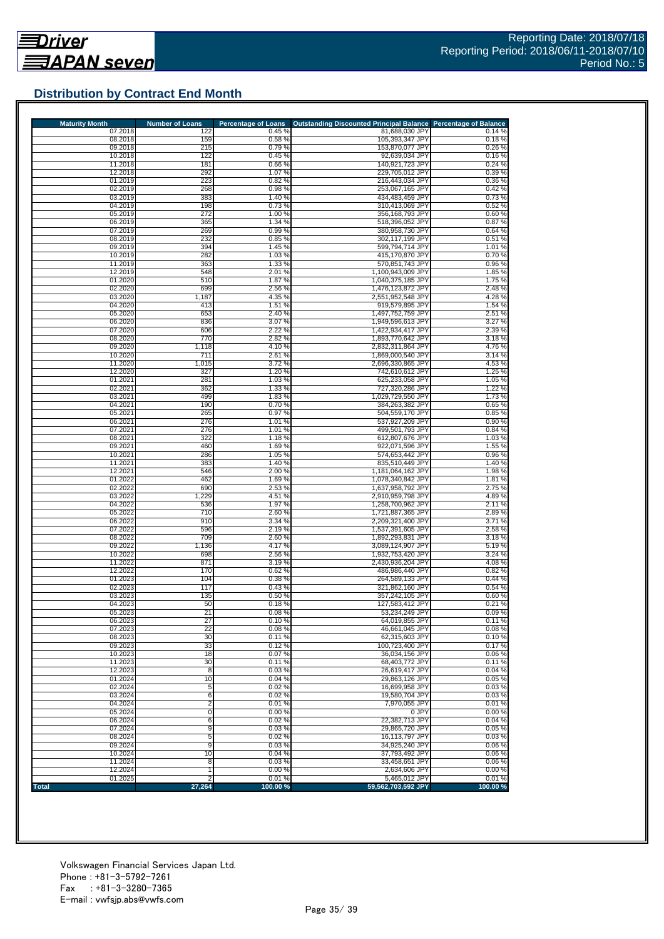## **Distribution by Contract End Month**

| <b>Maturity Month</b> |                    | <b>Number of Loans</b> | <b>Percentage of Loans</b> | Outstanding Discounted Principal Balance Percentage of Balance |                 |
|-----------------------|--------------------|------------------------|----------------------------|----------------------------------------------------------------|-----------------|
|                       | 07.2018            | 122                    | 0.45 %                     | 81,688,030 JPY                                                 | 0.14%           |
|                       | 08.2018<br>09.2018 | 159<br>215             | 0.58%<br>0.79%             | 105,393,347 JPY<br>153,870,077 JPY                             | 0.18%<br>0.26%  |
|                       | 10.2018            | 122                    | 0.45%                      | 92,639,034 JPY                                                 | 0.16%           |
|                       | 11.2018            | 181                    | 0.66%                      | 140,921,723 JPY                                                | 0.24%           |
|                       | 12.2018            | 292                    | 1.07%                      | 229,705,012 JPY                                                | 0.39%           |
|                       | 01.2019            | 223                    | 0.82%                      | 216.443.034 JPY                                                | 0.36%           |
|                       | 02.2019            | 268                    | 0.98%                      | 253.067.165 JPY                                                | 0.42%           |
|                       | 03.2019<br>04.2019 | 383<br>198             | 1.40 %<br>0.73%            | 434,483,459 JPY<br>310,413,069 JPY                             | 0.73%<br>0.52%  |
|                       | 05.2019            | 272                    | 1.00%                      | 356,168,793 JPY                                                | 0.60%           |
|                       | 06.2019            | 365                    | 1.34 %                     | 518,396,052 JPY                                                | 0.87%           |
|                       | 07.2019            | 269                    | 0.99%                      | 380,958,730 JPY                                                | 0.64%           |
|                       | 08.2019            | 232                    | 0.85%                      | 302.117.199 JPY                                                | 0.51%           |
|                       | 09.2019            | 394                    | 1.45 %                     | 599.794.714 JPY                                                | 1.01 %          |
|                       | 10.2019<br>11.2019 | 282<br>363             | 1.03%<br>1.33 %            | 415,170,870 JPY<br>570,851,743 JPY                             | 0.70%<br>0.96%  |
|                       | 12.2019            | 548                    | 2.01%                      | 1,100,943,009 JPY                                              | 1.85%           |
|                       | 01.2020            | 510                    | 1.87 %                     | 1,040,375,185 JPY                                              | 1.75%           |
|                       | 02.2020            | 699                    | 2.56 %                     | 1,476,123,872 JPY                                              | 2.48 %          |
|                       | 03.2020            | 1,187                  | 4.35 %                     | 2,551,952,548 JPY                                              | 4.28%           |
|                       | 04.2020            | 413                    | 1.51 %                     | 919,579,895 JPY                                                | 1.54 %          |
|                       | 05.2020            | 653                    | 2.40 %                     | 1,497,752,759 JPY                                              | 2.51 %          |
|                       | 06.2020<br>07.2020 | 836<br>606             | 3.07%<br>2.22 %            | 1,949,596,613 JPY<br>1,422,934,417 JPY                         | 3.27%<br>2.39 % |
|                       | 08.2020            | 770                    | 2.82 %                     | 1,893,770,642 JPY                                              | 3.18%           |
|                       | 09.2020            | 1,118                  | 4.10%                      | 2.832.311.864 JPY                                              | 4.76%           |
|                       | 10.2020            | 711                    | 2.61%                      | 1,869,000,540 JPY                                              | 3.14 %          |
|                       | 11.2020            | 1,015                  | 3.72%                      | 2,696,330,865 JPY                                              | 4.53%           |
|                       | 12.2020            | 327                    | 1.20 %                     | 742,610,612 JPY                                                | 1.25 %          |
|                       | 01.2021            | 281                    | 1.03%                      | 625,233,058 JPY                                                | 1.05 %          |
|                       | 02.2021<br>03.2021 | 362<br>499             | 1.33 %<br>1.83%            | 727,320,286 JPY<br>1,029,729,550 JPY                           | 1.22 %<br>1.73% |
|                       | 04.2021            | 190                    | 0.70%                      | 384,263,382 JPY                                                | 0.65%           |
|                       | 05.2021            | 265                    | 0.97%                      | 504,559,170 JPY                                                | 0.85%           |
|                       | 06.2021            | 276                    | 1.01 %                     | 537,927,209 JPY                                                | 0.90%           |
|                       | 07.2021            | 276                    | 1.01 %                     | 499,501,793 JPY                                                | 0.84%           |
|                       | 08.2021            | 322                    | 1.18%                      | 612,807,676 JPY                                                | 1.03%           |
|                       | 09.2021            | 460                    | 1.69%                      | 922,071,596 JPY                                                | 1.55 %          |
|                       | 10.2021<br>11.2021 | 286<br>383             | 1.05 %<br>1.40 %           | 574,653,442 JPY<br>835,510,449 JPY                             | 0.96%<br>1.40 % |
|                       | 12.2021            | 546                    | 2.00 %                     | 1,181,064,162 JPY                                              | 1.98%           |
|                       | 01.2022            | 462                    | 1.69%                      | 1,078,340,842 JPY                                              | 1.81%           |
|                       | 02.2022            | 69C                    | 2.53 %                     | 1,637,958,792 JPY                                              | 2.75%           |
|                       | 03.2022            | 1,229                  | 4.51 %                     | 2,910,959,798 JPY                                              | 4.89%           |
|                       | 04.2022            | 536                    | 1.97%                      | 1,258,700,962 JPY                                              | 2.11%           |
|                       | 05.2022<br>06.2022 | 710<br>910             | 2.60%<br>3.34 %            | 1,721,887,365 JPY<br>2,209,321,400 JPY                         | 2.89%<br>3.71 % |
|                       | 07.2022            | 596                    | 2.19%                      | 1,537,391,605 JPY                                              | 2.58%           |
|                       | 08.2022            | 709                    | 2.60 %                     | 1,892,293,831 JPY                                              | 3.18%           |
|                       | 09.2022            | 1,136                  | 4.17%                      | 3,089,124,907 JPY                                              | 5.19%           |
|                       | 10.2022            | 698                    | 2.56 %                     | 1,932,753,420 JPY                                              | 3.24 %          |
|                       | 11.2022            | 871                    | 3.19%                      | 2,430,936,204 JPY                                              | 4.08%           |
|                       | 12.2022            | 170<br>104             | 0.62%                      | 486,986,440 JPY                                                | 0.82%           |
|                       | 01.2023<br>02.2023 | 117                    | 0.38 %<br>0.43%            | 264,589,133 JPY<br>321.862.160 JPY                             | 0.44%<br>0.54%  |
|                       | 03.2023            | 135                    | 0.50%                      | 357.242.105 JPY                                                | 0.60%           |
|                       | 04.2023            | 50                     | 0.18%                      | 127,583,412 JPY                                                | 0.21%           |
|                       | 05.2023            | 21                     | 0.08%                      | 53,234,249 JPY                                                 | 0.09%           |
|                       | 06.2023            | 27                     | 0.10%                      | 64,019,855 JPY                                                 | 0.11%           |
|                       | 07.2023            | 22                     | 0.08%                      | 46,661,045 JPY                                                 | 0.08%           |
|                       | 08.2023<br>09.2023 | 30<br>33               | 0.11%<br>0.12%             | 62,315,603 JPY<br>100,723,400 JPY                              | 0.10%<br>0.17%  |
|                       | 10.2023            | 18                     | 0.07%                      | 36,034,156 JPY                                                 | 0.06%           |
|                       | 11.2023            | 30                     | 0.11%                      | 68,403,772 JPY                                                 | 0.11%           |
|                       | 12.2023            | 8                      | 0.03%                      | 26.619.417 JPY                                                 | 0.04%           |
|                       | 01.2024            | 10                     | 0.04%                      | 29,863,126 JPY                                                 | 0.05%           |
|                       | 02.2024            | 5                      | 0.02%                      | 16,699,958 JPY                                                 | 0.03%           |
|                       | 03.2024<br>04.2024 | 6<br>2                 | 0.02%<br>0.01%             | 19,580,704 JPY<br>7.970.055 JPY                                | 0.03%<br>0.01%  |
|                       | 05.2024            | 0                      | 0.00%                      | 0 JPY                                                          | 0.00%           |
|                       | 06.2024            | 6                      | 0.02%                      | 22,382,713 JPY                                                 | 0.04%           |
|                       | 07.2024            | 9                      | 0.03%                      | 29,865,720 JPY                                                 | 0.05%           |
|                       | 08.2024            | 5                      | 0.02%                      | 16,113,797 JPY                                                 | 0.03%           |
|                       | 09.2024            | 9                      | 0.03%                      | 34,925,240 JPY                                                 | 0.06%           |
|                       | 10.2024            | 10                     | 0.04%                      | 37,793,492 JPY                                                 | 0.06%           |
|                       | 11.2024<br>12.2024 | 8                      | 0.03%<br>0.00%             | 33,458,651 JPY<br>2,634,606 JPY                                | 0.06%<br>0.00%  |
|                       |                    |                        |                            |                                                                |                 |
|                       | 01.2025            |                        | 0.01%                      | 5,465,012 JPY                                                  | 0.01%           |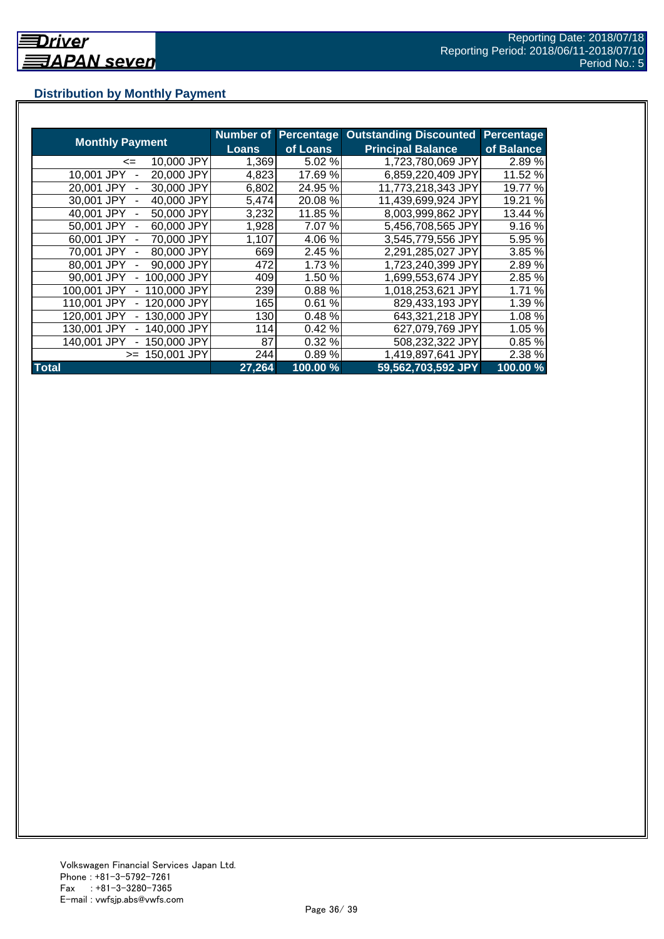## **Distribution by Monthly Payment**

|                            | <b>Number of</b> | <b>Percentage</b> | <b>Outstanding Discounted</b> | Percentage |
|----------------------------|------------------|-------------------|-------------------------------|------------|
| <b>Monthly Payment</b>     | <b>Loans</b>     | of Loans          | <b>Principal Balance</b>      | of Balance |
| 10,000 JPY<br><=           | 1,369            | 5.02 %            | 1,723,780,069 JPY             | 2.89%      |
| 20,000 JPY<br>10,001 JPY   | 4,823            | 17.69 %           | 6,859,220,409 JPY             | 11.52 %    |
| 20,001 JPY<br>30,000 JPY   | 6,802            | 24.95 %           | 11,773,218,343 JPY            | 19.77 %    |
| 40,000 JPY<br>30,001 JPY   | 5,474            | 20.08%            | 11,439,699,924 JPY            | 19.21 %    |
| 40.001 JPY<br>50,000 JPY   | 3,232            | 11.85 %           | 8,003,999,862 JPY             | 13.44 %    |
| 50.001 JPY<br>60,000 JPY   | 1,928            | 7.07%             | 5,456,708,565 JPY             | 9.16%      |
| 70,000 JPY<br>60,001 JPY   | 1,107            | 4.06%             | 3,545,779,556 JPY             | 5.95 %     |
| 80,000 JPY<br>70,001 JPY   | 669              | 2.45 %            | 2,291,285,027 JPY             | 3.85 %     |
| 80,001 JPY<br>90,000 JPY   | 472              | 1.73 %            | 1,723,240,399 JPY             | 2.89%      |
| 90,001 JPY<br>100,000 JPY  | 409              | 1.50 %            | 1,699,553,674 JPY             | 2.85 %     |
| 100,001 JPY<br>110,000 JPY | 239              | 0.88%             | 1,018,253,621 JPY             | 1.71 %     |
| 110,001 JPY<br>120,000 JPY | 165              | 0.61%             | 829,433,193 JPY               | 1.39%      |
| 130,000 JPY<br>120.001 JPY | 130              | 0.48%             | 643,321,218 JPY               | 1.08 %     |
| 140,000 JPY<br>130.001 JPY | 114              | 0.42%             | 627,079,769 JPY               | 1.05 %     |
| 140,001 JPY<br>150.000 JPY | 87               | 0.32%             | 508,232,322 JPY               | 0.85%      |
| 150.001 JPY<br>$>=$        | 244              | 0.89%             | 1,419,897,641 JPY             | 2.38 %     |
| <b>Total</b>               | 27,264           | 100.00 %          | 59,562,703,592 JPY            | 100.00%    |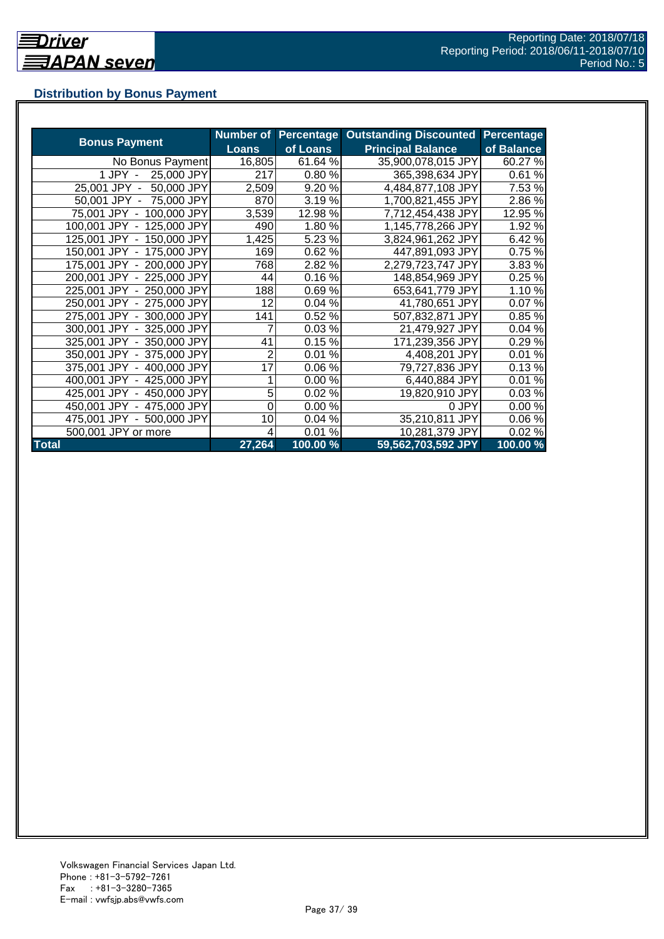## **Distribution by Bonus Payment**

|                            | <b>Number of</b> |          | <b>Percentage Outstanding Discounted</b> | <b>Percentage</b> |
|----------------------------|------------------|----------|------------------------------------------|-------------------|
| <b>Bonus Payment</b>       | <b>Loans</b>     | of Loans | <b>Principal Balance</b>                 | of Balance        |
| No Bonus Payment           | 16,805           | 61.64 %  | 35,900,078,015 JPY                       | 60.27%            |
| 1 JPY -<br>25,000 JPY      | 217              | 0.80%    | 365,398,634 JPY                          | 0.61%             |
| 50,000 JPY<br>25,001 JPY - | 2,509            | 9.20%    | 4,484,877,108 JPY                        | 7.53 %            |
| 50,001 JPY - 75,000 JPY    | 870              | 3.19%    | 1,700,821,455 JPY                        | 2.86%             |
| 75,001 JPY - 100,000 JPY   | 3,539            | 12.98 %  | 7,712,454,438 JPY                        | 12.95 %           |
| 100,001 JPY - 125,000 JPY  | 490              | 1.80%    | 1,145,778,266 JPY                        | 1.92 %            |
| 125,001 JPY - 150,000 JPY  | 1,425            | 5.23 %   | 3,824,961,262 JPY                        | 6.42%             |
| 150,001 JPY - 175,000 JPY  | 169              | 0.62%    | 447,891,093 JPY                          | 0.75%             |
| 175,001 JPY - 200,000 JPY  | 768              | 2.82 %   | 2,279,723,747 JPY                        | 3.83%             |
| 200,001 JPY - 225,000 JPY  | 44               | 0.16%    | 148,854,969 JPY                          | 0.25%             |
| 225,001 JPY - 250,000 JPY  | 188              | 0.69%    | 653,641,779 JPY                          | 1.10%             |
| 250,001 JPY - 275,000 JPY  | 12               | 0.04%    | 41,780,651 JPY                           | 0.07%             |
| 275,001 JPY - 300,000 JPY  | 141              | 0.52 %   | 507,832,871 JPY                          | 0.85%             |
| 300,001 JPY - 325,000 JPY  | 7                | 0.03%    | 21,479,927 JPY                           | 0.04%             |
| 325,001 JPY - 350,000 JPY  | 41               | 0.15%    | 171,239,356 JPY                          | 0.29%             |
| 350,001 JPY - 375,000 JPY  | 2                | 0.01%    | 4,408,201 JPY                            | 0.01%             |
| 375,001 JPY - 400,000 JPY  | 17               | 0.06%    | 79,727,836 JPY                           | 0.13%             |
| 400,001 JPY - 425,000 JPY  |                  | 0.00%    | 6,440,884 JPY                            | 0.01%             |
| 425,001 JPY - 450,000 JPY  | 5                | 0.02%    | 19,820,910 JPY                           | 0.03%             |
| 450,001 JPY - 475,000 JPY  | 0                | 0.00%    | 0 JPY                                    | 0.00%             |
| 475,001 JPY - 500,000 JPY  | 10               | 0.04%    | 35,210,811 JPY                           | 0.06%             |
| 500,001 JPY or more        |                  | 0.01%    | 10,281,379 JPY                           | 0.02%             |
| <b>Total</b>               | 27,264           | 100.00 % | 59,562,703,592 JPY                       | 100.00%           |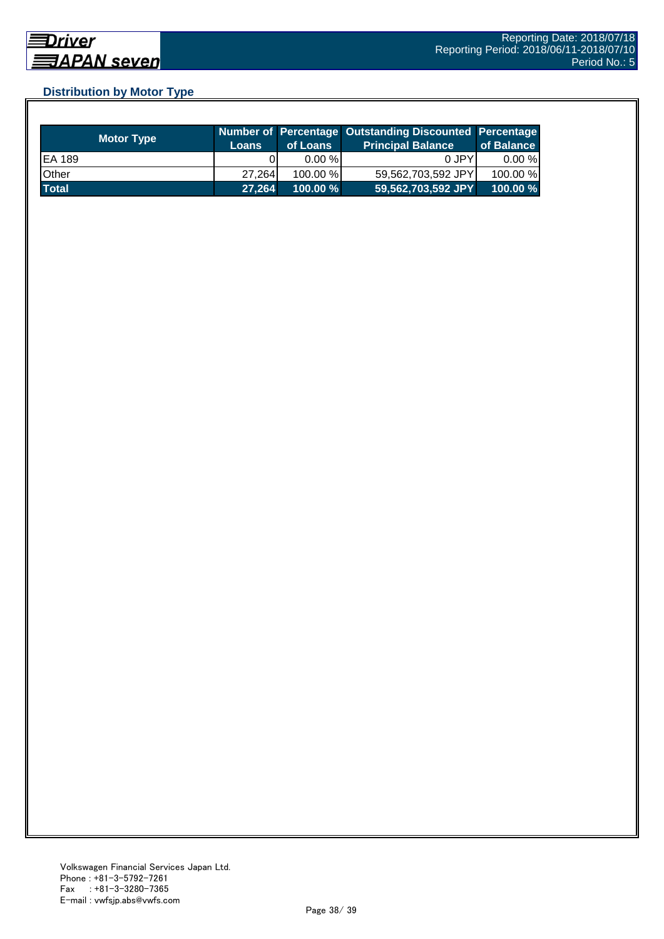## **Distribution by Motor Type**

| <b>Motor Type</b> | <b>Loans</b> | of Loans    | Number of Percentage Outstanding Discounted Percentage<br>Principal Balance <sup>'</sup> | of Balance |
|-------------------|--------------|-------------|------------------------------------------------------------------------------------------|------------|
| EA 189            |              | $0.00 \%$   | 0 JPY                                                                                    | $0.00 \%$  |
| Other             | 27.264       | 100.00 %    | 59,562,703,592 JPY                                                                       | 100.00 %   |
| <b>Total</b>      | 27,264       | $100.00 \%$ | $159,562,703,592$ JPY                                                                    | 100.00%    |